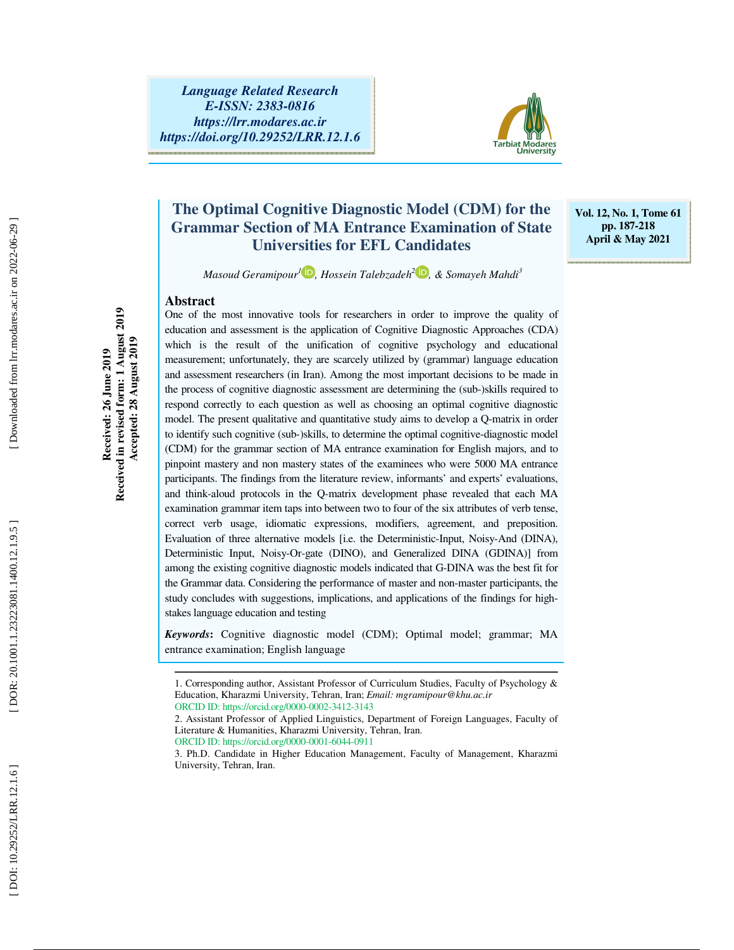

### **The Optimal Cognitive Diagnostic Model (CDM) for the Grammar Section of MA Entrance Examination of State Universities for EFL Candidates**

**Vol. 12, No. 1, Tome 61 pp. 187-218 April & May 2021** 

*Masoud Geramipour<sup>1</sup>* **D**, Hossein Talebzadeh<sup>2</sup> **D**, & Somayeh Mahdi<sup>3</sup>

### **Abstract**

One of the most innovative tools for researchers in order to improve the quality of education and assessment is the application of Cognitive Diagnostic Approaches (CDA) which is the result of the unification of cognitive psychology and educational measurement; unfortunately, they are scarcely utilized by (grammar) language education and assessment researchers (in Iran). Among the most important decisions to be made in the process of cognitive diagnostic assessment are determining the (sub-)skills required to respond correctly to each question as well as choosing an optimal cognitive diagnostic model. The present qualitative and quantitative study aims to develop a Q-matrix in order to identify such cognitive (sub-)skills, to determine the optimal cognitive-diagnostic model (CDM) for the grammar section of MA entrance examination for English majors, and to pinpoint mastery and non mastery states of the examinees who were 5000 MA entrance participants. The findings from the literature review, informants' and experts' evaluations, and think-aloud protocols in the Q-matrix development phase revealed that each MA examination grammar item taps into between two to four of the six attributes of verb tense, correct verb usage, idiomatic expressions, modifiers, agreement, and preposition. Evaluation of three alternative models [i.e. the Deterministic-Input, Noisy-And (DINA), Deterministic Input, Noisy-Or-gate (DINO), and Generalized DINA (GDINA)] from among the existing cognitive diagnostic models indicated that G-DINA was the best fit for the Grammar data. Considering the performance of master and non-master participants, the study concludes with suggestions, implications, and applications of the findings for highstakes language education and testing

*Keywords* **:** Cognitive diagnostic model (CDM); Optimal model; grammar; MA entrance examination; English language

ORCID ID: https://orcid.org/0000-0001-6044-0911

3. Ph.D. Candidate in Higher Education Management, Faculty of Management, Kharazmi University, Tehran, Iran.

**Received: 26 June 2019 Received in revised form: 1 August 2019 Accepted: 28 August 2019** 

Received in revised form: 1 August 2019<br>Accepted: 28 August 2019 Received: 26 June 2019

ــــــــــــــــــــــــــــــــــــــــــــــــــــــــــــــــــــــــــــــــــــــــــــــــــــــــــــــــــــــــــــــــــــــــــ 1. Corresponding author, Assistant Professor of Curriculum Studies, Faculty of Psychology & Education, Kharazmi University, Tehran, Iran; *Email: mgramipour@khu.ac.ir* ORCID ID: https://orcid.org/0000-0002-3412-3143

<sup>2.</sup> Assistant Professor of Applied Linguistics, Department of Foreign Languages, Faculty of Literature & Humanities, Kharazmi University, Tehran, Iran.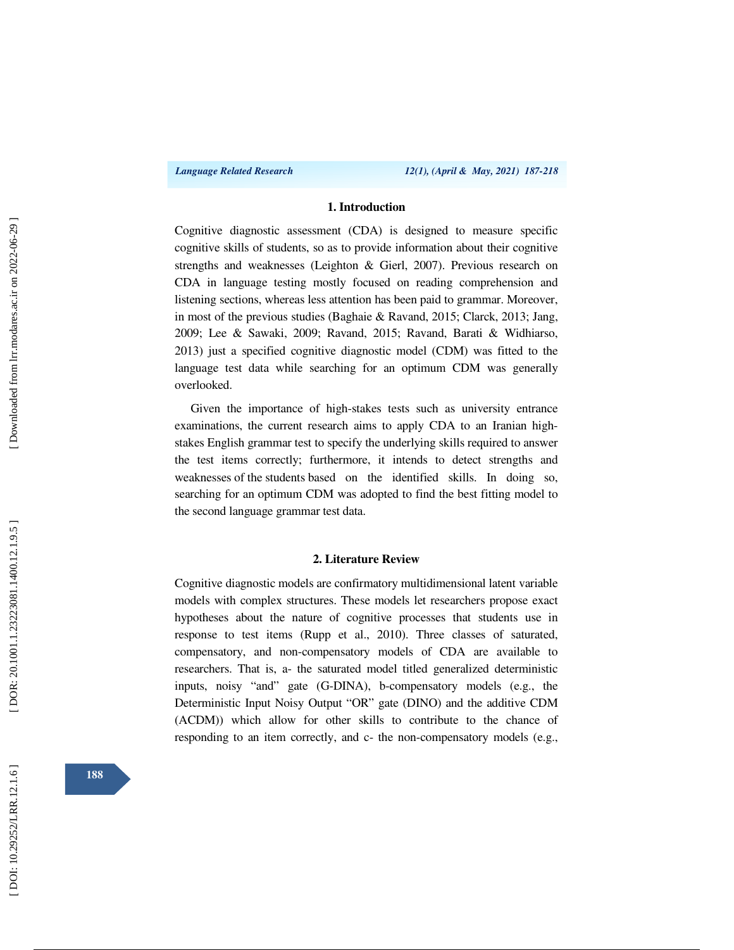### **1. Introduction**

Cognitive diagnostic assessment (CDA) is designed to measure specific cognitive skills of students, so as to provide information about their cognitive strengths and weaknesses (Leighton & Gierl, 2007). Previous research on CDA in language testing mostly focused on reading comprehension and listening sections, whereas less attention has been paid to grammar. Moreover, in most of the previous studies (Baghaie & Ravand, 2015; Clarck, 2013; Jang, 2009; Lee & Sawaki, 2009; Ravand, 2015; Ravand, Barati & Widhiarso, 2013) just a specified cognitive diagnostic model (CDM) was fitted to the language test data while searching for an optimum CDM was generally overlooked.

Given the importance of high-stakes tests such as university entrance examinations, the current research aims to apply CDA to an Iranian highstakes English grammar test to specify the underlying skills required to answer the test items correctly; furthermore, it intends to detect strengths and weaknesses of the students based on the identified skills. In doing so, searching for an optimum CDM was adopted to find the best fitting model to the second language grammar test data.

#### **2. Literature Review**

Cognitive diagnostic models are confirmatory multidimensional latent variable models with complex structures. These models let researchers propose exact hypotheses about the nature of cognitive processes that students use in response to test items (Rupp et al., 2010). Three classes of saturated, compensatory, and non-compensatory models of CDA are available to researchers. That is, a- the saturated model titled generalized deterministic inputs, noisy "and" gate (G-DINA), b-compensatory models (e.g., the Deterministic Input Noisy Output "OR" gate (DINO) and the additive CDM (ACDM)) which allow for other skills to contribute to the chance of responding to an item correctly, and c- the non-compensatory models (e.g.,

**188**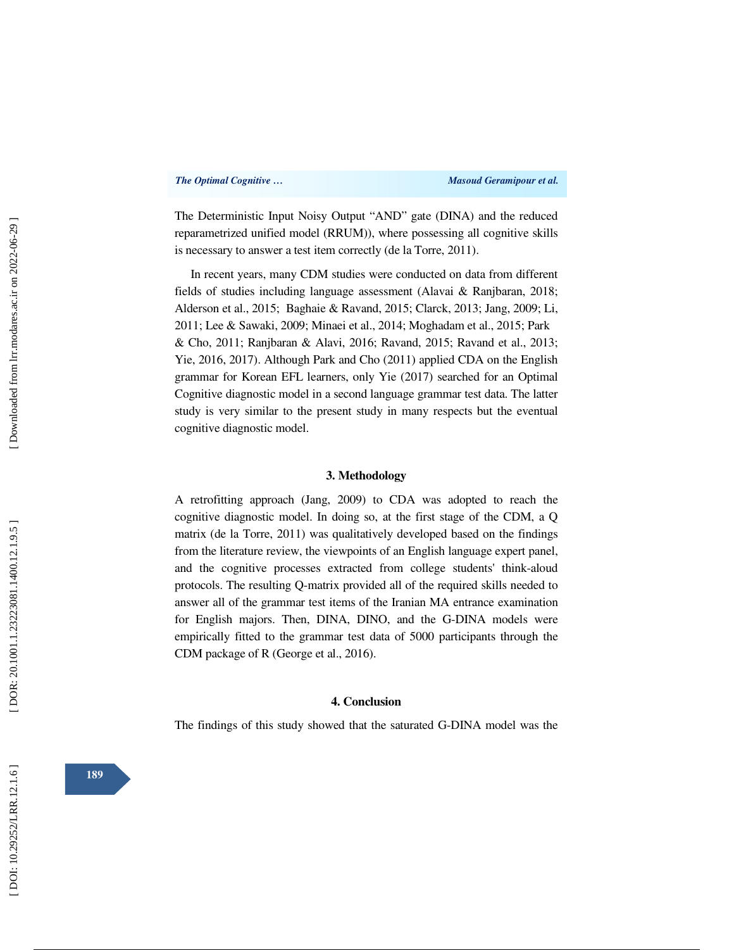The Deterministic Input Noisy Output "AND" gate (DINA) and the reduced reparametrized unified model (RRUM)), where possessing all cognitive skills is necessary to answer a test item correctly (de la Torre, 2011).

In recent years, many CDM studies were conducted on data from different fields of studies including language assessment (Alavai & Ranjbaran, 2018; Alderson et al., 2015; Baghaie & Ravand, 2015; Clarck, 2013; Jang, 2009; Li, 2011; Lee & Sawaki, 2009; Minaei et al., 2014; Moghadam et al., 2015; Park & Cho, 2011; Ranjbaran & Alavi, 2016; Ravand, 2015; Ravand et al., 2013; Yie, 2016, 2017). Although Park and Cho (2011) applied CDA on the English grammar for Korean EFL learners, only Yie (2017) searched for an Optimal Cognitive diagnostic model in a second language grammar test data. The latter study is very similar to the present study in many respects but the eventual cognitive diagnostic model.

### **3. Methodology**

A retrofitting approach (Jang, 2009) to CDA was adopted to reach the cognitive diagnostic model. In doing so, at the first stage of the CDM, a Q matrix (de la Torre, 2011) was qualitatively developed based on the findings from the literature review, the viewpoints of an English language expert panel, and the cognitive processes extracted from college students' think-aloud protocols. The resulting Q-matrix provided all of the required skills needed to answer all of the grammar test items of the Iranian MA entrance examination for English majors. Then, DINA, DINO, and the G-DINA models were empirically fitted to the grammar test data of 5000 participants through the CDM package of R (George et al., 2016).

#### **4. Conclusion**

The findings of this study showed that the saturated G-DINA model was the

**189**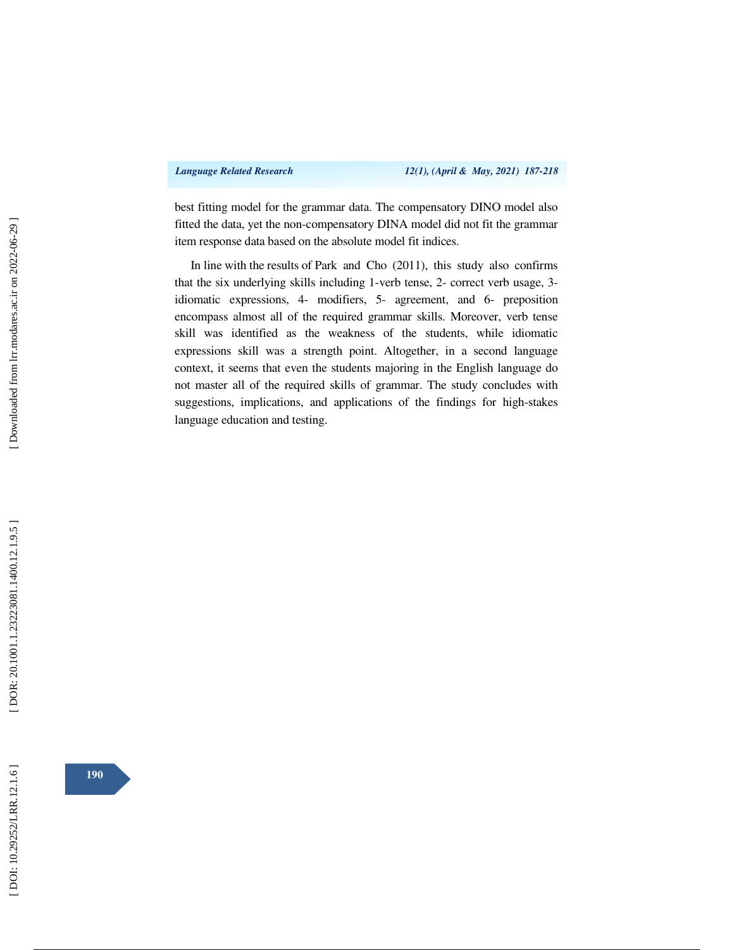best fitting model for the grammar data. The compensatory DINO model also fitted the data, yet the non-compensatory DINA model did not fit the grammar item response data based on the absolute model fit indices.

In line with the results of Park and Cho (2011), this study also confirms that the six underlying skills including 1-verb tense, 2- correct verb usage, 3 idiomatic expressions, 4- modifiers, 5- agreement, and 6- preposition encompass almost all of the required grammar skills. Moreover, verb tense skill was identified as the weakness of the students, while idiomatic expressions skill was a strength point. Altogether, in a second language context, it seems that even the students majoring in the English language do not master all of the required skills of grammar. The study concludes with suggestions, implications, and applications of the findings for high-stakes language education and testing.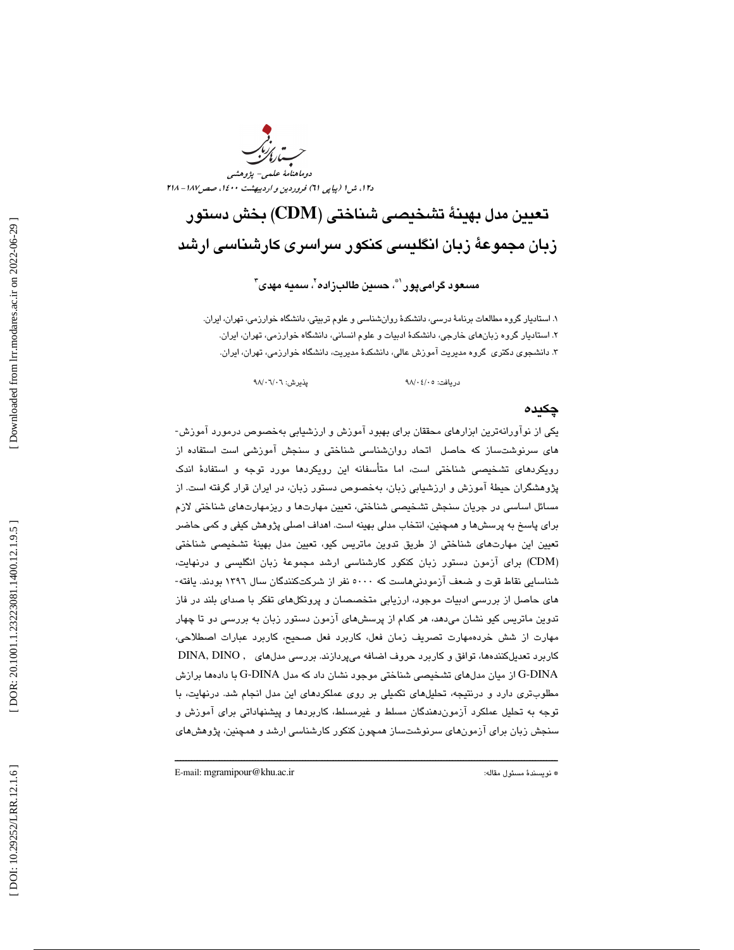دوماهنامة علمي- پژوهشي د،12 ش 1 (پياپي ) 61 فروردين و ارديبهشت ،1400 صص187 - 218

# تعيين مدل بهينة تشخيصي شناختي (CDM) بخش دستور زبان مجموعهٔ زبان انگلیسی كنكور سراسری كارشناسی ارشد

مسعود گرامیپور <sup>(\*</sup>، حسين طالبزاده <sup>۲</sup>، سميه مهدی *"* 

1. استاديار گروه مطالعات برنامة درسي، دانشكدة روانشناسي و علوم تربيتي، دانشگاه خوارزمي، تهران، ايران. 2. استاديار گروه زبانهاي خارجي، دانشكدة ادبيات و علوم انساني، دانشگاه خوارزمي، تهران، ايران. 3. دانشجوي دكتري گروه مديريت آموزش عالي، دانشكدة مديريت، دانشگاه خوارزمي، تهران، ايران.

دريافت: 05/ 04/ 98 پذيرش: 06/ 06/ 98

### چكيده

يكي از نوآورانهترين ابزارهاي محققان براي بهبود آموزش و ارزشيابي بهخصوص درمورد آموزش-هاي سرنوشتساز كه حاصل اتحاد روانشناسي شناختي و سنجش آموزشي است استفاده از رويكردهاي تشخيصي شناختي است، اما متأسفانه اين رويكردها مورد توجه و استفادة اندك پژوهشگران حيطة آموزش و ارزشيابي زبان، بهخصوص دستور زبان، در ايران قرار گرفته است. از مسائل اساسی در جریان سنجش تشخیصی شناختی، تعیین مهارتها و ریزمهارتهای شناختی لازم برای پاسخ به پرسشها و همچنین، انتخاب مدلی بهینه است. اهداف اصلی پژوهش کیفی و کمی حاضر تعيين اين مهارتهاي شناختي از طريق تدوين ماتريس كيو، تعيين مدل بهينهٔ تشخيصي شناختي (CDM) برای آزمون دستور زبان کنکور کارشناسی ارشد مجموعهٔ زبان انگلیسی و درنهایت، شناسايي نقاط قوت و ضعف آزمودني هاست كه ٥٠٠٠ نفر از شركتكنندگان سال ١٣٩٦ بودند. يافته-هاي حاصل از بررسي ادبيات موجود، ارزيابي متخصصان و پروتكلهاي تفكر با صداي بلند در فاز تدوین ماتریس کیو نشان میدهد، هر کدام از پرسشهای آزمون دستور زبان به بررسی دو تا چهار مهارت از شش خردهمهارت تصريف زمان فعل، كاربرد فعل صحيح، كاربرد عبارات اصطلاحي، كاربرد تعديل كنندهها، توافق و كاربرد حروف اضافه ميپردازند. بررسي مدلهاي , DINA, DINO DINA-G از ميان مدلهاي تشخيصي شناختي موجود نشان داد كه مدل DINA-G با دادهها برازش مطلوبتري دارد و درنتيجه، تحليلهاي تكميلي بر روي عملكردهاي اين مدل انجام شد . درنهايت، با توجه به تحليل عملكرد آزموندهندگان مسلط و غيرمسلط، كاربردها و پيشنهاداتي براي آموزش و سنجش زبان براي آزمونهاي سرنوشتساز همچون كنكور كارشناسي ارشد و همچنين، پژوهشهاي

ــــــــــــــــــــــــــــــــــــــــــــــــــــــــــــــــــــــــــــــــــــــــــــــــــــــــــــــــــــــــــــــــــــــــــ

E-mail: mgramipour@khu.ac.ir :مقاله مسئول نويسندة\*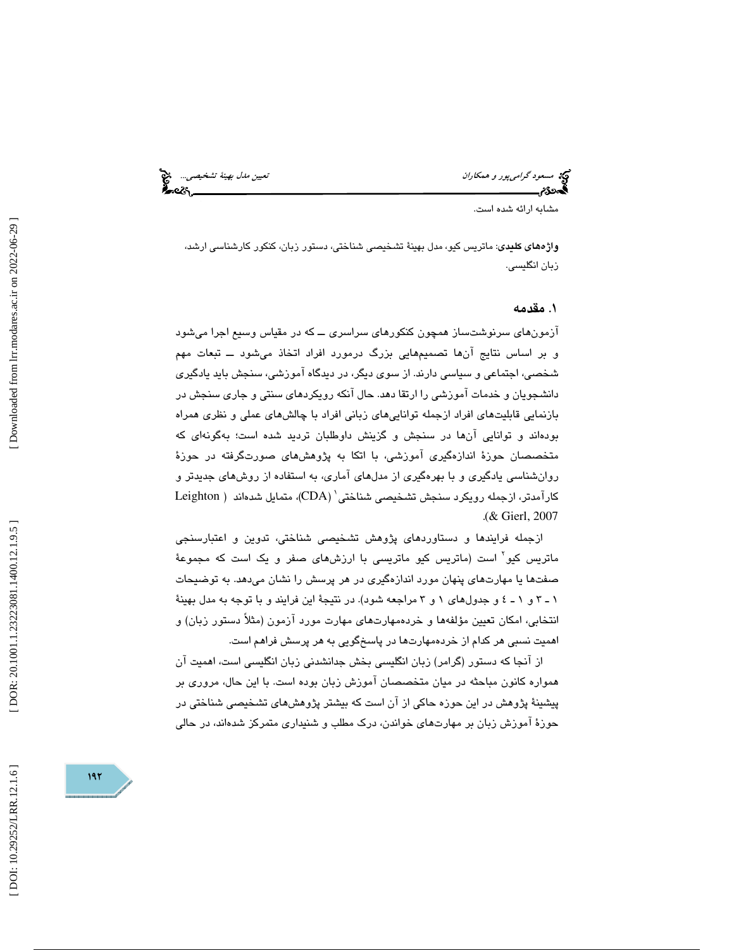مسعود گراميپور و همكاران نييتع مدل به ةني تشخ صي ي ...

مشابه ارائه شده است.

واژههاي كليدي: ماتريس كيو، مدل بهينة تشخيصي شناختي، دستور زبان، كنكور كارشناسي ارشد، زبان انگليسي.

#### . 1 مقدمه

آزمونهای سرنوشتساز همچون كنكورهای سراسری ـــ كه در مقیاس وسیع اجرا میشود و بر اساس نتايج آنها تصميمهايي بزرگ درمورد افراد اتخاذ ميشود ــ تبعات مهم شخصي، اجتماعي و سياسي دارند. از سوي ديگر، در ديدگاه آموزشي، سنجش بايد يادگيري دانشجويان و خدمات آموزشي را ارتقا دهد. حال آنكه رويكردهاي سنتي و جاري سنجش در بازنمايي قابليتهاي افراد ازجمله تواناييهاي زباني افراد با چالشهاي عملي و نظري همراه بودهاند و توانايي آنها در سنجش و گزينش داوطلبان ترديد شده است؛ بهگونهاي كه متخصصان حوزة اندازهگيري آموزشي، با اتكا به پژوهشهاي صورتگرفته در حوزة روانشناسي يادگيري و با بهرهگيري از مدلهاي آماري، به استفاده از روشهاي جديدتر و كارآمدتر، ازجمله رويكرد سنجش تشخيصى شناختى` (CDA)، متمايل شدهاند ( Leighton . (& Gierl, 2007

ازجمله فرايندها و دستاوردهای پژوهش تشخيصی شناختی، تدوين و اعتبارسنجی ماتريس كيو<sup>۲</sup> است (ماتريس كيو ماتريسى با ارزشهاى صفر و يک است که مجموعهٔ صفتها يا مهارتهاي پنهان مورد اندازهگيري در هر پرسش را نشان ميدهد. به توضيحات ۱ ـ ۳ و ۱ ـ ٤ و جدولهاى ۱ و ۳ مراجعه شود). در نتيجهٔ اين فرايند و با توجه به مدل بهينهٔ انتخابي، امكان تعيين مؤلفهها و خردهمهارتهاي مهارت مورد آزمون (مثلاً دستور زبان) و اهميت نسبي هر كدام از خردهمهارتها در پاسخگويي به هر پرسش فراهم است.

از آنجا كه دستور (گرامر) زبان انگلیسی بخش جدانشدنی زبان انگلیسی است، اهمیت آن همواره كانون مباحثه در ميان متخصصان آموزش زبان بوده است. با اين حال، مروري بر پيشينة پژوهش در اين حوزه حاكي از آن است كه بيشتر پژوهشهاي تشخيصي شناختي در حوزهٔ آموزش زبان بر مهارتهای خواندن، درک مطلب و شنیداری متمرکز شدهاند، در حالی

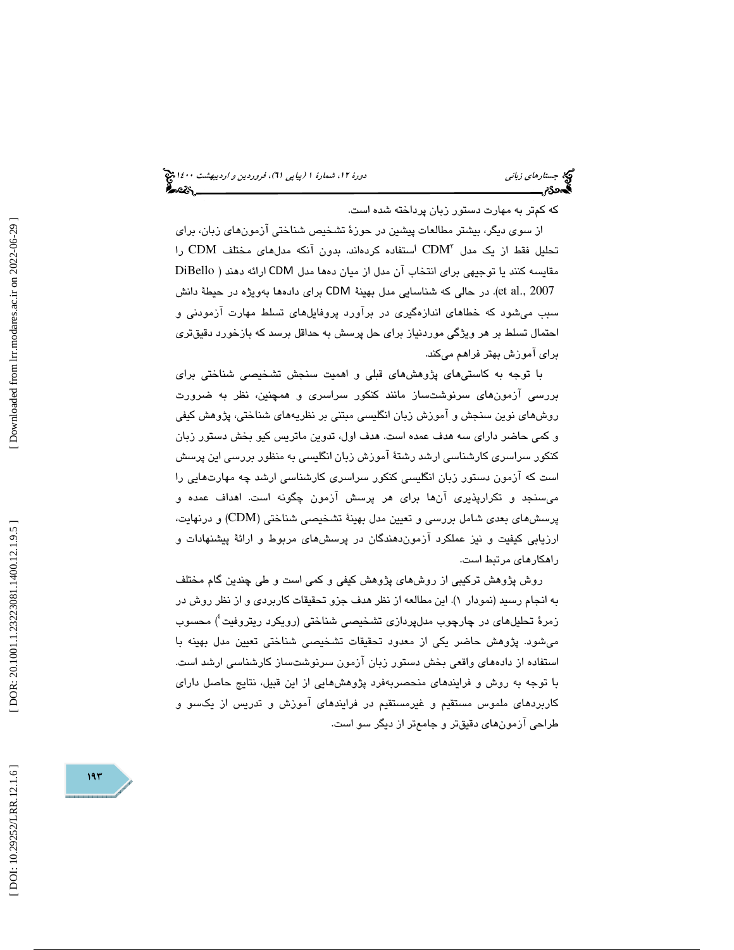جستار*هاي زباني هي المرديبهشت 1400 ه*ورو 11، شمارة 1 (پياپي 71)، فر*وردين و ارديبهشت 14*00 هج

كه كمتر به مهارت دستور زبان پرداخته شده است.

از سوی ديگر، بيشتر مطالعات پيشين در حوزهٔ تشخيص شناختي آزمونهاي زبان، براي تحليل فقط از يک مدل "CDM استفاده كردهاند، بدون آنكه مدلهای مختلف CDM را مقايسه كنند يا توجيهي براي انتخاب آن مدل از ميان دهها مدل CDM ارائه دهند ( DiBello et al., 2007). در حالي كه شناسايي مدل بهينة CDM براي دادهها بهويژه در حيطة دانش سبب میشود که خطاهای اندازهگیری در برآورد پروفایلهای تسلط مهارت آزمودنی و احتمال تسلط بر هر ویژگی موردنیاز برای حل پرسش به حداقل برسد كه بازخورد دقیقتری برای آموزش بهتر فراهم میکند.

با توجه به كاستيهاي پژوهشهاي قبلي و اهميت سنجش تشخيصي شناختي براي بررسي آزمونهاي سرنوشتساز مانند كنكور سراسري و همچنين، نظر به ضرورت روشهاي نوين سنجش و آموزش زبان انگليسي مبتني بر نظريههاي شناختي، پژوهش كيفي و كمي حاضر داراي سه هدف عمده است. هدف اول، تدوين ماتريس كيو بخش دستور زبان كنكور سراسري كارشناسي ارشد رشتة آموزش زبان انگليسي به منظور بررسي اين پرسش است كه آزمون دستور زبان انگلیسی كنكور سراسری كارشناسی ارشد چه مهارتهایی را ميسنجد و تكرارپذيري آنها براي هر پرسش آزمون چگونه است. اهداف عمده و پرسشهای بعدی شامل بررسی و تعیین مدل بهینهٔ تشخیصی شناختی (CDM) و درنهایت، ارزيابي كيفيت و نيز عملكرد آزموندهندگان در پرسشهاي مربوط و ارائة پيشنهادات و راهكارهاي مرتبط است.

روش پژوهش تركيبي از روش،اى پژوهش كيفي و كمي است و طي چندين گام مختلف به انجام رسید (نمودار ۱). این مطالعه از نظر هدف جزو تحقیقات كاربردي و از نظر روش در زمرهٔ تحلیلهای در چارچوب مدلپردازی تشخیصی شناختی (رویکرد ریتروفیت ٔ) محسوب ميشود. پژوهش حاضر يكي از معدود تحقيقات تشخيصي شناختي تعيين مدل بهينه با استفاده از دادههاي واقعي بخش دستور زبان آزمون سرنوشتساز كارشناسي ارشد است. با توجه به روش و فرايندهاي منحصربهفرد پژوهشهايي از اين قبيل، نتايج حاصل داراي کاربردهای ملموس مستقیم و غیرمستقیم در فرایندهای آموزش و تدریس از یکسو و طراحی آزمونهای دقیقتر و جامعتر از دیگر سو است.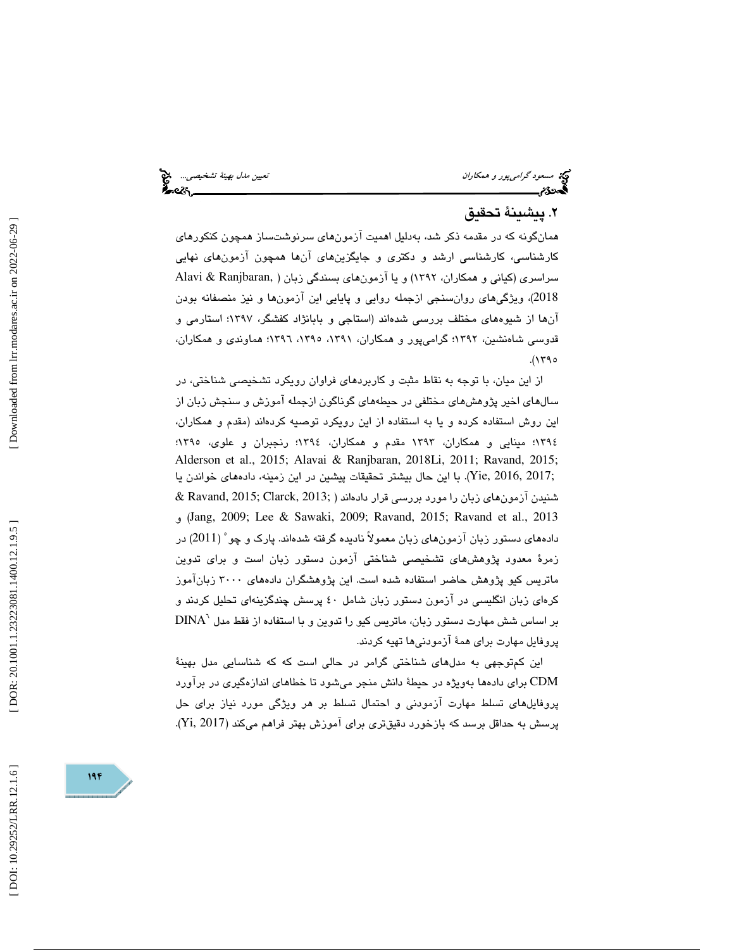مسعود گراميپور و همكاران نييتع مدل به ةني تشخ صي ي ...

### . پيشينة تحقيق 2

همانگونه كه در مقدمه ذكر شد، بهدليل اهميت آزمونهاي سرنوشتساز همچون كنكورهاي كارشناسي، كارشناسي ارشد و دكتري و جايگزينهاي آنها همچون آزمونهاي نهايي سراسري (كياني و همكاران، 1392) و يا آزمونهاي بسندگي زبان ( ,Ranjbaran & Alavi 2018)، ويژگيهاي روانسنجي ازجمله روايي و پايايي اين آزمونها و نيز منصفانه بودن آنها از شیوههای مختلف بررسی شدهاند (استاجی و بابانژاد کفشگر، ۱۳۹۷؛ استارمی و قدوسي شاهنشين، ۱۳۹۲؛ گرامي $\mu$ ر و همكاران، ۱۳۹۱، ۱۳۹۰، ۲۹۹۲؛ هماوندي و همكاران، ۱۳۹۰).

از اين ميان، با توجه به نقاط مثبت و كاربردهاى فراوان رويكرد تشخيصى شناختى، در سال های اخیر پژوهش های مختلفی در حیطههای گوناگون ازجمله آموزش و سنجش زبان از اين روش استفاده كرده و يا به استفاده از اين رويكرد توصيه كردهاند (مقدم و همكاران، ١٣٩٤؛ مينايي و همكاران، ١٣٩٣ مقدم و همكاران، ١٣٩٤؛ رنجبران و علوى، ١٣٩٥؛ Alderson et al., 2015; Alavai & Ranjbaran, 2018Li, 2011; Ravand, 2015; ;2016, 2017). با اين حال بيشتر تحقيقات پيشين در اين زمينه، دادههاي خواندن يا شنيدن آزمون هاي زبان را مورد بررسي قرار دادهاند ( Ravand, 2015; Clarck, 2013; & (و Jang, 2009; Lee & Sawaki, 2009; Ravand, 2015; Ravand et al., 2013 دادههای دستور زبان آزمونهای زبان معمولاً نادیده گرفته شدهاند. پارک و چو $(2011)$  در زمرهٔ معدود پژوهش،ای تشخیصی شناختی آزمون دستور زبان است و برای تدوین ماتريس كيو پژوهش حاضر استفاده شده است. اين پژوهشگران دادههای ۳۰۰۰ زبانآموز كرهاي زبان انگليسي در آزمون دستور زبان شامل ٤٠ پرسش چندگزينهاي تحليل كردند و  $\mathrm{DINA}^{\chi}$  بر اساس شش مهارت دستور زبان، ماتریس کیو را تدوین و با استفاده از فقط مدل پروفایل مهارت برای همهٔ آزمودنیها تهیه کردند.

اين كمتوجهي به مدلهای شناختی گرامر در حالی است كه كه شناسايی مدل بهينهٔ CDM برای دادهها بهویژه در حیطهٔ دانش منجر میشود تا خطاهای اندازهگیری در برآورد پروفایلهای تسلط مهارت آزمودنی و احتمال تسلط بر هر ویژگی مورد نیاز برای حل پرسش به حداقل برسد كه بازخورد دقیقتری برای آموزش بهتر فراهم میكند (Yi, 2017).

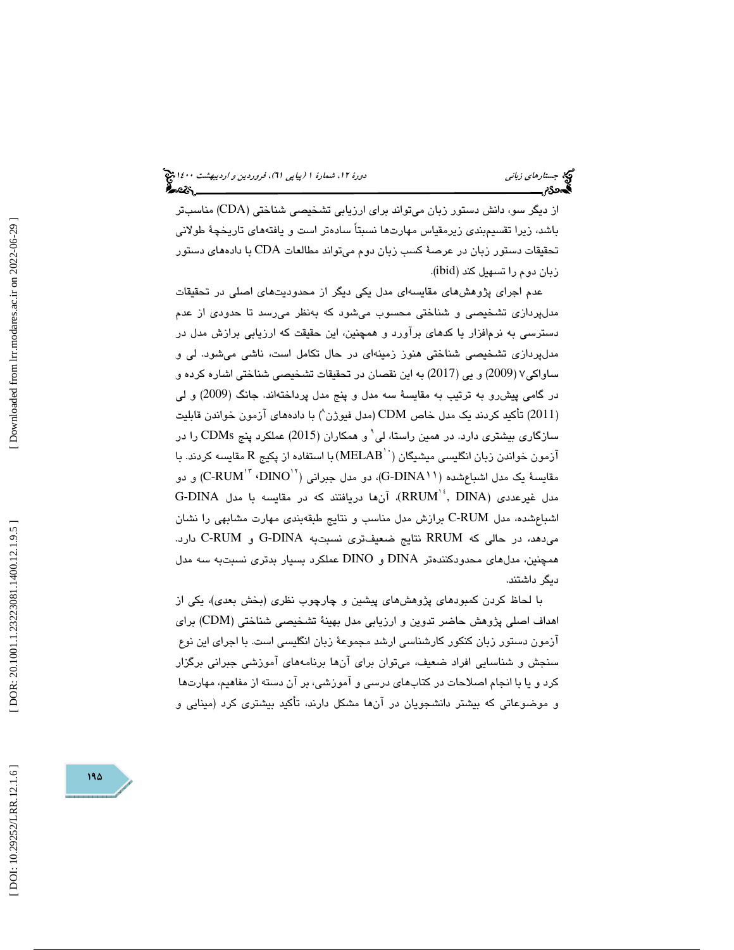از ديگر سو، دانش دستور زبان ميتواند براي ارزيابي تشخيصي شناختي (CDA) مناسبتر باشد، زيرا تقسيمبندي زيرمقياس مهارتها نسبتاً سادهتر است و يافتههاي تاريخچهٔ طولاني تحقيقات دستور زبان در عرصهٔ كسب زبان دوم ميتواند مطالعات CDA با دادههای دستور زبان دوم را تسهيل كند (ibid).

عدم اجرای پژوهشهای مقایسهای مدل یکی دیگر از محدودیتهای اصلی در تحقیقات مدلپردازی تشخیصی و شناختی محسوب میشود که بهنظر میرسد تا حدودی از عدم دسترسی به نرمافزار یا کدهای برآورد و همچنین، این حقیقت که ارزیابی برازش مدل در مدلپردازی تشخیصی شناختی هنوز زمینهای در حال تکامل است، ناشی میشود. لی و ساواكي٧ (2009) و يي (2017) به اين نقصان در تحقيقات تشخيصي شناختي اشاره كرده و در گامی پیش رو به ترتیب به مقایسهٔ سه مدل و پنج مدل پرداختهاند. جانگ (2009) و لی (2011) تأكيد كردند يک مدل خاص CDM (مدل فيوژن^) با دادههای آزمون خواندن قابليت سازگاری بیشتری دارد. در همین راستا، لی<sup>۰</sup> و همکاران (2015) عملکرد پنج CDMs را در آزمون خواندن زبان انگليسي ميشيگان (MELAB ّ ) با استفاده از پكيج R مقايسه كردند. با مقايسة يک مدل اشباع شده (G-DINA 1 )، دو مدل جبراني (``C-RUM'' ،'DINO) و دو G-DINA مدل غیرعددی  $\mathrm{RRUM}^{\mathrm{t}} ,\ \mathrm{DINA}$ )، آنها دریافتند كه در مقایسه با مدل اشباعشده، مدل C-RUM برازش مدل مناسب و نتايج طبقهبندي مهارت مشابهي را نشان میدهد، در حالی که RRUM نتايج ضعيفتری نسبتبه G-DINA و C-RUM دارد. همچنین، مدلهای محدودکنندهتر DINA و DINO عملکرد بسیار بدتری نسبتبه سه مدل يد گر داشتند .

با لحاظ كردن كمبودهاي پژوهشهاي پيشين و چارچوب نظري (بخش بعدي)، يكي از اهداف اصلي پژوهش حاضر تدوين و ارزيابي مدل بهينهٔ تشخيصي شناختي (CDM) براي آزمون دستور زبان كنكور كارشناسي ارشد مجموعة زبان انگليسي است. با اجراي اين نوع سنجش و شناسايي افراد ضعيف، ميتوان براي آنها برنامههاي آموزشي جبراني برگزار کرد و یا با انجام اصلاحات در کتابهای درسی و آموزشی، بر آن دسته از مفاهیم، مهارتها و موضوعاتي كه بيشتر دانشجويان در آنها مشكل دارند، تأكيد بيشتري كرد (مينايي و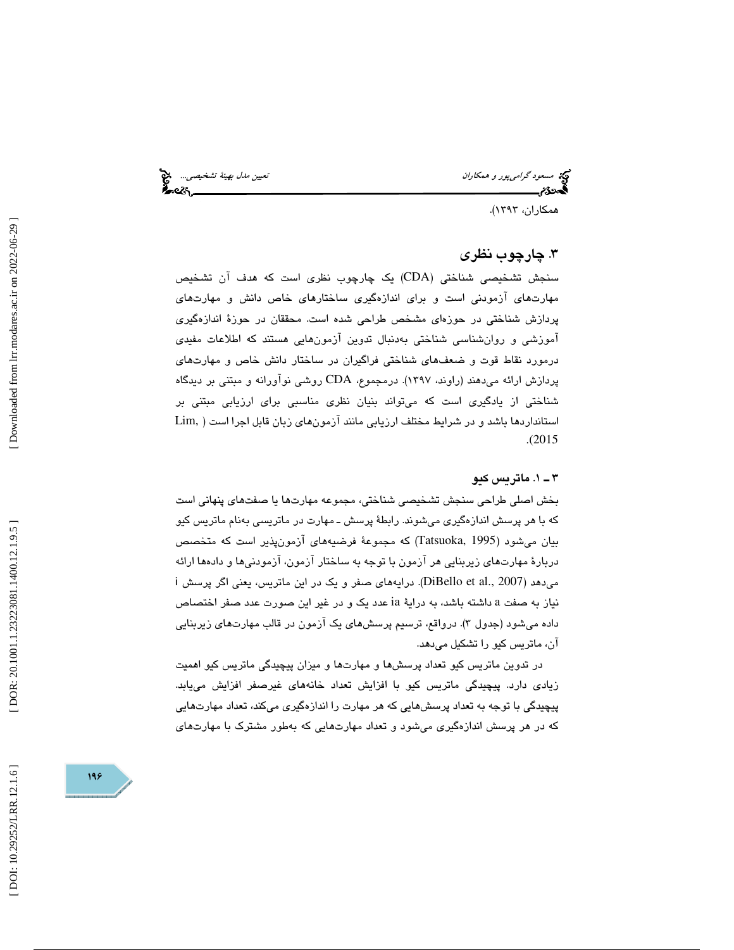مسعود گراميپور و همكاران نييتع مدل به ةني تشخ صي ي ...

همكاران، ١٣٩٣).

### . 3 چارچوب نظري

سنجش تشخيصی شناختی (CDA) یک چارچوب نظری است که هدف آن تشخیص مهارتهای آزمودنی است و برای اندازهگیری ساختارهای خاص دانش و مهارتهای پردازش شناختی در حوزهای مشخص طراحی شده است. محققان در حوزهٔ اندازهگیری آموزشي و روانشناسي شناختي بەدنبال تدوين آزمون،هايي هستند كه اطلاعات مفيدي درمورد نقاط قوت و ضعف\$ای شناختی فراگیران در ساختار دانش خاص و مهارتهای پردازش ارائه میدهند (راوند، ۱۳۹۷). درمجموع، CDA روشی نوآورانه و مبتنی بر دیدگاه شناختی از یادگیری است که میتواند بنیان نظری مناسبی برای ارزیابی مبتنی بر استانداردها باشد و در شرايط مختلف ارزيابي مانند آزمون هاي زبان قابل اجرا است ( Lim, .( 2015

### ۳ ــ ۱. ماتريس كيو

بخش اصلي طراحي سنجش تشخيصي شناختي، مجموعه مهارتها يا صفتهاي پنهاني است كه با هر پرسش اندازهگيری میشوند. رابطهٔ پرسش ـ مهارت در ماتريسي بهنام ماتريس كيو بيان ميشود (1995 ,Tatsuoka) كه مجموعهٔ فرضيههای آزمونپذير است كه متخصص دربارهٔ مهارتهای زیربنایی هر آزمون با توجه به ساختار آزمون، آزمودنیها و دادهها ارائه<br>میدهد (DiBello et al., 2007). درایههای صفر و یک در این ماتریس، یعنی اگر پرسش i داشته باشد، به دراية ia عدد يك و در غير اين صورت عدد صفر اختصاص نياز به صفت a داده ميشود (جدول ۳). درواقع، ترسيم پرسشهاي يک آزمون در قالب مهارتهاي زيربنايي آن، ماتريس كيو را تشكيل ميدهد.

در تدوین ماتریس کیو تعداد پرسشها و مهارتها و میزان پیچیدگی ماتریس کیو اهمیت زیادی دارد. پیچیدگی ماتریس کیو با افزایش تعداد خانههای غیرصفر افزایش می،ابد. پیچیدگی با توجه به تعداد پرسشهایی که هر مهارت را اندازهگیری میکند، تعداد مهارتهایی كه در هر پرسش اندازهگیری میشود و تعداد مهارتهایی كه بهطور مشترک با مهارتهای

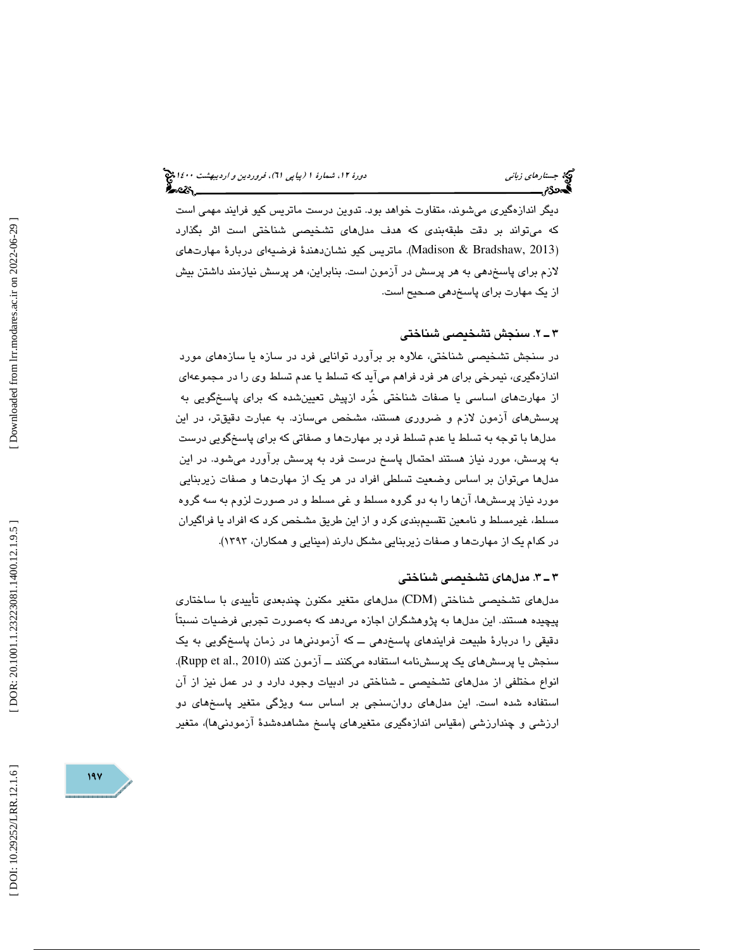ديگر اندازهگيری میشوند، متفاوت خواهد بود. تدوين درست ماتريس کيو فرايند مهمی است كه میتواند بر دقت طبقهبندی كه هدف مدلهای تشخیصی شناختی است اثر بگذارد (Madison & Bradshaw, 2013). ماتريس كيو نشاندهندهٔ فرضيهاي دربارهٔ مهارتهاي لازم برای پاسخدهی به هر پرسش در آزمون است. بنابراین، هر پرسش نیازمند داشتن بیش از يك مهارت براي پاسخدهي صحيح است.

### 2ـ 3 . سنجش تشخيصي شناختي

در سنجش تشخيصی شناختی، علاوه بر برآورد توانايی فرد در سازه يا سازههای مورد اندازهگيري، نيمرخي براي هر فرد فراهم ميآيد كه تسلط يا عدم تسلط وي را در مجموعهاي از مهارتهاي اساسي يا صفات شناختي خُرد ازپيش تعيينشده كه براي پاسخگويي به پرسشهای آزمون لازم و ضروری هستند، مشخص میسازد. به عبارت دقیقتر، در این مدلها با توجه به تسلط يا عدم تسلط فرد بر مهارتها و صفاتی که برای پاسخگویی درست به پرسش، مورد نياز هستند احتمال پاسخ درست فرد به پرسش برآورد ميشود. در اين مدلها میتوان بر اساس وضعیت تسلطی افراد در هر یک از مهارتها و صفات زیربنایی مورد نياز پرسشها، آنها را به دو گروه مسلط و غي مسلط و در صورت لزوم به سه گروه مسلط، غیرمسلط و نامعین تقسیمبندی کرد و از این طریق مشخص کرد که افراد یا فراگیران در كدام يک از مهارتها و صفات زيربنايي مشكل دارند (مينايي و همكاران، ۱۳۹۳).

### 3ـ 3 . مدلهاي تشخيصي شناختي

مدلهاي تشخيصي شناختي (CDM) مدلهاي متغير مكنون چندبعدي تأييدي با ساختاري پيچيده هستند. اين مدلها به پژوهشگران اجازه ميدهد كه بهصورت تجربي فرضيات نسبتاً دقيقي را دربار ة طبيعت فرايندهاي پاسخدهي ــ كه آزمودنيها در زمان پاسخگويي به يك سنجش يا پرسش های يک پرسشنامه استفاده میکنند ـــ آزمون کنند (Rupp et al., 2010). انواع مختلفي از مدلهاي تشخيصي ـ شناختي در ادبيات وجود دارد و در عمل نيز از آن استفاده شده است. اين مدلهای روانسنجی بر اساس سه ويژگی متغير پاسخهای دو ارزشی و چندارزشی (مقیاس اندازهگیری متغیرهای پاسخ مشاهدهشدهٔ آزمودنیها)، متغیر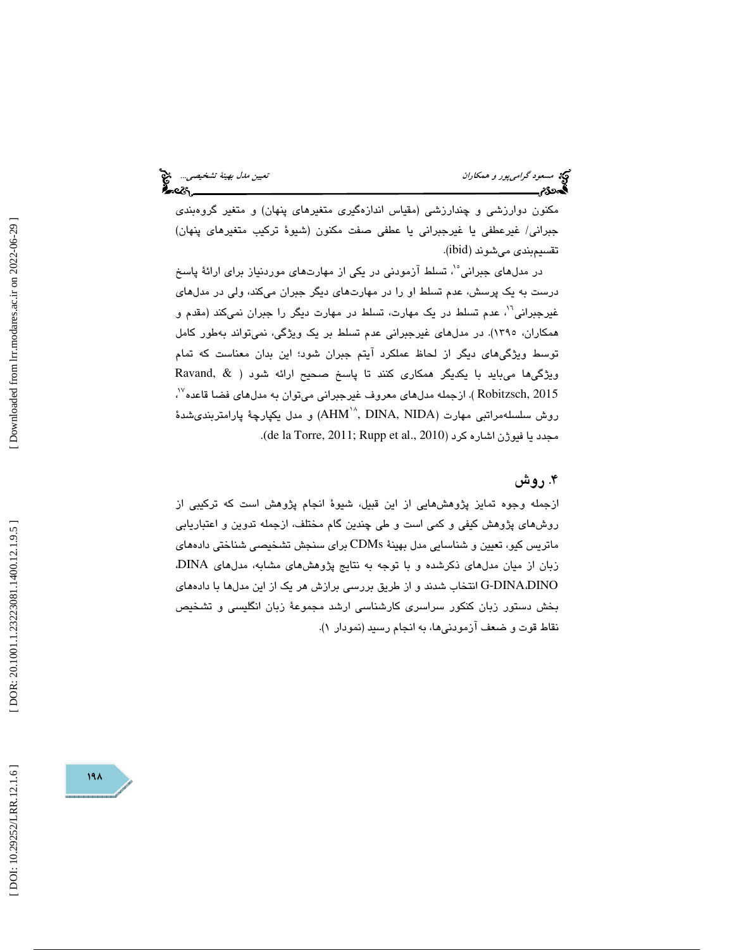مکنون دوارزشی و چندارزشی (مقیاس اندازهگیری متغیرهای پنهان) و متغیر گروهبندی جبراني/ غيرعطفي يا غيرجبراني يا عطفي صفت مكنون (شيوهٔ تركيب متغيرهاي پنهان) تقسيمبندي ميشوند (ibid).

در مدلهای جبرانی°`، تسلط آزمودنی در یکی از مهارتهای موردنیاز برای ارائهٔ پاسخ پرسش، عدم تسلط او را در مهارتهای دیگر جبران میکند، ولی در مدلهای درست به یک پرسش، عدم تسلط او را در مهارتهای دیگر جبران میکند، ولی در مدلهای<br>غیرجبرانی<sup>۱</sup>'، عدم تسلط در یک مهارت، تسلط در مهارت دیگر را جبران نمیکند (مقدم و همکاران، ۱۳۹۰). در مدلهای غیرجبرانی عدم تسلط بر یک ویژگی، نمیتواند بهطور کامل توسط ويژگىهاى ديگر از لحاظ عملكرد آيتم جبران شود؛ اين بدان معناست كه تمام ویژگیها میباید با یکدیگر همکاری کنند تا پاسخ صحیح ارائه شود (  $\&$  ,Ravand Robitzsch, 2015 ). ازجمله مدلهاي معروف غيرجبراني ميتوان به مدلهاي فضا قاعده<sup>٧٧</sup>، نوش سلسلهمراتبی مهارت (AHM'<sup>^</sup>, DINA, NIDA) و مدل يكپارچهٔ پارامتربندى شدهٔ  $($ de la Torre, 2011; Rupp et al., 2010).

### ۴. روش

ازجمله وجوه تمایز پژوهش،ایی از این قبیل، شیوهٔ انجام پژوهش است كه تركیبی از روشهای پژوهش كيفي و كمي است و طي چندين گام مختلف، ازجمله تدوين و اعتباريابي ماتريس كيو، تعيين و شناسايي مدل بهينة CDMs براي سنجش تشخيصي شناختي دادههاي زبان از میان مدلهای ذکرشده و با توجه به نتايج پژوهشهای مشابه، مدلهای DINA، DINA-G انتخاب شدند و از طريق بررسي برازش هر يك از اين مدلها با دادههاي ،DINO بخش دستور زبان كنكور سراسرى كارشناسى ارشد مجموعهٔ زبان انگليسى و تشخيص نقاط قوت و ضعف آزمودنيها، به انجام رسيد (نمودار )1.

[Downloaded from lrr.modares.ac.ir on 2022-06-29]

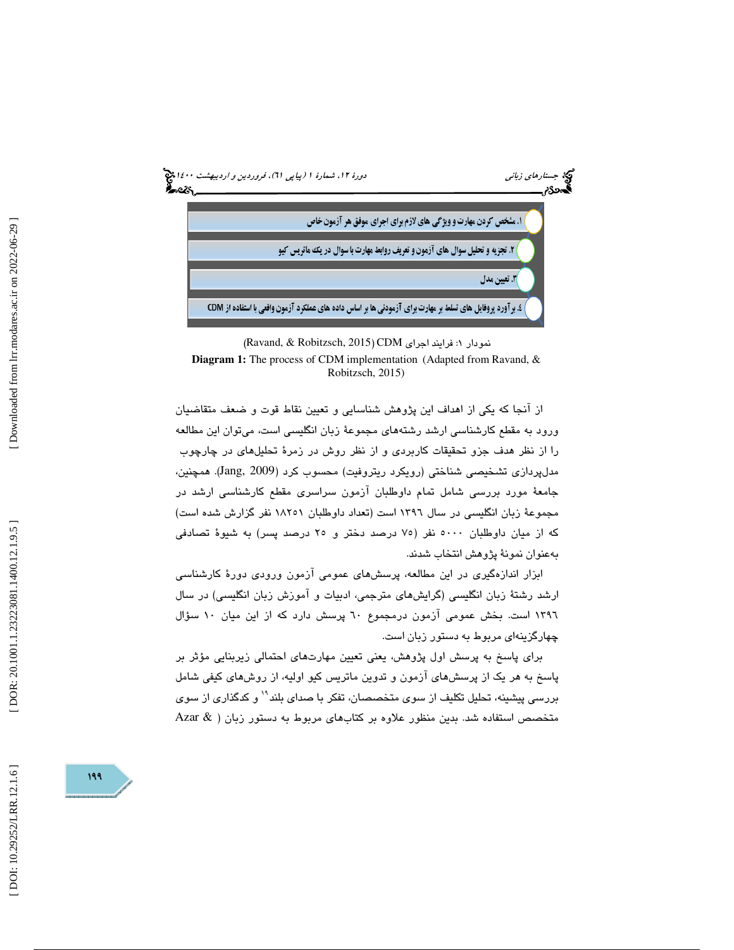

<sup>(</sup>Ravand, & Robitzsch, 2015 ) CDM نمودار : 1 فرايند اجراي

**Diagram 1:** The process of CDM implementation (Adapted from Ravand, & Robitzsch, 2015)

از آنجا كه يكي از اهداف اين پژوهش شناسايي و تعيين نقاط قوت و ضعف متقاضيان ورود به مقطع كارشناسي ارشد رشتههاي مجموعهٔ زبان انگليسي است، ميتوان اين مطالعه را از نظر هدف جزو تحقيقات كاربردى و از نظر روش در زمرهٔ تحليلهاى در چارچوب مدلپردازی تشخیصی شناختی (رویکرد ریتروفیت) محسوب کرد (Jang, 2009). همچنین، جامعهٔ مورد بررسی شامل تمام داوطلبان آزمون سراسری مقطع کارشناسی ارشد در مجموعهٔ زبان انگلیسی در سال ۱۳۹۲ است (تعداد داوطلبان ۱۸۲۰۱ نفر گزارش شده است) كه از ميان داوطلبان ٥٠٠٠ نفر (٧٥ درصد دختر و ٢٥ درصد پسر) به شيوهٔ تصادفي بهعنوان نمونة پژوهش انتخاب شدند.

ابزار اندازهگيري در اين مطالعه، پرسشهاي عمومي آزمون ورودي دورة كارشناسي ارشد رشتة زبان انگليسي (گرايشهاي مترجمي، ادبيات و آموزش زبان انگليسي) در سال 1396 است. بخش عمومي آزمون درمجموع 60 پرسش دارد كه از اين ميان 10 سؤال چهارگزينهاي مربوط به دستور زبان است.

برای پاسخ به پرسش اول پژوهش، يعنی تعيين مهارتهای احتمالی زيربنايی مؤثر بر پاسخ به هر يک از پرسشهای آزمون و تدوين ماتريس کيو اوليه، از روشهای کيفي شامل بررسی پیشینه، تحلیل تکلیف از سوی متخصصان، تفکر با صدای بلند<sup>۱۹</sup> و کدگذاری از سوی متخصص استفاده شد. بدین منظور علاوه بر کتابهای مربوط به دستور زبان (  $\&$  Azar

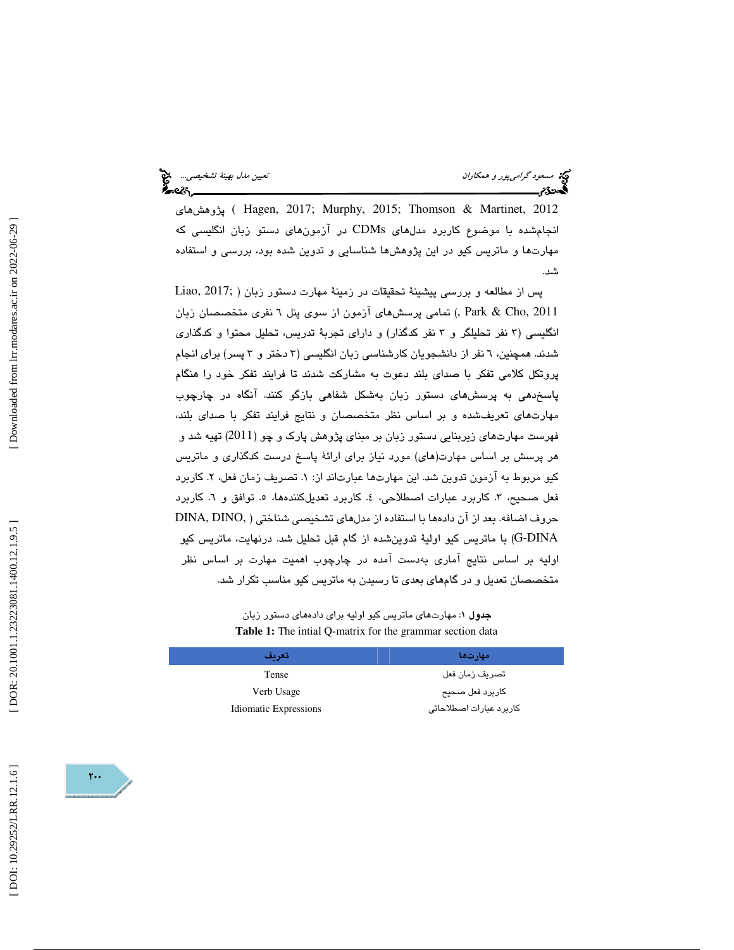يۋوهش های ( Hagen, 2017; Murphy, 2015; Thomson & Martinet, 2012 انجامشده با موضوع كاربرد مدلهاى CDMs در آزمونهاى دستو زبان انگليسى كه مهارتها و ماتريس كيو در اين پژوهشها شناسايي و تدوين شده بود، بررسي و استفاده .شد

پس از مطالعه و بررسي پيشينة تحقيقات در زمينة مهارت دستور زبان ( ;2017 ,Liao ) تمامي پرسشهاي آزمون از سوي پنل 6 نفري متخصصان زبان , Park & Cho, 2011 انگليسي ( 3 نفر تحليلگر و 3 نفر كدگذار) و داراي تجربة تدريس، تحليل محتوا و كدگذاري شدند. همچنين، 6 نفر از دانشجويان كارشناسي زبان انگليسي ( 3 دختر و 3 پسر) براي انجام پروتكل كلامي تفكر با صداي بلند دعوت به مشاركت شدند تا فرايند تفكر خود را هنگام پاسخدهي به پرسشهاي دستور زبان بهشكل شفاهي بازگو كنند. آنگاه در چارچوب مهارتهای تعریفشده و بر اساس نظر متخصصان و نتایج فرایند تفکر با صدای بلند،<br>فهرست مهارتهای زیربنایی دستور زبان بر مبنای پژوهش پارک و چو (2011) تهیه شد و هر پرسش بر اساس مهارت(های) مورد نیاز برای ارائهٔ پاسخ درست کدگذاری و ماتریس كيو مربوط به آزمون تدوين شد. اين مهارتها عبارتاند از: ۱. تصريف زمان فعل، ۲. كاربرد فعل صحيح، ٣. كاربرد عبارات اصطلاحي، ٤. كاربرد تعديلكنندهها، ٥. توافق و ٦. كاربرد حروف اضافه. بعد از آن دادهها با استفاده از مدلهای تشخیصی شناختی ( ,DINA, DINO DINA-G (با ماتريس كيو اولية تدوينشده از گام قبل تحليل شد. درنهايت، ماتريس كيو اوليه بر اساس نتايج آماري بهدست آمده در چارچوب اهميت مهارت بر اساس نظر متخصصان تعديل و در گامهاي بعدي تا رسيدن به ماتريس كيو مناسب تكرار شد.

> جدول 1: مهارتهاي ماتريس كيو اوليه براي دادههاي دستور زبان **Table 1:** The intial Q-matrix for the grammar section data

| تعريف                        | مهارتها                 |
|------------------------------|-------------------------|
| Tense                        | تصريف زمان فعل          |
| Verb Usage                   | كاربرد فعل صحيح         |
| <b>Idiomatic Expressions</b> | كاربرد عبارات اصطلاحاتى |

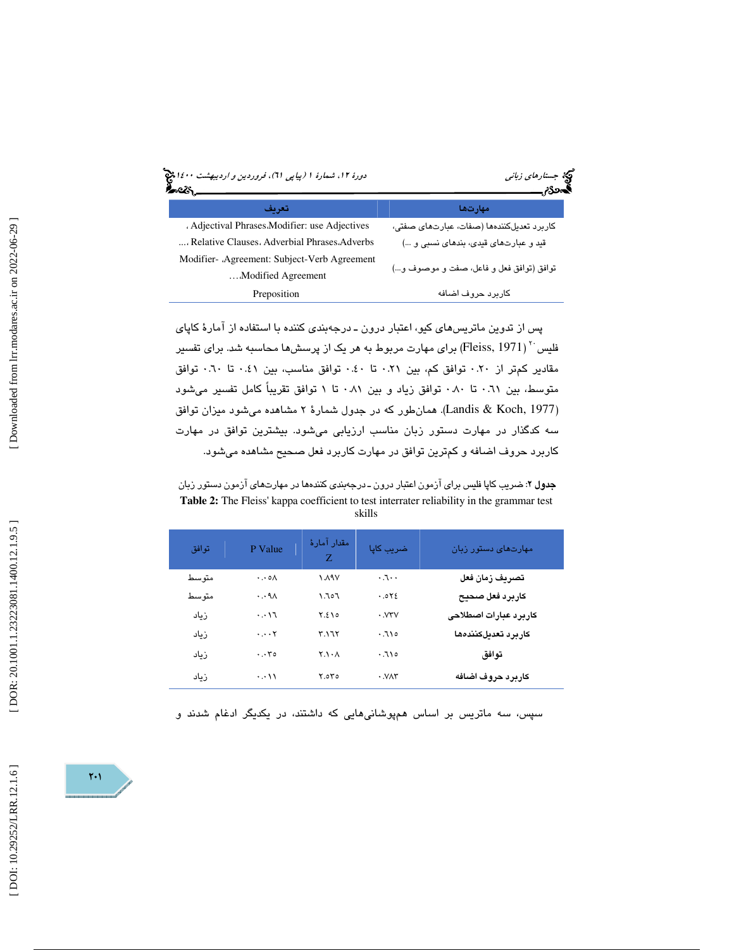| دورهٔ ۱۲، شمارهٔ ۱ (پیاپی ۲۱)، فروردین و <i>ا</i> ردیبهشت ۱٤۰۰ چ | مچکه جست <i>ارهای زبانی</i>               |
|------------------------------------------------------------------|-------------------------------------------|
| تعريف                                                            | مهار تها                                  |
| . Adjectival Phrases Modifier: use Adjectives                    | کاربرد تعدیلکنندهها (صفات، عبارتهای صفتی، |
| , Relative Clauses, Adverbial Phrases, Adverbs                   | قید و عبارتهای قیدی، بندهای نسبی و …)     |
| Modifier- Agreement: Subject-Verb Agreement                      |                                           |
| Modified Agreement                                               | توافق (توافق فعل و فاعل، صفت و موصوف و)   |
| Preposition                                                      | كاربرد حروف اضافه                         |

پس از تدوين ماتريسهاي كيو، اعتبار درون ـ درجهبندي كننده با استفاده از آمارة كاپاي فلیس با ( Fleiss, 1971) برای مهارت مربوط به هر یک از پرسش ها محاسبه شد. برای تفسیر مقادير كمتر از 0.20 توافق كم، بين 0.21 تا 0.40 توافق مناسب، بين 0.41 تا 0.60 توافق متوسط، بين 0.61 تا 0.80 توافق زياد و بين 0.81 تا 1 توافق تقريباً كامل تفسير ميشود (Landis & Koch, 1977). همان طور كه در جدول شمارهٔ ۲ مشاهده می شود میزان توافق سه كدگذار در مهارت دستور زبان مناسب ارزيابي ميشود. بيشترين توافق در مهارت كاربرد حروف اضافه و كمترين توافق در مهارت كاربرد فعل صحيح مشاهده ميشود.

**جدول ۲**: ضریب کاپا فلیس برای آزمون اعتبار درون ـ درجهبندی کنندهها در مهارتهای آزمون دستور زبان **Table 2:** The Fleiss' kappa coefficient to test interrater reliability in the grammar test skills

| توافق | P Value                           | مقدار آمارۂ<br>Z          | ضريب كاپا              | مهارتهای دستور زبان   |
|-------|-----------------------------------|---------------------------|------------------------|-----------------------|
| متوسط | $\cdot \cdot \circ \wedge$        | $\lambda$ ۹۷              | $\cdot$                | تصريف زمان فعل        |
| متوسط | $\cdot \cdot \mathsf{A} \wedge$   | ۶۰۲.۱                     | .072                   | كاربرد فعل صحيح       |
| زياد  | $\cdot \cdot \cdot \cdot \cdot$   | Y.510                     | $\cdot$ . $VYV$        | كاربرد عبارات اصطلاحى |
| زياد  | $\cdots$ $\mathsf{Y}$             | ۳.۱٦٢                     | .710                   | كاربرد تعديلكنندهها   |
| زياد  | $\cdot \cdot \cdot \cdot$ $\circ$ | $Y.\lambda \cdot \Lambda$ | .710                   | توافق                 |
| زىاد  | $\cdots$                          | Y.0Y0                     | $\cdot$ . $V \wedge V$ | كاربرد حروف اضافه     |

سپس، سه ماتريس بر اساس همپوشانيهايي كه داشتند، در يكديگر ادغام شدند و

 $\mathsf{Y}\cdot\mathsf{I}$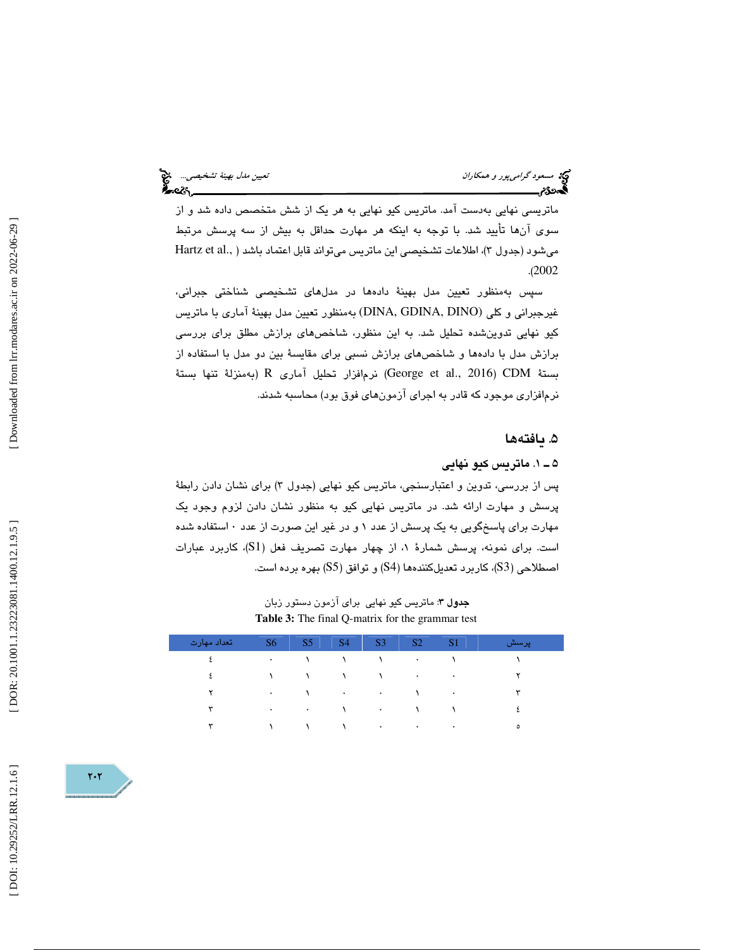ماتريسي نهايي بهدست آمد. ماتريس كيو نهايي به هر يك از شش متخصص داده شد و از سوي آنها تأييد شد. با توجه به اينكه هر مهارت حداقل به بيش از سه پرسش مرتبط Hartz et al., )، اطلاعات تشخيصي اين ماتريس ميتواند قابل اعتماد باشد ( ميشود (جدول 3 .( 2002

سپس بهمنظور تعيين مدل بهينهٔ دادهما در مدلهای تشخيصی شناختی جبرانی، غیرجبرانی و کلی (DINA, GDINA, DINO) بهمنظور تعیین مدل بهینهٔ آماری با ماتریس كيو نهايي تدوينشده تحليل شد. به اين منظور، شاخصهاى برازش مطلق براى بررسى برازش مدل با دادهها و شاخصهاي برازش نسبي براي مقايسة بين دو مدل با استفاده از به( منزلة تنها ةتبس R آماري تحليل نرمافزار) George et al., 2016 ) CDM بستة نرمافزاری موجود كه قادر به اجرای آزمونهای فوق بود) محاسبه شدند.

### . يافته ها 5

### 1ـ 5 . ماتريس كيو نهايي

پس از بررسی، تدوین و اعتبارسنجی، ماتریس کیو نهایی (جدول ۳) برای نشان دادن رابطهٔ پرسش و مهارت ارائه شد. در ماتريس نهايي كيو به منظور نشان دادن لزوم وجود يك مهارت براي پاسخگويي به يك پرسش از عدد 1 و در غير اين صورت از عدد 0 استفاده شده است. برای نمونه، پرسش شمارهٔ ۱، از چهار مهارت تصریف فعل (S1)، کاربرد عبارات اصطلاحی (S3)، کاربرد تعدیلکنندهها (S4) و توافق (S5) بهره برده است.

> جدول 3: ماتريس كيو نهايي براي آزمون دستور زبان **Table 3:** The final Q-matrix for the grammar test

| ا تعداد مهارت | S6        | S <sub>5</sub> | S <sub>4</sub> | S <sub>3</sub>       | S <sub>2</sub> | S <sub>1</sub> | رپرسش |
|---------------|-----------|----------------|----------------|----------------------|----------------|----------------|-------|
|               | $\bullet$ |                |                |                      | $\bullet$      |                |       |
| ٤             |           |                |                | 1                    | $\sim$         | ٠              |       |
| ۲             | $\bullet$ | A.             | $\bullet$      | $\sim$               | $\sqrt{2}$     | $\bullet$      | ٣     |
| ٣             | $\bullet$ | $\sim$         | ١              | $\sim$               | $\Delta$       |                |       |
| ٣             |           |                |                | $\ddot{\phantom{1}}$ | $\cdot$        |                | ٥     |

 $\mathsf{r} \cdot \mathsf{r}$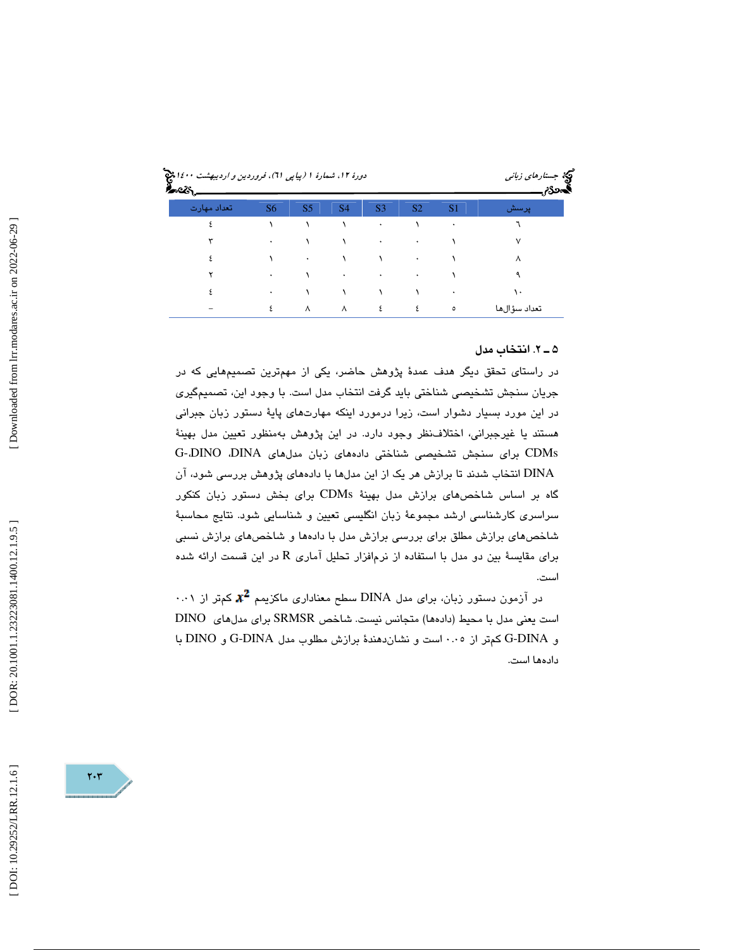| دورهٔ ۱۲، شمارهٔ ۱ (بیا پی ۲۱)، فروردین و <i>ا</i> ردیبهشت ۱۶۰۰ پیچ |                |                |           |                |                | ویکا جست <i>ارهای زبانی</i><br>المحدرم |                |
|---------------------------------------------------------------------|----------------|----------------|-----------|----------------|----------------|----------------------------------------|----------------|
| اتعداد مهارت                                                        | S <sub>6</sub> | S <sub>5</sub> | <b>S4</b> | S <sub>3</sub> | S <sub>2</sub> | S <sub>1</sub>                         | . <b>پ</b> رسش |
|                                                                     |                |                |           | ۰              |                | ٠                                      |                |
|                                                                     | ۰              |                |           | ٠              | ۰              |                                        |                |
|                                                                     |                | ۰              |           |                | ۰              |                                        | ٨              |
|                                                                     | ۰              |                | ٠         | ۰              | ۰              |                                        |                |
|                                                                     | ۰              |                |           |                |                |                                        | ١.             |
|                                                                     | ٤              | $\lambda$      | ٨         | ٤              | ٤              | $\circ$                                | تعداد سؤالها   |

### . 2ـ 5 انتخاب مدل

در راستای تحقق دیگر هدف عمدهٔ پژوهش حاضر، یکی از مهمترین تصمیمهایی که در جريان سنجش تشخيصي شناختي بايد گرفت انتخاب مدل است. با وجود اين، تصميمگيري در اين مورد بسيار دشوار است، زيرا درمورد اينكه مهارتهاى پايهٔ دستور زبان جبراني هستند يا غيرجبراني، اختلاف نظر وجود دارد. در اين پژوهش بهمنظور تعيين مدل بهينهٔ G- CDMs براي سنجش تشخيصي شناختي دادههاي زبان مدلهاي DINA، DINO، DINA انتخاب شدند تا برازش هر يك از اين مدلها با دادههاي پژوهش بررسي شود، آن گاه بر اساس شاخصهاي برازش مدل بهينة CDMs براي بخش دستور زبان كنكور سراسری کارشناسی ارشد مجموعهٔ زبان انگلیسی تعیین و شناسایی شود. نتایج محاسبهٔ شاخصهاي برازش مطلق براي بررسي برازش مدل با دادهها و شاخصهاي برازش نسبي برای مقایسهٔ بین دو مدل با استفاده از نرمافزار تحلیل آماری R در این قسمت ارائه شده است.

 $\cdot\cdot\cdot$ در آزمون دستور زبان، برای مدل DINA سطح معناداری ماکزیمم  $\bm{x}^{\bm{2}}$  کمتر از است يعني مدل با محيط (دادهها) متجانس نيست. شاخص SRMSR براي مدلهاي DINO و DINA-G كمتر از 0.05 است و نشاندهندة برازش مطلوب مدل DINA-G و DINO با دادهها است.

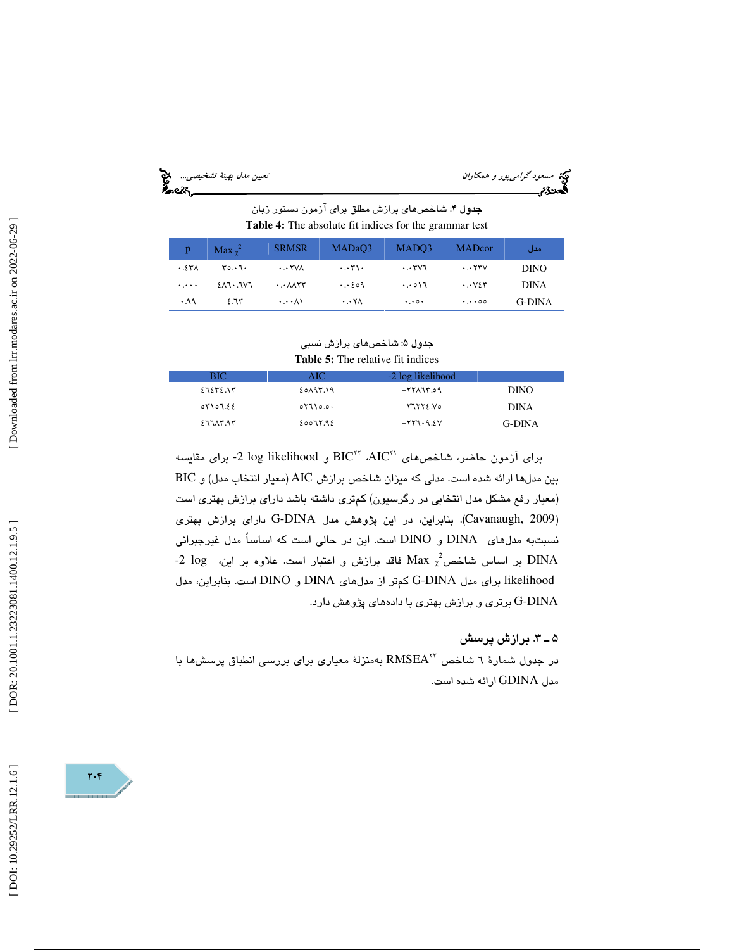| $\tilde{\phantom{a}}$ | تعسين مدل بهيئة تشخيصه |
|-----------------------|------------------------|
|                       |                        |

مسعود *گرامي پور و همكاران*<br>پيتان به تشخ مدل به است.<br>پيتان تشخ م

جدول 4: شاخصهاي برازش مطلق براي آزمون دستور زبان **Table 4:** The absolute fit indices for the grammar test

| p.       | Max $\chi^2$ | <b>SRMSR</b>                                          | MADaO3                       | MADO3                           | <b>MADcor</b>          | مدل         |
|----------|--------------|-------------------------------------------------------|------------------------------|---------------------------------|------------------------|-------------|
| .54      | ۳۵.۰٦۰       | $\cdots$ YVA                                          | $\cdot \cdot$                | $\cdot \cdot$ ۳۷٦               | $\cdots$ YYV           | <b>DINO</b> |
| المتعربة | ۳۷۲. ۱۲۸۰    | $\cdot$ . $\cdot$ $\wedge$ $\wedge$ $\wedge$ $\wedge$ | $\cdot \cdot \cdot$ 209      | $\cdot \cdot \circ \wedge \tau$ | $\cdots$ $V$ ٤٣        | <b>DINA</b> |
| .99      | 2.75         | $\cdots$ $\wedge$ $\wedge$                            | $\cdot$ . $\cdot$ Y $\wedge$ | $\cdot \cdot \cdot$ .           | $\cdot \cdot \cdot$ 00 | G-DINA      |

### جدول ۵: شاخصها*ی* برازش نسب*ی* **Table 5:** The relative fit indices

| BIC.         | AIC.            | -2 log likelihood |             |
|--------------|-----------------|-------------------|-------------|
| 11. ١٣٤ - ١٥ | ۶۵۸۹۳.۱۹        | 0.75877-          | <b>DINO</b> |
| 04107.55     | $05710.0 \cdot$ | $-57552.$         | <b>DINA</b> |
| 277AY.97     | ٤٥٥٦٢.٩٤        | $-557 - 9.21$     | G-DINA      |

براي آزمون حاضر، شاخص هاي BIC II ، AIC و log likelihood - براي مقايسه بين مدلها ارائه شده است. مدلي كه ميزان شاخص برازش AIC (معيار انتخاب مدل) و BIC (معيار رفع مشكل مدل انتخابي در رگرسيون) كمتري داشته باشد داراي برازش بهتري است (Cavanaugh, 2009). بنابراين، در اين پژوهش مدل G-DINA دارای برازش بهتری نسبتبه مدلهاي DINA و DINO است. اين در حالي است كه اساساً مدل غيرجبراني -2 log بر اساس شاخص $_{\rm x}$   $_{\rm x}^2$  فاقد برازش و اعتبار است. علاوه بر این،  $_{\rm DINA}$ likelihood براي مدل G-DINA كمتر از مدلهاي DINA و DINO است. بنابراين، مدل نرتری و برازش بهتری با دادههای پژوهش دارد.  $\operatorname{G-DINA}$ 

### . 3ـ 5 برازش پرسش

به منزلة معياري براي بررسي انطباق پرسشها با <sup>23</sup> در جدول شمارة 6 شاخص RMSEA مدل GDINA ارائه شده است.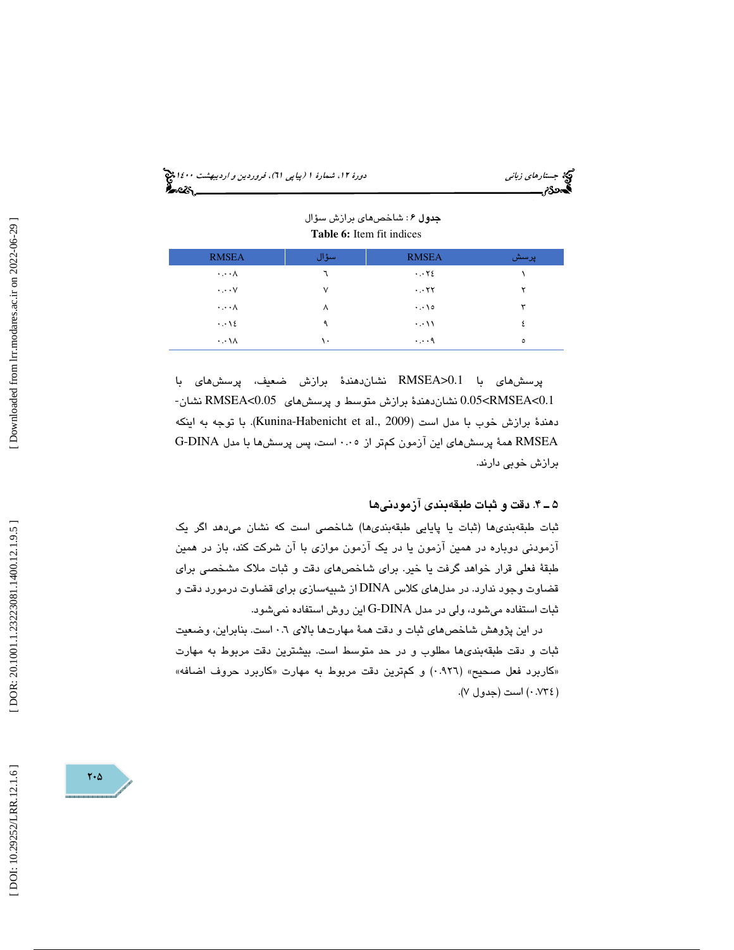جستار*هاي زباني هي المرديبهشت 1400 ه*ورو 11، شمارة 1 (پياپي 71)، فر*وردين و ارديبهشت 14*00 هج

|                                    |        | $-$ 0.000 $-$ 0.000 $-$ 0.000 $-$ 0.000 $-$ 0.000 $-$ 0.000 $-$ 0.000 $-$ 0.000 $-$ 0.000 $-$ 0.000 $-$ 0.000 $-$ 0.000 $-$ 0.000 $-$ 0.000 $-$ 0.000 $-$ 0.000 $-$ 0.000 $-$ 0.000 $-$ 0.000 $-$ 0.000 $-$ 0.000 $-$ 0.000 |         |
|------------------------------------|--------|-----------------------------------------------------------------------------------------------------------------------------------------------------------------------------------------------------------------------------|---------|
| <b>RMSEA</b>                       | سؤال   | <b>RMSEA</b>                                                                                                                                                                                                                | پرسش    |
| $\cdot \cdot \cdot \wedge$         |        | $\cdots$ Y E                                                                                                                                                                                                                |         |
| $\cdot \cdot \cdot \vee$           | $\vee$ | $\cdots$ YY                                                                                                                                                                                                                 |         |
| $\cdot \cdot \cdot \wedge$         | ٨      | $\cdots$ \ o                                                                                                                                                                                                                | ٣       |
| $\cdot \cdot \cdot \cdot \epsilon$ | ٩      | $\cdots$                                                                                                                                                                                                                    |         |
| $\cdot \cdot \cdot \wedge$         | ۰.     | $\cdots$ .                                                                                                                                                                                                                  | $\circ$ |

#### جدول 6 : شاخصهاي برازش سؤال **Table 6:** Item fit indices

پرسشهای با RMSEA>0.1 نشاندهندهٔ برازش ضعیف، پرسشهای با<br>2.0.1>RMSEA نشاندهندهٔ برازش متوسط و پرسشهای RMSEA<0.05 نشان-دهندهٔ برازش خوب با مدل است (2009 .Kunina-Habenicht et al). با توجه به اينكه RMSEA همة پرسشهاي اين آزمون كمتر از 0.05 است، پس پرسشها با مدل DINA-G برازش خوبي دارند.

### . 4ـ 5 دقت و ثبات طبقهبندي آزمودني ها

ثبات طبقهبنديها (ثبات يا پايايي طبقهبنديها) شاخصي است كه نشان ميدهد اگر يك آزمودني دوباره در همين آزمون يا در يك آزمون موازي با آن شركت كند، باز در همين طبقة فعلي قرار خواهد گرفت يا خير. براي شاخصهاي دقت و ثبات ملاك مشخصي براي قضاوت وجود ندارد. در مدلهاي كلاس DINA از شبيهسازي براي قضاوت درمورد دقت و ثبات استفاده ميشود، ولي در مدل DINA-G اين روش استفاده نميشود.

در اين پژوهش شاخصهاي ثبات و دقت همة مهارتها بالاي 0.6 است. بنابراين، وضعيت ثبات و دقت طبقهبنديها مطلوب و در حد متوسط است. بيشترين دقت مربوط به مهارت «كاربرد فعل صحيح» (٩٢٦.٠) و كمترين دقت مربوط به مهارت «كاربرد حروف اضافه» 0.734) است (جدول )7. )

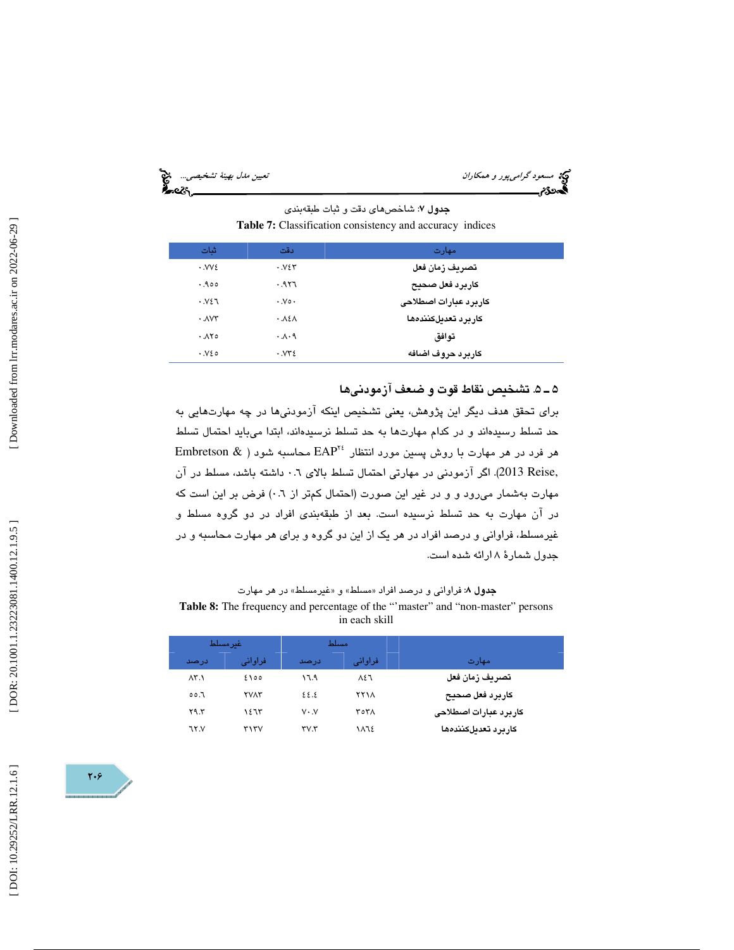مسعود گراميپور و همكاران نييتع مدل به ةني تشخ صي ي ...

: شاخصهاي دقت و ثبات طبقهبندي جدول 7 **Table 7:** Classification consistency and accuracy indices

| ثنات                      | دقت                               | مهارت                 |
|---------------------------|-----------------------------------|-----------------------|
| $\cdot$ . $VV\epsilon$    | .924                              | تصريف زمان فعل        |
| .900                      | .957                              | كاربرد فعل صحيح       |
| .921                      | $\cdot$ . $\vee \circ \cdot$      | كاربرد عبارات اصطلاحى |
| $\cdot$ $\Lambda$ $V\tau$ | .151                              | كاربرد تعديلكنندهما   |
| .180                      | $\cdot \Lambda \cdot \mathcal{A}$ | توافق                 |
| .820                      | $\cdot$ . $VY\epsilon$            | كاربرد حروف اضافه     |

### 5ـ 5 . تشخيص نقاط قوت و ضعف آزمودنيها

برای تحقق هدف دیگر این پژوهش، یعنی تشخیص اینکه آزمودنیها در چه مهارتهایی به حد تسلط رسيدهاند و در كدام مهارتها به حد تسلط نرسيدهاند، ابتدا ميبايد احتمال تسلط Embretson & ) محاسبه شود ( هر مهارت با روش پسین مورد انتظار  $\text{EAP}^{\text{Yf}}$  محاسبه شود ,Reise 2013(. اگر آزمودني در مهارتي احتمال تسلط بالاي 0.6 داشته باشد، مسلط در آن مهارت بهشمار مىرود و و در غير اين صورت (احتمال كمتر از ٠.٦) فرض بر اين است كه در آن مهارت به حد تسلط نرسيده است. بعد از طبقهبندي افراد در دو گروه مسلط و غيرمسلط، فراواني و درصد افراد در هر يك از اين دو گروه و براي هر مهارت محاسبه و در جدول شمارة 8 ارائه شده است.

### **جدول ۸:** فراوانی و درصد افراد «مسلط» و «غیرمسلط» در هر مهارت **Table 8:** The frequency and percentage of the "'master" and "non-master" persons in each skill

|               | غىر مسىلط   |                          | مسلط    |                       |
|---------------|-------------|--------------------------|---------|-----------------------|
| درصد          | فراوانی     | درصد                     | فراوانی | مهارت                 |
| $\Lambda$ ۳.۱ | ٥٥ ٤١       | ۱٦.۹                     | ۸٤٦     | تصريف زمان فعل        |
| ٦.٥٥          | <b>YVAY</b> | ٤٤.٤                     | ۲۲۱۸    | كاربرد فعل صحبح       |
| Y9.5          | ۱٤٦٣        | $V \cdot V$              | ۳٥۳۸    | كاربرد عبارات اصطلاحى |
| ٦٢.V          | ۳۱۳۷        | $\mathsf{rv}.\mathsf{r}$ | 1872    | كاربرد تعدىلكنندهها   |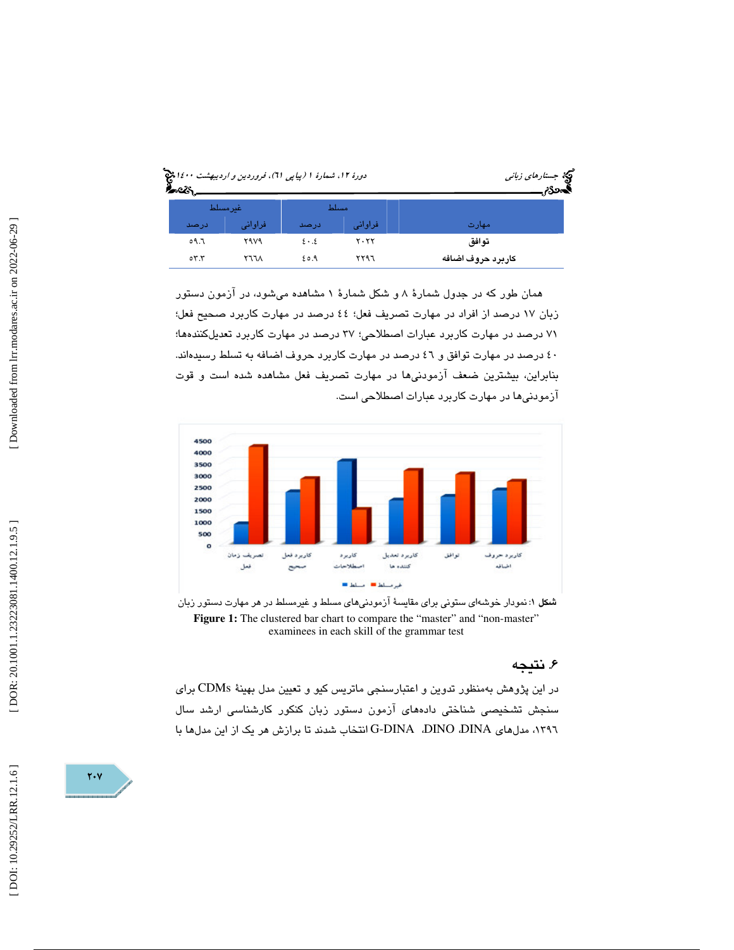|                                     |             | مچ جست <i>ارهای زبانی</i><br>فحصوته |         |                   |
|-------------------------------------|-------------|-------------------------------------|---------|-------------------|
|                                     | غير مسلط    |                                     | مسلط    |                   |
| درصد                                | فراوانى     | درصد                                | فراوانی | مهارت             |
| ٥٩.٦                                | <b>7979</b> | $2 \cdot 3$                         | ۲۰۲۲    | توافق             |
| $\circ$ $\mathsf{r}$ . $\mathsf{r}$ | ۲٦٦٨        | ۶٥.۹                                | ۲۲۹٦    | كاربرد حروف اضافه |

همان طور كه در جدول شمارة 8 و شكل شمارة 1 مشاهده ميشود، در آزمون دستور زبان 17 درصد از افراد در مهارت تصريف فعل؛ 44 درصد در مهارت كاربرد صحيح فعل؛ 71 درصد در مهارت كاربرد عبارات اصطلاحي؛ 37 درصد در مهارت كاربرد تعديلكنندهها؛ 40 درصد در مهارت توافق و 46 درصد در مهارت كاربرد حروف اضافه به تسلط رسيدهاند. بنابراين، بيشترين ضعف آزمودنيها در مهارت تصريف فعل مشاهده شده است و قوت آزمودنيها در مهارت كاربرد عبارات اصطلاحي است.



شكل : 1 نمودار خوشهاي ستوني براي مقايسة آزمودنيهاي مسلط و غيرمسلط در هر مهارت دستور زبان Figure 1: The clustered bar chart to compare the "master" and "non-master" examinees in each skill of the grammar test

### . نتيجه 6

در اين پژوهش بهمنظور تدوين و اعتبارسنجي ماتريس كيو و تعيين مدل بهينهٔ CDMs براي سنجش تشخیصی شناختی دادههای آزمون دستور زبان کنکور کارشناسی ارشد سال ١٣٩٦، مدلهاي G-DINA ،DINO ،DINA انتخاب شدند تا برازش هر يک از اين مدلها با

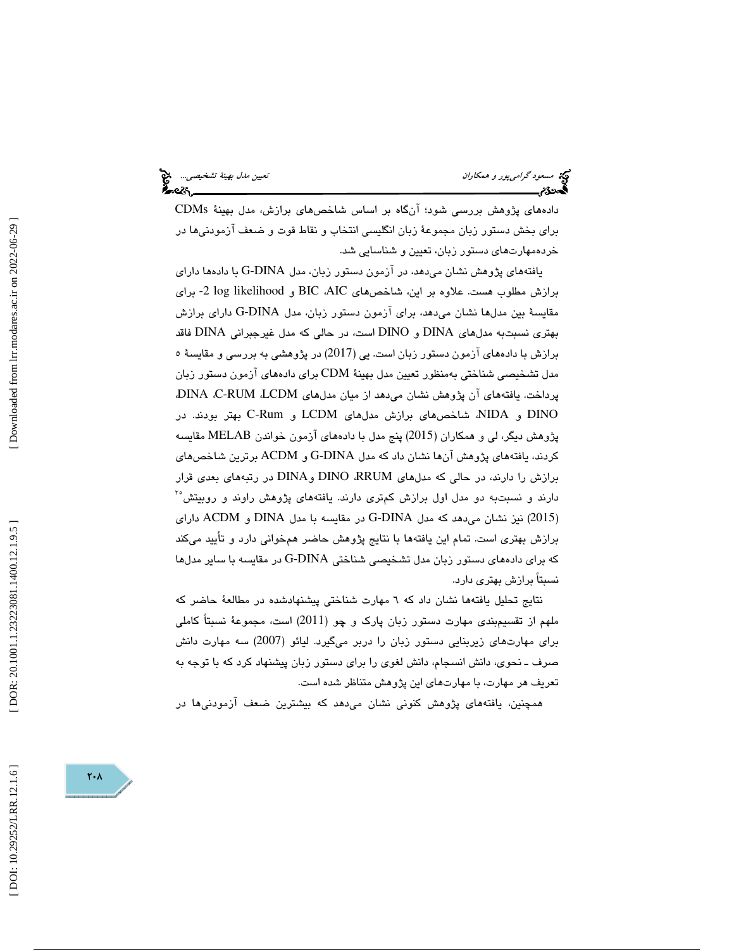مسعود گراميپور و همكاران نييتع مدل به ةني تشخ صي ي ...

دادههای پژوهش بررسی شود؛ آنگاه بر اساس شاخصهای برازش، مدل بهینهٔ CDMs برای بخش دستور زبان مجموعهٔ زبان انگلیسی انتخاب و نقاط قوت و ضعف آزمودنیها در خردهمهارتهاي دستور زبان، تعيين و شناسايي شد.

یافتههای پژوهش نشان میدهد، در آزمون دستور زبان، مدل G-DINA با دادهها دارای برازش مطلوب هست. علاوه بر اين، شاخصهاي AIC، BIC و likelihood log -2 براي مقايسة بين مدلها نشان ميدهد، براي آزمون دستور زبان، مدل DINA-G داراي برازش بهتري نسبتبه مدلهاي DINA و DINO است، در حالي كه مدل غيرجبراني DINA فاقد برازش با دادههاي آزمون دستور زبان است. يي (2017) در پژوهشي به بررسي و مقايسة 5 مدل تشخيصي شناختي بهمنظور تعيين مدل بهينة CDM براي دادههاي آزمون دستور زبان پرداخت. يافتههاي آن پژوهش نشان ميدهد از ميان مدلهاي LCDM، RUM-C، DINA، DINO و NIDA، شاخصهاي برازش مدلهاي LCDM و Rum-C بهتر بودند. در پژوهش ديگر، لي و همكاران (2015) پنج مدل با دادههاي آزمون خواندن MELAB مقايسه كردند، يافتههاي پژوهش آنها نشان داد كه مدل DINA-G و ACDM برترين شاخصهاي برازش را دارند، در حالي كه مدلهاي RRUM، DINO و DINA در رتبههاي بعدي قرار دارند و نسبتبه دو مدل اول برازش كمترى دارند. يافتههاى پژوهش راوند و روبيتش<sup>٢</sup> 2015) نيز نشان ميدهد كه مدل DINA-G در مقايسه با مدل DINA و ACDM داراي ) برازش بهتری است. تمام این یافتهها با نتایج پژوهش حاضر همخوانی دارد و تأیید میکند كه براي دادههاي دستور زبان مدل تشخيصي شناختي G-DINA در مقايسه با ساير مدلها نسبتاً برازش بهتری دارد.

نتايج تحليل يافتهها نشان داد كه ٦ مهارت شناختی پيشنهادشده در مطالعهٔ حاضر كه ملهم از تقسیمٖبندی مهارت دستور زبان پارک و چو (2011) است، مجموعهٔ نسبتاً کاملی برای مهارتهای زیربنایی دستور زبان را دربر میگیرد. لیائو (2007) سه مهارت دانش صرف ـ نحوی، دانش انسجام، دانش لغوی را برای دستور زبان پیشنهاد كرد كه با توجه به تعريف هر مهارت، با مهارتهای اين پژوهش متناظر شده است.

همچنین، یافتههای پژوهش کنونی نشان میدهد که بیشترین ضعف آزمودنیها در

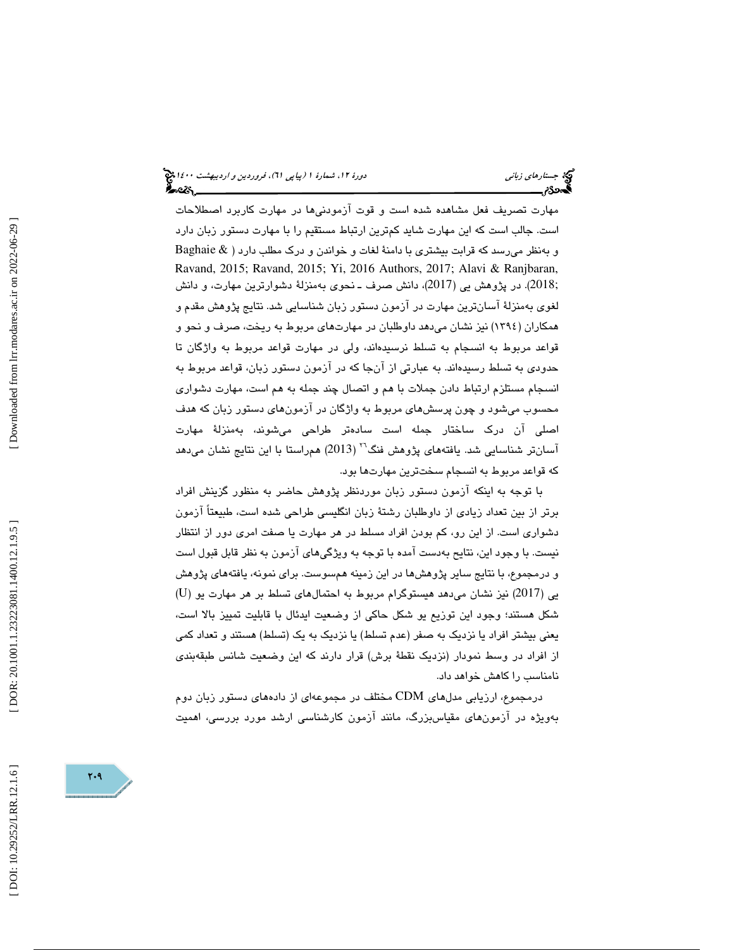مهارت تصریف فعل مشاهده شده است و قوت آزمودنیها در مهارت کاربرد اصطلاحات است. جالب است كه اين مهارت شايد كمترين ارتباط مستقيم را با مهارت دستور زبان دارد و بهنظر ميرسد كه قرابت بيشتري با دامنة لغات و خواندن و درك مطلب دارد ( & Baghaie Ravand, 2015; Ravand, 2015; Yi, 2016 Authors, 2017; Alavi & Ranjbaran, ;2018). در پژوهش يي (2017)، دانش صرف ـ نحوي بهمنزلة دشوارترين مهارت، و دانش لغوي بهمنزلة آسانترين مهارت در آزمون دستور زبان شناسايي شد. نتايج پژوهش مقدم و همكاران (1394) نيز نشان ميدهد داوطلبان در مهار تهاي مربوط به ريخت، صرف و نحو و قواعد مربوط به انسجام به تسلط نرسيدهاند، ولي در مهارت قواعد مربوط به واژگان تا حدودي به تسلط رسيدهاند. به عبارتي از آنجا كه در آزمون دستور زبان، قواعد مربوط به انسجام مستلزم ارتباط دادن جملات با هم و اتصال چند جمله به هم است، مهارت دشواري محسوب ميشود و چون پرسشهاي مربوط به واژگان در آزمونهاي دستور زبان كه هدف اصلي آن درك ساختار جمله است سادهتر طراحي ميشوند، بهمنزلة مهارت 26 آسانتر شناسايي شد. يافتههاي پژوهش فنگ ( 2013) همراستا با اين نتايج نشان ميدهد كه قواعد مربوط به انسجام سختترين مهارتها بود.

با توجه به اينكه آزمون دستور زبان موردنظر پژوهش حاضر به منظور گزينش افراد برتر از بين تعداد زيادي از داوطلبان رشتهٔ زبان انگليسي طراحي شده است، طبيعتاً آزمون دشواري است. از اين رو، كم بودن افراد مسلط در هر مهارت يا صفت امرى دور از انتظار نيست. با وجود اين، نتايح بهدست آمده با توجه به ويژگيهاي آزمون به نظر قابل قبول است و درمجموع، با نتايج ساير پژوهش ها در اين زمينه همسوست. براي نمونه، يافتههاي پژوهش ( يي (2017) نيز نشان ميدهد هيستوگرام مربوط به احتمالهاي تسلط بر هر مهارت يو (U شكل هستند؛ وجود اين توزيع يو شكل حاكي از وضعيت ايدئال با قابليت تمييز بالا است، يعني بيشتر افراد يا نزديك به صفر (عدم تسلط) يا نزديك به يك (تسلط) هستند و تعداد كمي از افراد در وسط نمودار (نزديك نقطة برش) قرار دارند كه اين وضعيت شانس طبقهبندي نامناسب را كاهش خواهد داد.

درمجموع، ارز يابي مدلهاي CDM مختلف در مجموعه از يا يها داده دستور زبان دوم بەويژه در آزمون $\bm{s}$ ماي مقياس،بزرگ، مانند آزمون كارشناسى ارشد مورد بررسى، اھميت

DOI: 10.29252/LRR.12.1.6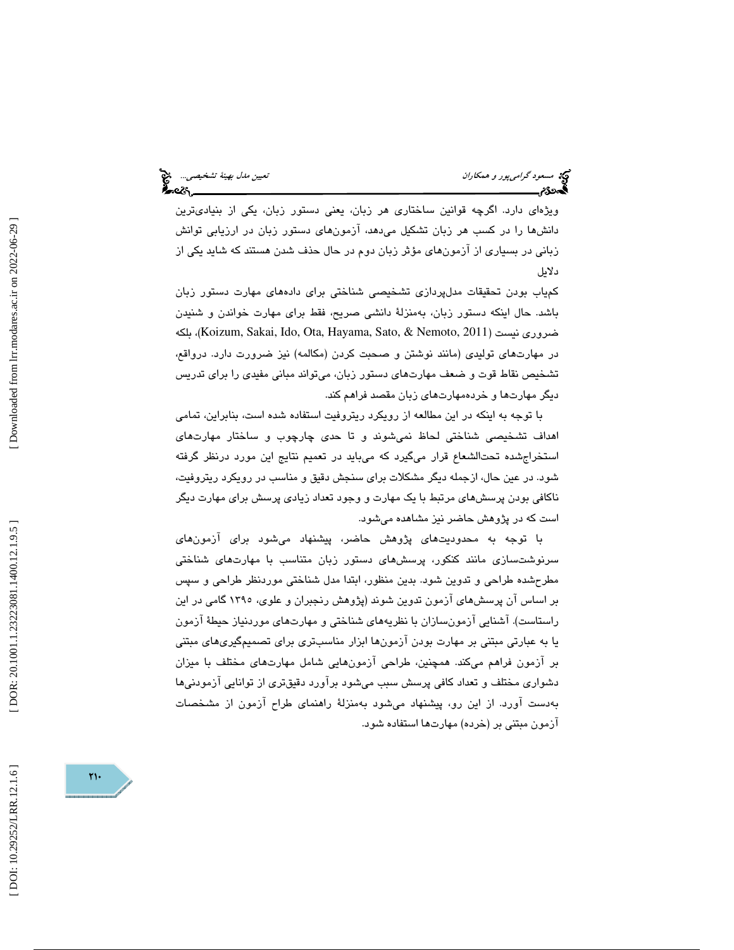ويژهاي دارد. اگرچه قوانين ساختاري هر زبان، يعني دستور زبان، يكي از بنياديترين دانشها را در كسب هر زبان تشكيل ميدهد، آزمونهاي دستور زبان در ارزيابي توانش زباني در بسياري از آزمونهاي مؤثر زبان دوم در حال حذف شدن هستند كه شايد يكي از دلايل

كمياب بودن تحقيقات مدلپردازي تشخيصي شناختي براي دادههاي مهارت دستور زبان باشد. حال اينكه دستور زبان، بهمنزلة دانشي صريح، فقط براي مهارت خواندن و شنيدن بلكه ،)Koizum, Sakai, Ido, Ota, Hayama, Sato, & Nemoto, 2011) نيست ضروري در مهارتهای تولیدی (مانند نوشتن و صحبت کردن (مکالمه) نیز ضرورت دارد. درواقع،<br>تشخیص نقاط قوت و ضعف مهارتهای دستور زبان، میتواند مبانی مفیدی را برای تدریس ديگر مهارتها و خردهمهارتهاي زبان مقصد فراهم كند.

با توجه به اينكه در اين مطالعه از رويكرد ريتروفيت استفاده شده است، بنابراين، تمامي اهداف تشخيصي شناختي لحاظ نميشوند و تا حدي چارچوب و ساختار مهارتهاي استخراجشده تحتالشعاع قرار ميگيرد كه ميبايد در تعميم نتايج اين مورد درنظر گرفته شود. در عين حال، ازجمله ديگر مشكلات براي سنجش دقيق و مناسب در رويكرد ريتروفيت، ناكافي بودن پرسشهاي مرتبط با يك مهارت و وجود تعداد زيادي پرسش براي مهارت ديگر است كه در پژوهش حاضر نيز مشاهده ميشود.

با توجه به محدوديتهای پژوهش حاضر، پيشنهاد میشود برای آزمونهای سرنوشتسازی مانند کنکور، پرسشهای دستور زبان متناسب با مهارتهای شناختی مطرحشده طراحي و تدوين شود. بدين منظور، ابتدا مدل شناختي موردنظر طراحي و سپس بر اساس آن پرسشهاي آزمون تدوين شوند (پژوهش رنجبران و علوي، 1395 گامي در اين راستاست). آشنايي آزمونسازان با نظريههاي شناختي و مهارتهاي موردنياز حيطة آزمون يا به عبارتي مبتني بر مهارت بودن آزمونها ابزار مناسبتري براي تصميمگيريهاي مبتني بر آزمون فراهم ميكند. همچنين، طراحي آزمونهايي شامل مهارتهاي مختلف با ميزان دشواري مختلف و تعداد كافي پرسش سبب ميشود برآورد دقيقتري از توانايي آزمودنيها بهدست آورد. از اين رو، پيشنهاد ميشود بهمنزلة راهنماي طراح آزمون از مشخصات آزمون مبتني بر (خرده) مهارتها استفاده شود.

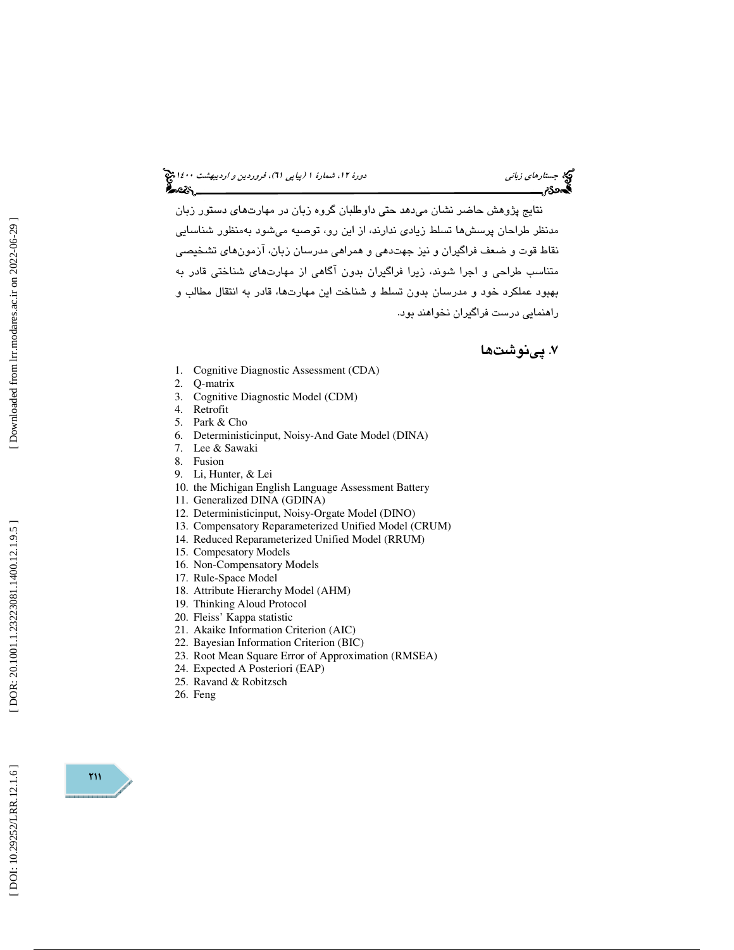جستار*هاي زباني هي المرديبهشت 1400 ه*ورو 11، شمارة 1 (پياپي 71)، فر*وردين و ارديبهشت 14*00 هج

نتايج پژوهش حاضر نشان مىدهد حتى داوطلبان گروه زبان در مهارتهاى دستور زبان مدنظر طراحان پرسشها تسلط زيادي ندارند، از اين رو، توصيه ميشود بهمنظور شناسايي نقاط قوت و ضعف فراگيران و نيز جهتدهي و همراهي مدرسان زبان، آزمونهاي تشخيصي متناسب طراحی و اجرا شوند، زیرا فراگیران بدون آگاهی از مهارتهای شناختی قادر به بهبود عملكرد خود و مدرسان بدون تسلط و شناخت نيا مهارت ها، قادر به انتقال مطالب و راهنما يي درست فراگيران نخواهند بود .

### . پينوشت ها 7

- 1. Cognitive Diagnostic Assessment (CDA)
- 2. Q-matrix
- 3. Cognitive Diagnostic Model (CDM)
- 4. Retrofit
- 5. Park & Cho
- 6. Deterministicinput, Noisy-And Gate Model (DINA)
- 7. Lee & Sawaki
- 8. Fusion
- 9. Li, Hunter, & Lei
- 10. the Michigan English Language Assessment Battery
- 11. Generalized DINA (GDINA)
- 12. Deterministicinput, Noisy-Orgate Model (DINO)
- 13. Compensatory Reparameterized Unified Model (CRUM)
- 14. Reduced Reparameterized Unified Model (RRUM)
- 15. Compesatory Models
- 16. Non-Compensatory Models
- 17. Rule-Space Model
- 18. Attribute Hierarchy Model (AHM)
- 19. Thinking Aloud Protocol
- 20. Fleiss' Kappa statistic
- 21. Akaike Information Criterion (AIC)
- 22. Bayesian Information Criterion (BIC)
- 23. Root Mean Square Error of Approximation (RMSEA)
- 24. Expected A Posteriori (EAP)
- 25. Ravand & Robitzsch
- 26. Feng

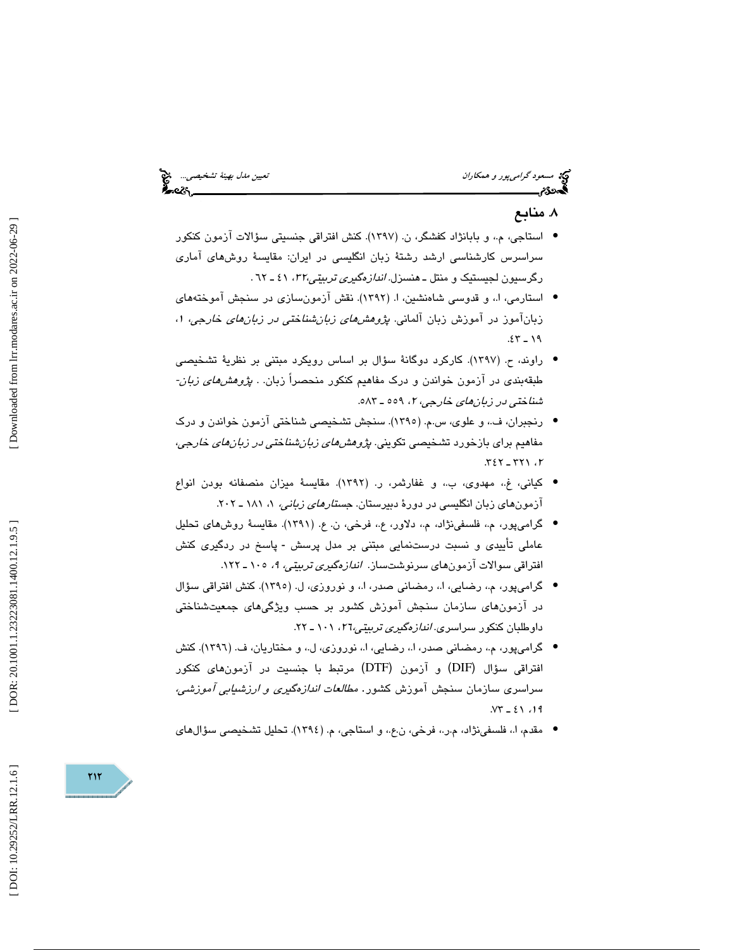مسعود گراميپور و همكاران نييتع مدل به ةني تشخ صي ي ...

### . منابع 8

- استاجي، م،. و بابانژاد كفشگر، ن. (1397). كنش افتراقي جنسيتي سؤالات آزمون كنكور سراسرس كارشناسي ارشد رشتة زبان انگليسي در ايران: مقايسة روشهاي آماري رگرسيون لجيستيك و منتل ـ هنسزل. *اندازهگيرى تربيتي،٣٢*، ٤١ ـ ٦٢.
- استارمي، ا،. و قدوسي شاهنشين، ا. (1392). نقش آزمونسازي در سنجش آموختههاي زبانآموز در آموزش زبان آلمانی. *پژوهشهای زبانشناختی در زبانهای خارجی*، ۱،  $.55 - 19$
- راوند، ح. (1397). كاركرد دوگانة سؤال بر اساس رويكرد مبتني بر نظرية تشخيصي طبقهبندی در آزمون خواندن و درک مفاهیم کنکور منحصراً زبان. . *پژوهشهای زبان-*شن*اختي در زبانهاي خارجي*، ۲، ٥٥٩ ـ ٥٨٣.
- رنجبران، ف،. و علوي، س.م. (1395). سنجش تشخيصي شناختي آزمون خواندن و درك مفاهيم براي بازخورد تشخيصي تكويني. *پژوهشهاي زبانشناختي در زبانهاي خارجي،* ۲، ۳۱۱ ـ ۳۶۲.
- كياني، غ.، مهدوى، ب.، و غفارثمر، ر. (١٣٩٢). مقايسهٔ ميزان منصفانه بودن انواع آزمونهای زبان انگلیسی در دورهٔ دبیرستان. ج*ستارهای زبانی،* ۱، ۱۸۱ ـ ۲۰۲.
- گرامۍپور، م.، فلسفۍنژاد، م.، دلاور، ع.، فرخي، ن. ع. (١٣٩١). مقايسهٔ روش،لاي تحليل عاملی تأییدی و نسبت درستنمایی مبتنی بر مدل پرسش - پاسخ در ردگیری کنش افتراقي سوالات آزمونهاي سرنوشتساز. *اندازهگيري تربيتي، ۹،* ۱۰۰ ـ ۱۲۲.
- گرامیپور، م.، رضایی، ا.، رمضانی صدر، ا.، و نوروزی، ل. (١٣٩٥). کنش افتراقی سؤال در آزمونهاي سازمان سنجش آموزش كشور بر حسب ويژگيهاي جمعيتشناختي داوطلبان كنكور سراسر*ی. اندازهگیری تر*بی<u>ت</u>ی،77، ۱۰۱ ـ ۲۲.
- گرامیپور، م.، رمضانی صدر، ا.، رضایی، ا.، نوروزی، ل.، و مختاریان، ف. (١٣٩٦). کنش افتراقي سؤال (DIF ( و آزمون (DTF ( مرتبط با جنسيت در آزمونهاي كنكور سراسری سازمان سنجش آموزش کشور. *مطالعات اندازهگیری و ارزشیابی آموزشی،*  $. VY = 21.19$
- مقدم، ا.، فلسفينژاد، م.ر.، فرخي، ن.ع.، و استاجي، م. (١٣٩٤). تحليل تشخيصي سؤالهاي

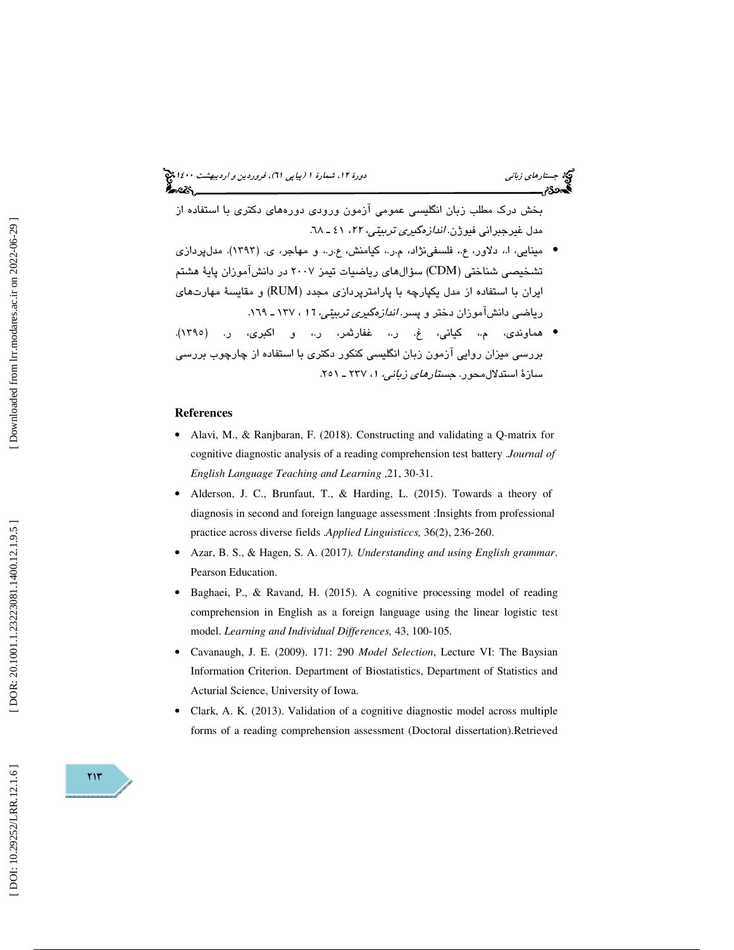### جستار*هاي زباني هي المرديبهشت 1400 ه*ورو 11، شمارة 1 (پياپي 71)، فر*وردين و ارديبهشت 14*00 هج

بخش درك مطلب زبان انگليسي عمومي آزمون ورودي دورههاي دكتري با استفاده از مدل غیرجبران*ی* فیوژن*. اندازهگیری تربیتی، ۲۲*، ٤۱ ـ ۲۸.

- مینایی، ا.، دلاور، ع.، فلسفینژاد، م.ر.، کیامنش، ع.ر.، و مهاجر، ی. (۱۳۹۳). مدلپردازی تشخيصی شناختی (CDM) سؤال های رياضيات تيمز ٢٠٠٧ در دانشآموزان پايهٔ هشتم ايران با استفاده از مدل يكپارچه با پارامترپردازی مجدد (RUM) و مقايسهٔ مهارتهای رياضي دانش آموزان دختر و پسر. *اندازهگيري تربيتي، ١٦* ، ١٣٧ ـ ١٦٩.
- هماوندي، م،. كياني، غ. ر،. غفارثمر، ر،. و اكبري، ر. (1395). بررسی میزان روایی آزمون زبان انگلیسی کنکور دکتری با استفاده از چارچوب بررسی<br>سازهٔ استدلال،حور. *جستارهای زبانی،* ۱، ۲۳۷ ـ ۲۰۵۱.

### **References**

- Alavi, M., & Ranjbaran, F. (2018). Constructing and validating a Q-matrix for cognitive diagnostic analysis of a reading comprehension test battery .*Journal of English Language Teaching and Learning* 21, 30-31. ,
- Alderson, J. C., Brunfaut, T., & Harding, L. (2015). Towards a theory of diagnosis in second and foreign language assessment :Insights from professional practice across diverse fields .*Applied Linguisticcs,* 36(2), 236-260.
- Azar, B. S., & Hagen, S. A. (2017*). Understanding and using English grammar*. Pearson Education.
- Baghaei, P., & Ravand, H. (2015). A cognitive processing model of reading comprehension in English as a foreign language using the linear logistic test model. *Learning and Individual Differences,* 43, 100-105.
- Cavanaugh, J. E. (2009). 171: 290 *Model Selection*, Lecture VI: The Baysian Information Criterion. Department of Biostatistics, Department of Statistics and Acturial Science, University of Iowa.
- Clark, A. K. (2013). Validation of a cognitive diagnostic model across multiple forms of a reading comprehension assessment (Doctoral dissertation).Retrieved

DOR: 20.1001.1.23223081.1400.12.1.9.5

٢١٣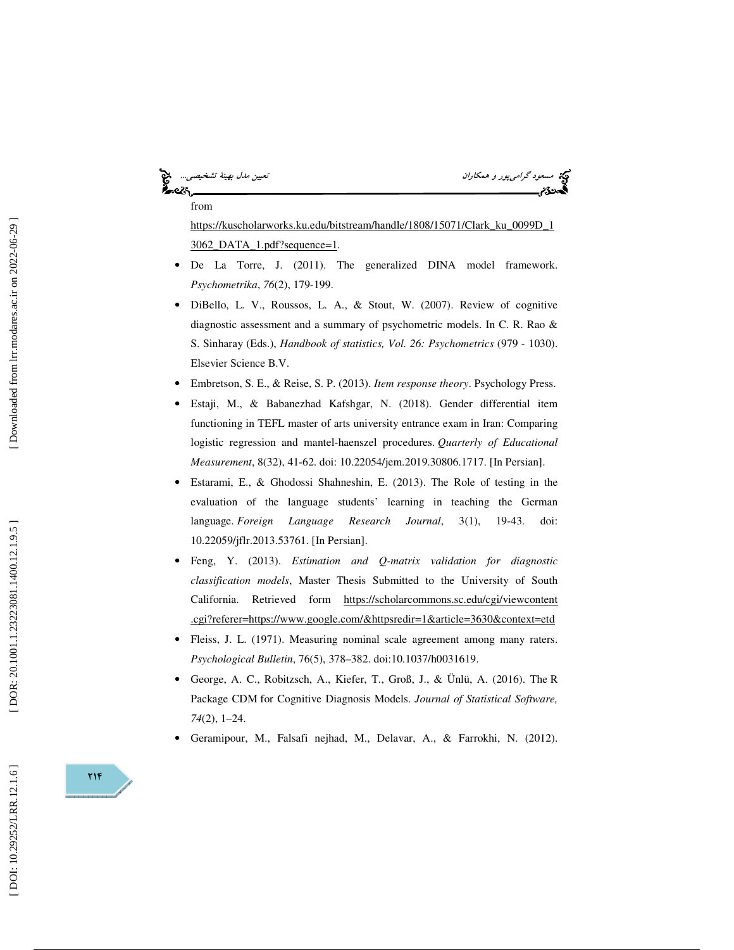# ેન્લ્ટર

from

مسعود گراميپور و همكاران نييتع مدل به ةني تشخ صي ي ...

https://kuscholarworks.ku.edu/bitstream/handle/1808/15071/Clark\_ku\_0099D\_1 3062\_DATA\_1.pdf?sequence=1.

- De La Torre, J. (2011). The generalized DINA model framework. *Psychometrika*, *76*(2), 179-199.
- DiBello, L. V., Roussos, L. A., & Stout, W. (2007). Review of cognitive diagnostic assessment and a summary of psychometric models. In C. R. Rao & S. Sinharay (Eds.), *Handbook of statistics, Vol. 26: Psychometrics* (979 - 1030). Elsevier Science B.V.
- Embretson, S. E., & Reise, S. P. (2013). *Item response theory*. Psychology Press.
- Estaji, M., & Babanezhad Kafshgar, N. (2018). Gender differential item functioning in TEFL master of arts university entrance exam in Iran: Comparing logistic regression and mantel-haenszel procedures. *Quarterly of Educational Measurement*, 8(32), 41-62. doi: 10.22054/jem.2019.30806.1717. [In Persian].
- Estarami, E., & Ghodossi Shahneshin, E. (2013). The Role of testing in the evaluation of the language students' learning in teaching the German language. *Foreign Language Research Journal*, 3(1), 19-43. doi: 10.22059/jflr.2013.53761. [In Persian].
- Feng, Y. (2013). *Estimation and Q-matrix validation for diagnostic classification models*, Master Thesis Submitted to the University of South California. Retrieved form https://scholarcommons.sc.edu/cgi/viewcontent .cgi?referer=https://www.google.com/&httpsredir=1&article=3630&context=etd
- Fleiss, J. L. (1971). Measuring nominal scale agreement among many raters. *Psychological Bulletin*, 76(5), 378–382. doi:10.1037/h0031619.
- George, A. C., Robitzsch, A., Kiefer, T., Groß, J., & Ünlü, A. (2016). The R Package CDM for Cognitive Diagnosis Models. *Journal of Statistical Software, 74*(2), 1–24.
- Geramipour, M., Falsafi nejhad, M., Delavar, A., & Farrokhi, N. (2012).

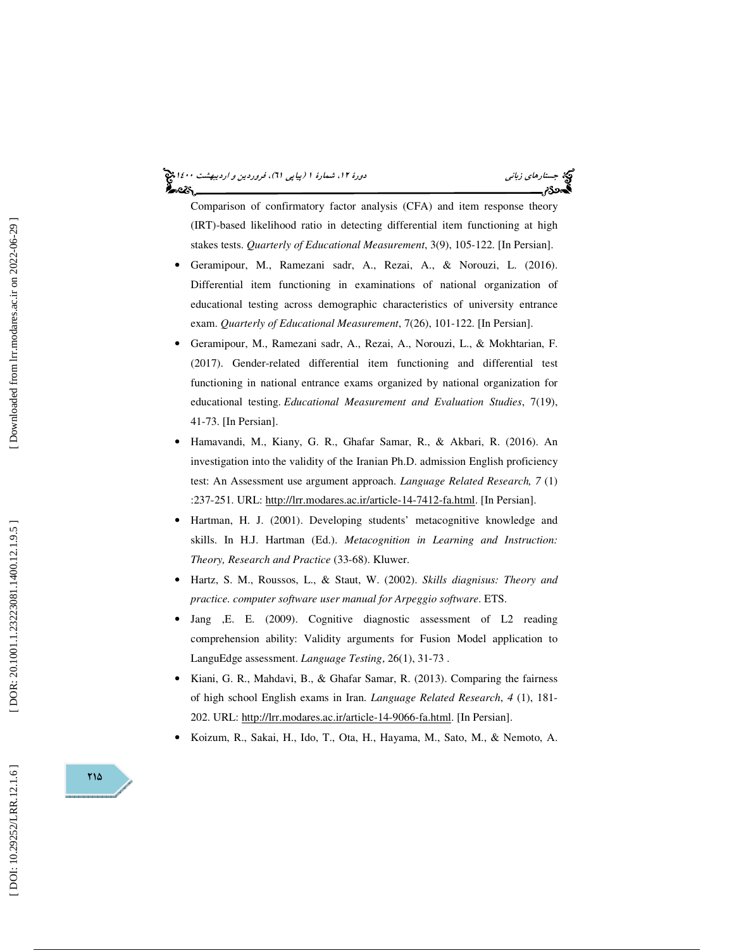# جستار*هاي زباني هي المرديبهشت 1400 ه*ورو 11، شمارة 1 (پياپي 71)، فر*وردين و ارديبهشت 14*00 هج

Comparison of confirmatory factor analysis (CFA) and item response theory (IRT)-based likelihood ratio in detecting differential item functioning at high stakes tests. *Quarterly of Educational Measurement*, 3(9), 105-122. [In Persian].

- Geramipour, M., Ramezani sadr, A., Rezai, A., & Norouzi, L. (2016). Differential item functioning in examinations of national organization of educational testing across demographic characteristics of university entrance exam. *Quarterly of Educational Measurement*, 7(26), 101-122. [In Persian].
- Geramipour, M., Ramezani sadr, A., Rezai, A., Norouzi, L., & Mokhtarian, F. (2017). Gender-related differential item functioning and differential test functioning in national entrance exams organized by national organization for educational testing. *Educational Measurement and Evaluation Studies*, 7(19), 41-73. [In Persian].
- Hamavandi, M., Kiany, G. R., Ghafar Samar, R., & Akbari, R. (2016). An investigation into the validity of the Iranian Ph.D. admission English proficiency test: An Assessment use argument approach. *Language Related Research, 7* (1) :237-251. URL: http://lrr.modares.ac.ir/article-14-7412-fa.html. [In Persian].
- Hartman, H. J. (2001). Developing students' metacognitive knowledge and skills. In H.J. Hartman (Ed.). *Metacognition in Learning and Instruction: Theory, Research and Practice* (33-68). Kluwer.
- Hartz, S. M., Roussos, L., & Staut, W. (2002). *Skills diagnisus: Theory and practice. computer software user manual for Arpeggio software*. ETS.
- Jang ,E. E. (2009). Cognitive diagnostic assessment of L2 reading comprehension ability: Validity arguments for Fusion Model application to LanguEdge assessment. *Language Testing* , 26(1), 31-73 .
- Kiani, G. R., Mahdavi, B., & Ghafar Samar, R. (2013). Comparing the fairness of high school English exams in Iran. *Language Related Research*, *4* (1), 181- 202. URL: http://lrr.modares.ac.ir/article-14-9066-fa.html. [In Persian].
- Koizum, R., Sakai, H., Ido, T., Ota, H., Hayama, M., Sato, M., & Nemoto, A.

11۵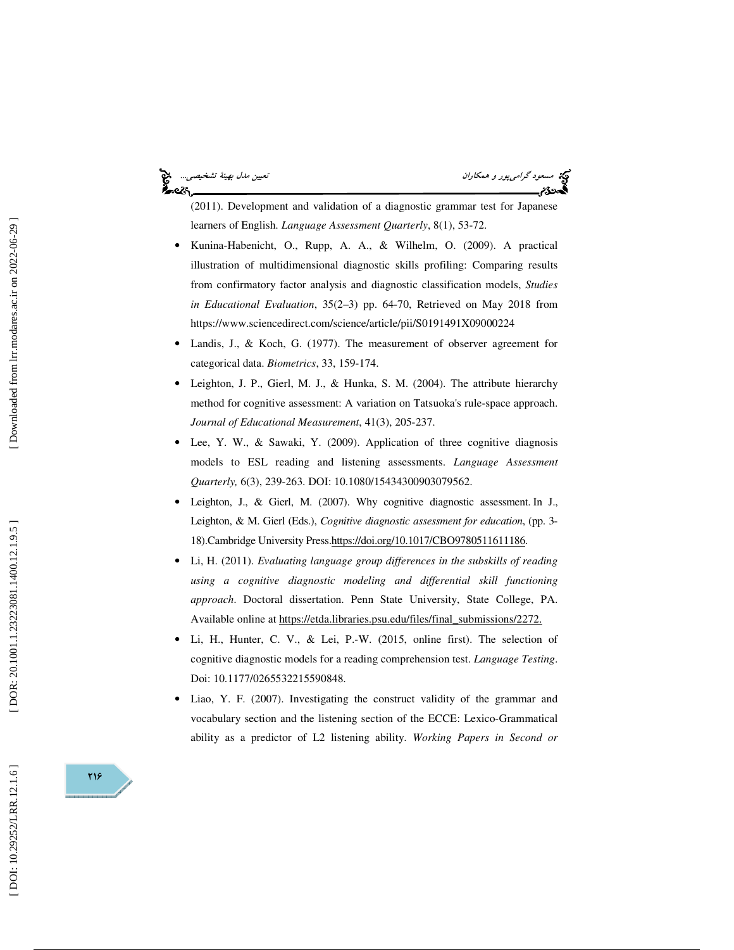## કૂ<br>અવ્હે\

مسعود *گرامي پور و همكاران نييتي مدل بهينهٔ تشخيصي...*<br>**مسعود كرامي پور و همكاران نيستان به تشخيصي**...<br>**پسوردي**م

(2011). Development and validation of a diagnostic grammar test for Japanese learners of English. *Language Assessment Quarterly*, 8(1), 53-72.

- Kunina-Habenicht, O., Rupp, A. A., & Wilhelm, O. (2009). A practical illustration of multidimensional diagnostic skills profiling: Comparing results from confirmatory factor analysis and diagnostic classification models, *Studies in Educational Evaluation*, 35(2–3) pp. 64-70, Retrieved on May 2018 from https://www.sciencedirect.com/science/article/pii/S0191491X09000224
- Landis, J., & Koch, G. (1977). The measurement of observer agreement for categorical data. *Biometrics*, 33, 159-174.
- Leighton, J. P., Gierl, M. J., & Hunka, S. M. (2004). The attribute hierarchy method for cognitive assessment: A variation on Tatsuoka's rule-space approach. *Journal of Educational Measurement*, 41(3), 205-237.
- Lee, Y. W., & Sawaki, Y. (2009). Application of three cognitive diagnosis models to ESL reading and listening assessments. *Language Assessment Quarterly,* 6(3), 239-263. DOI: 10.1080/15434300903079562.
- Leighton, J., & Gierl, M. (2007). Why cognitive diagnostic assessment. In J., Leighton, & M. Gierl (Eds.), *Cognitive diagnostic assessment for education*, (pp. 3- 18).Cambridge University Press.https://doi.org/10.1017/CBO9780511611186.
- Li, H. (2011). *Evaluating language group differences in the subskills of reading using a cognitive diagnostic modeling and differential skill functioning approach*. Doctoral dissertation. Penn State University, State College, PA. Available online at https://etda.libraries.psu.edu/files/final\_submissions/2272.
- Li, H., Hunter, C. V., & Lei, P.-W. (2015, online first). The selection of cognitive diagnostic models for a reading comprehension test. *Language Testing*. Doi: 10.1177/0265532215590848.
- Liao, Y. F. (2007). Investigating the construct validity of the grammar and vocabulary section and the listening section of the ECCE: Lexico-Grammatical ability as a predictor of L2 listening ability. *Working Papers in Second or*

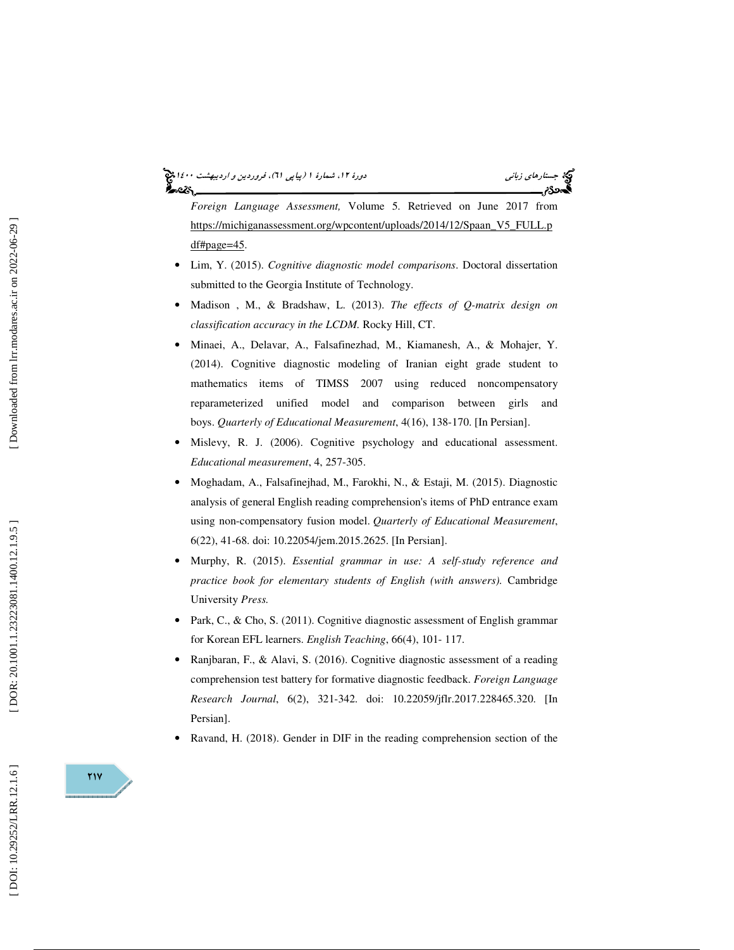## جستار*هاي زباني هي المرديبهشت 1400 ه*ورو 11، شمارة 1 (پياپي 71)، فر*وردين و ارديبهشت 14*00 هج

*Foreign Language Assessment,* Volume 5. Retrieved on June 2017 from https://michiganassessment.org/wpcontent/uploads/2014/12/Spaan\_V5\_FULL.p df#page=45.

- Lim, Y. (2015). *Cognitive diagnostic model comparisons*. Doctoral dissertation submitted to the Georgia Institute of Technology.
- Madison , M., & Bradshaw, L. (2013). *The effects of Q-matrix design on classification accuracy in the LCDM.* Rocky Hill, CT.
- Minaei, A., Delavar, A., Falsafinezhad, M., Kiamanesh, A., & Mohajer, Y. (2014). Cognitive diagnostic modeling of Iranian eight grade student to mathematics items of TIMSS 2007 using reduced noncompensatory reparameterized unified model and comparison between girls and boys. *Quarterly of Educational Measurement*, 4(16), 138-170. [In Persian].
- Mislevy, R. J. (2006). Cognitive psychology and educational assessment. *Educational measurement*, 4, 257-305.
- Moghadam, A., Falsafinejhad, M., Farokhi, N., & Estaji, M. (2015). Diagnostic analysis of general English reading comprehension's items of PhD entrance exam using non-compensatory fusion model. *Quarterly of Educational Measurement*, 6(22), 41-68. doi: 10.22054/jem.2015.2625. [In Persian].
- Murphy, R. (2015). *Essential grammar in use: A self-study reference and practice book for elementary students of English (with answers).* Cambridge University *Press.*
- Park, C., & Cho, S. (2011). Cognitive diagnostic assessment of English grammar for Korean EFL learners. *English Teaching*, 66(4), 101- 117.
- Ranjbaran, F., & Alavi, S. (2016). Cognitive diagnostic assessment of a reading comprehension test battery for formative diagnostic feedback. *Foreign Language Research Journal*, 6(2), 321-342. doi: 10.22059/jflr.2017.228465.320. [In Persian].
- Ravand, H. (2018). Gender in DIF in the reading comprehension section of the

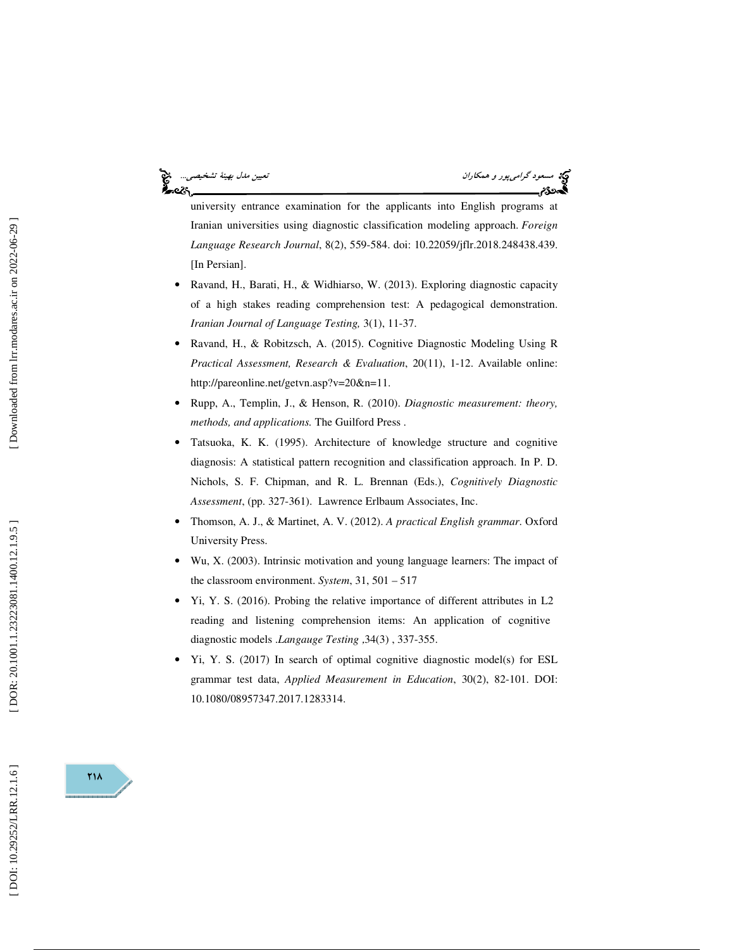# —ેલ્ટેલ

مسعود *گرامي پور و همكاران نييتي مدل بهينهٔ تشخيصي...*<br>**مسعود كرامي پور و همكاران نيستان به تشخيصي**...<br>**پسوردي**م

university entrance examination for the applicants into English programs at Iranian universities using diagnostic classification modeling approach. *Foreign Language Research Journal*, 8(2), 559-584. doi: 10.22059/jflr.2018.248438.439. [In Persian].

- Ravand, H., Barati, H., & Widhiarso, W. (2013). Exploring diagnostic capacity of a high stakes reading comprehension test: A pedagogical demonstration. *Iranian Journal of Language Testing,* 3(1), 11-37.
- Ravand, H., & Robitzsch, A. (2015). Cognitive Diagnostic Modeling Using R *Practical Assessment, Research & Evaluation*, 20(11), 1-12. Available online: http://pareonline.net/getvn.asp?v=20&n=11.
- Rupp, A., Templin, J., & Henson, R. (2010). *Diagnostic measurement: theory, methods, and applications.* The Guilford Press .
- Tatsuoka, K. K. (1995). Architecture of knowledge structure and cognitive diagnosis: A statistical pattern recognition and classification approach. In P. D. Nichols, S. F. Chipman, and R. L. Brennan (Eds.), *Cognitively Diagnostic*  Assessment, (pp. 327-361). Lawrence Erlbaum Associates, Inc.
- Thomson, A. J., & Martinet, A. V. (2012). *A practical English grammar*. Oxford University Press.
- Wu, X. (2003). Intrinsic motivation and young language learners: The impact of the classroom environment. *System*, 31, 501 – 517
- Yi, Y. S. (2016). Probing the relative importance of different attributes in L2 reading and listening comprehension items: An application of cognitive diagnostic models .*Langauge Testing* 34(3) , 337-355. ,
- Yi, Y. S. (2017) In search of optimal cognitive diagnostic model(s) for ESL grammar test data, *Applied Measurement in Education*, 30(2), 82-101. DOI: 10.1080/08957347.2017.1283314.

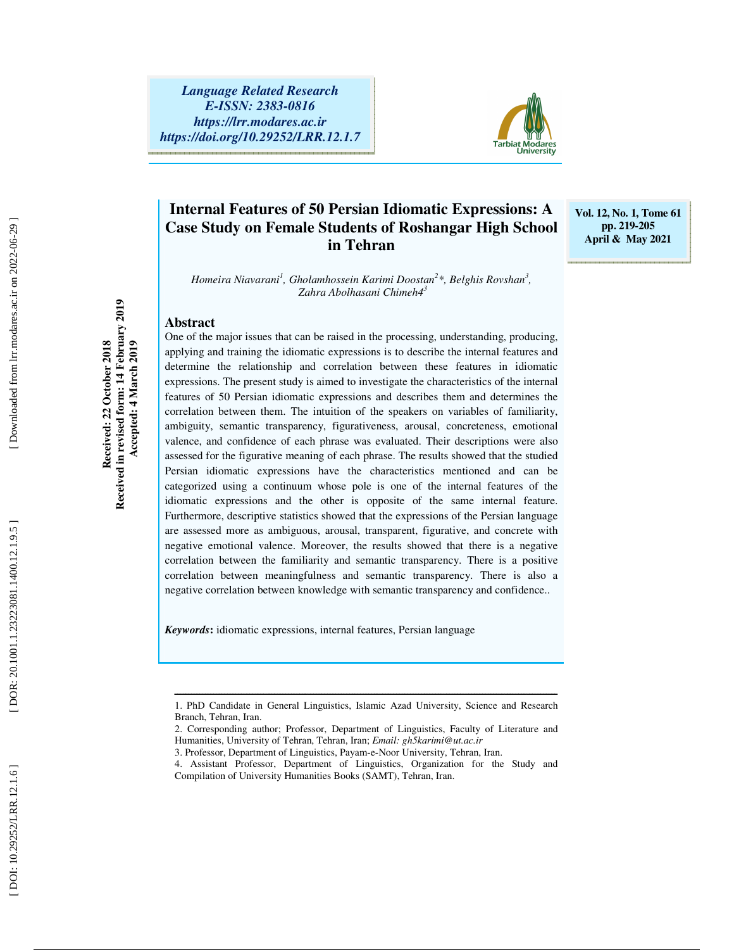

### **Internal Features of 50 Persian Idiomatic Expressions: A Case Study on Female Students of Roshangar High School in Tehran**

**Vol. 12, No. 1, Tome 61 pp. 219-205 April & May 2021** 

*Homeira Niavarani 1 , Gholamhossein Karimi Doostan 2 \*, Belghis Rovshan 3 , Zahra Abolhasani Chimeh4 3*

### **Abstract**

**Received: 22 October 2018 Received in revised form: 14 February 2019 Accepted: 4 March 2019** 

Received in revised form: 14 February 2019 Received: 22 October 2018

Accepted: 4 March 2019

One of the major issues that can be raised in the processing, understanding, producing, applying and training the idiomatic expressions is to describe the internal features and determine the relationship and correlation between these features in idiomatic expressions. The present study is aimed to investigate the characteristics of the internal features of 50 Persian idiomatic expressions and describes them and determines the correlation between them. The intuition of the speakers on variables of familiarity, ambiguity, semantic transparency, figurativeness, arousal, concreteness, emotional valence, and confidence of each phrase was evaluated. Their descriptions were also assessed for the figurative meaning of each phrase. The results showed that the studied Persian idiomatic expressions have the characteristics mentioned and can be categorized using a continuum whose pole is one of the internal features of the idiomatic expressions and the other is opposite of the same internal feature. Furthermore, descriptive statistics showed that the expressions of the Persian language are assessed more as ambiguous, arousal, transparent, figurative, and concrete with negative emotional valence. Moreover, the results showed that there is a negative correlation between the familiarity and semantic transparency. There is a positive correlation between meaningfulness and semantic transparency. There is also a negative correlation between knowledge with semantic transparency and confidence..

*Keywords* **:** idiomatic expressions, internal features, Persian language

ــــــــــــــــــــــــــــــــــــــــــــــــــــــــــــــــــــــــــــــــــــــــــــــــــــــــــــــــــــــــــــــــــــــــــ 1. PhD Candidate in General Linguistics, Islamic Azad University, Science and Research Branch, Tehran, Iran.

<sup>2.</sup> Corresponding author; Professor, Department of Linguistics, Faculty of Literature and Humanities, University of Tehran, Tehran, Iran; *Email: gh5karimi@ut.ac.ir* 

<sup>3.</sup> Professor, Department of Linguistics, Payam-e-Noor University, Tehran, Iran.

<sup>4.</sup> Assistant Professor, Department of Linguistics, Organization for the Study and Compilation of University Humanities Books (SAMT), Tehran, Iran.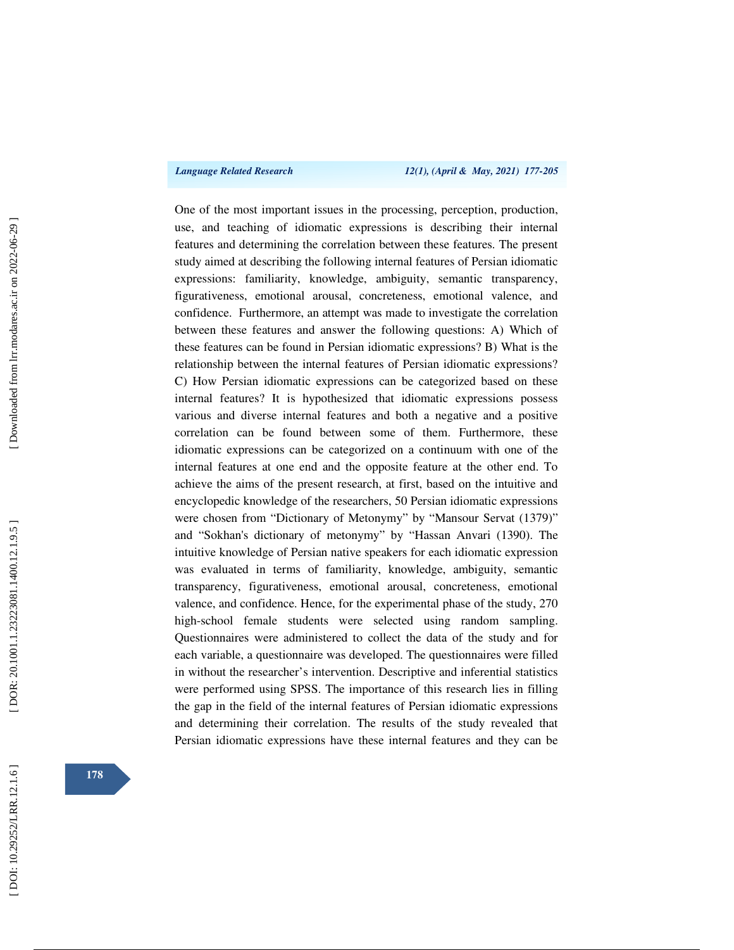One of the most important issues in the processing, perception, production, use, and teaching of idiomatic expressions is describing their internal features and determining the correlation between these features. The present study aimed at describing the following internal features of Persian idiomatic expressions: familiarity, knowledge, ambiguity, semantic transparency, figurativeness, emotional arousal, concreteness, emotional valence, and confidence. Furthermore, an attempt was made to investigate the correlation between these features and answer the following questions: A) Which of these features can be found in Persian idiomatic expressions? B) What is the relationship between the internal features of Persian idiomatic expressions? C) How Persian idiomatic expressions can be categorized based on these internal features? It is hypothesized that idiomatic expressions possess various and diverse internal features and both a negative and a positive correlation can be found between some of them. Furthermore, these idiomatic expressions can be categorized on a continuum with one of the internal features at one end and the opposite feature at the other end. To achieve the aims of the present research, at first, based on the intuitive and encyclopedic knowledge of the researchers, 50 Persian idiomatic expressions were chosen from "Dictionary of Metonymy" by "Mansour Servat (1379)" and "Sokhan's dictionary of metonymy" by "Hassan Anvari (1390). The intuitive knowledge of Persian native speakers for each idiomatic expression was evaluated in terms of familiarity, knowledge, ambiguity, semantic transparency, figurativeness, emotional arousal, concreteness, emotional valence, and confidence. Hence, for the experimental phase of the study, 270 high-school female students were selected using random sampling. Questionnaires were administered to collect the data of the study and for each variable, a questionnaire was developed. The questionnaires were filled in without the researcher's intervention. Descriptive and inferential statistics were performed using SPSS. The importance of this research lies in filling the gap in the field of the internal features of Persian idiomatic expressions and determining their correlation. The results of the study revealed that Persian idiomatic expressions have these internal features and they can be

Downloaded from lrr.modares.ac.ir on 2022-06-29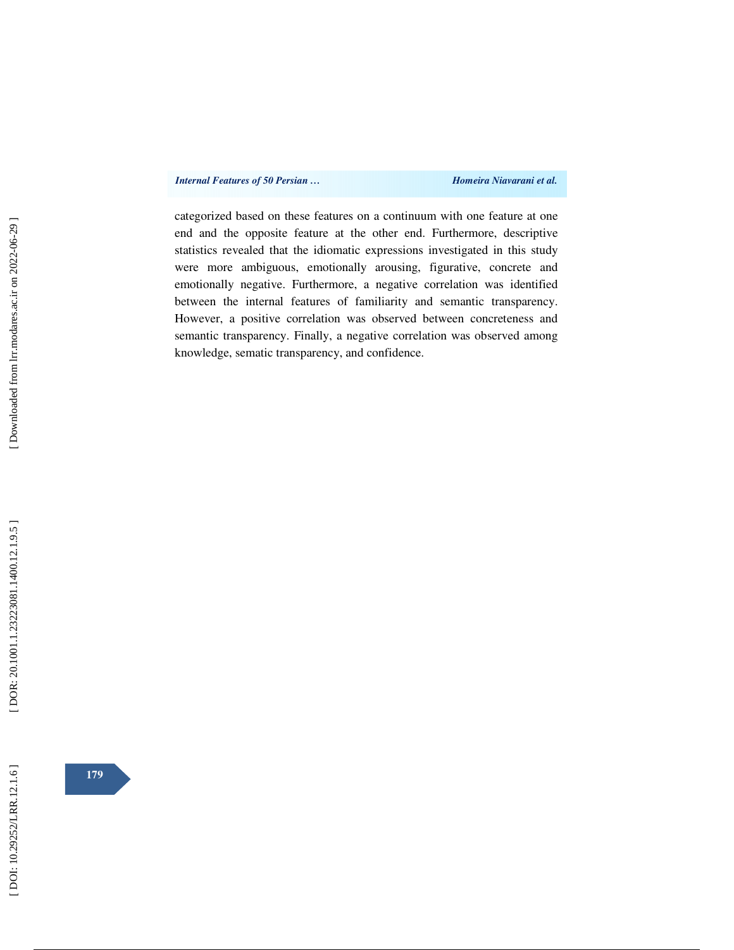categorized based on these features on a continuum with one feature at one end and the opposite feature at the other end. Furthermore, descriptive statistics revealed that the idiomatic expressions investigated in this study were more ambiguous, emotionally arousing, figurative, concrete and emotionally negative. Furthermore, a negative correlation was identified between the internal features of familiarity and semantic transparency. However, a positive correlation was observed between concreteness and semantic transparency. Finally, a negative correlation was observed among knowledge, sematic transparency, and confidence.

**179**

[Downloaded from lrr.modares.ac.ir on 2022-06-29]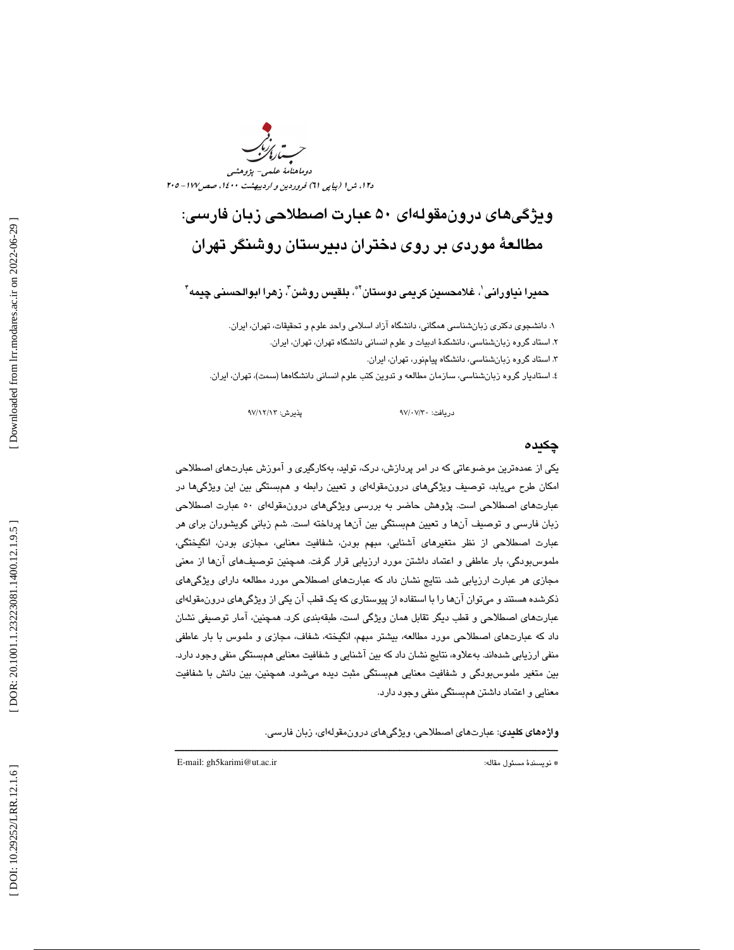

## ويژگيهاي درونمقولهاي 50 عبارت اصطلاحي زبان فارسي: مطالعة موردي بر روي دختران دبيرستان روشنگر تهران

حميرا نياورانى ٰ، غلامحسين كريمى دوستان ّ ؓ، بلقيس روشن ؓ، زهرا ابوالحسنى چِيمه ؓ

۱. دانشجوي دكتري زبانشناسي همگاني، دانشگاه آزاد اسلامي واحد علوم و تحقيقات، تهران، ايران. ۲. استاد گروه زبانشناسی، دانشکدهٔ ادبیات و علوم انسانی دانشگاه تهران، تهران، ایران. . 3 استاد گروه زبانشناسي، دانشگاه پيامنور، تهران، ايران . . استاديار گروه زبانشناسي ، سازمان مطالعه و تدوين كتب علوم انساني دانشگاهها (سمت)، تهران، ايران. 4

دريافت: 30/ 07/ 97 پذيرش: 13/ 12/ 97

### چكيده

يكي از عمدهترين موضوعاتي كه در امر پردازش، درك، توليد، بهكارگيري و آموزش عبارتهاي اصطلاحي امكان طرح مييابد، توصيف ويژگيهاي درونمقولهاي و تعيين رابطه و همبستگي بين اين ويژگيها در عبارتهاي اصطلاحي است. پژوهش حاضر به بررسي ويژگيهاي درونمقولهاي 50 عبارت اصطلاحي زبان فارسي و توصيف آنها و تعيين همبستگي بين آنها پرداخته است. شم زباني گويشوران براي هر عبارت اصطلاحي از نظر متغيرهاي آشنايي، مبهم بودن، شفافيت معنايي، مجازي بودن، انگيختگي، ملموسبودگي، بار عاطفي و اعتماد داشتن مورد ارزيابي قرار گرفت. همچنين توصيفهاي آنها از معني مجازي هر عبارت ارزيابي شد. نتايج نشان داد كه عبارتهاي اصطلاحي مورد مطالعه داراي ويژگيهاي ذكرشده هستند و ميتوان آنها را با استفاده از پيوستاري كه يك قطب آن يكي از ويژگيهاي درونمقولهاي هاي اصطلاحي و قطب ديگر تقابل همان ويژگي است، طبقهبندي كرد. همچنين، آمار توصيفي نشان عبارت داد كه عبارتهاي اصطلاحي مورد مطالعه، بيشتر مبهم، انگيخته، شفاف، مجازي و ملموس با بار عاطفي منفي ارزيابي شدهاند. بهعلاوه، نتايج نشان داد كه بين آشنايي و شفافيت معنايي همبستگي منفي وجود دارد. بين متغير ملموسبودگي و شفافيت معنايي همبستگي مثبت ديده ميشود. همچنين، بين دانش با شفافيت معنايي و اعتماد داشتن همبستگي منفي وجود دارد.

ــــــــــــــــــــــــــــــــــــــــــــــــــــــــــــــــــــــــــــــــــــــــــــــــــــــــــــــــــــــــــــــــــــــــــ

واژههاي كليدي: عبارتهاي اصطلاحي، ويژگيهاي درونمقولهاي، زبان فارسي.

E-mail: gh5karimi@ut.ac.ir :مقاله مسئول نويسندة\*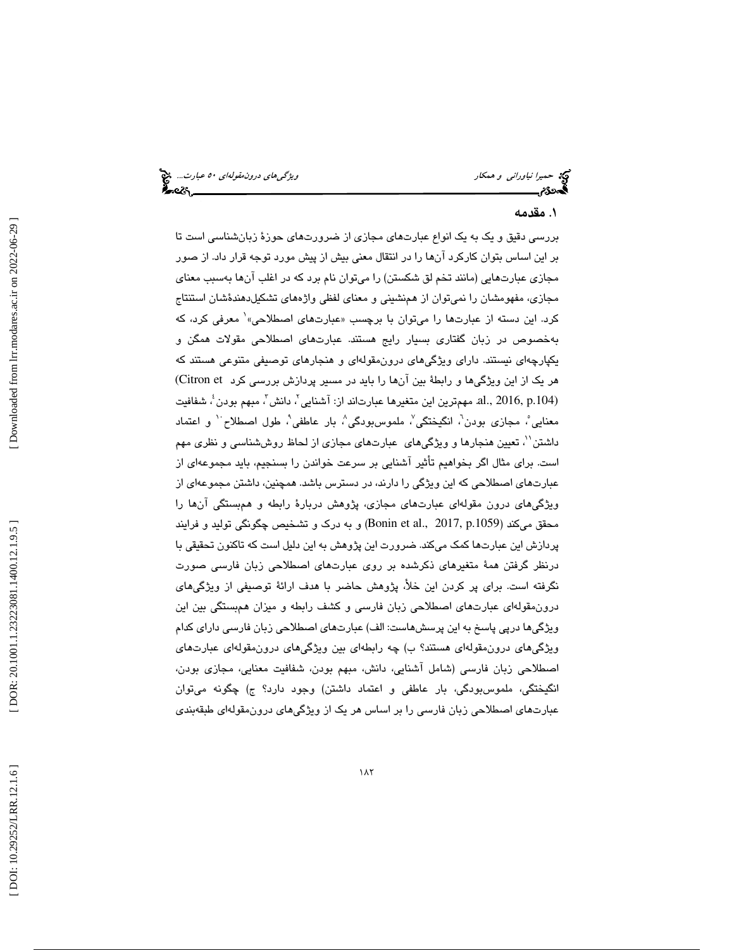حميرا *نياوراني و همكار ويشكل استخدام است بين المركزي هاي درون مقولهاي ٥٠ عبارت...*. چ<mark>خ</mark><br>ال**م**حدوم

### . مقدمه 1

بررسي دقيق و يك به يك انواع عبارتهاي مجازي از ضرورتهاي حوزة زبا ن شناسي است تا بر اين اساس بتوان كاركرد آنها را در انتقال معني بيش از پيش مورد توجه قرار داد. از صور مجازي عبارتهايي (مانند تخم لق شكستن) را ميتوان نام برد كه در اغلب آنها بهسبب معناي 1معرفي كرد، كه مجازی، مفهومشان را نميتوان از همنشيني و معناي لفظي واژههاي تشكيلدهندهٔشان استنتاج بهخصوص در زبان گفتاري بسيار رايج هستند. عبارتهاي اصطلاحي مقولات همگن و يكپارچهاي نيستند. داراي ويژگيهاي درونمقولهاي و هنجارهاي توصيفي متنوعي هستند كه هر يک از اين ويژگيها و رابطهٔ بين آنها را بايد در مسير پردازش بررسي كرد Citron et) .al., 2016, p.104) مهمترين اين متغيرها عبارتاند از: آشنايي<sup>7</sup>، دانش<sup>7</sup>، مبهم بودن<sup>، ب</sup> شفافيت معنايي ؒ، مجازي بودن ؒ، انگيختگي ؒ، ملموسبودگي ؒ، بار عاطفي ؒ، طول اصطلاح ٰ و اعتماد داشتن''، تعيين هنجارها و ويژگيهاي عبارتهاي مجازي از لحاظ روششناسي و نظري مهم است. براي مثال اگر بخواهيم تأثير آشنايي بر سرعت خواندن را بسنجيم، بايد مجموعهاي از عبارتهاي اصطلاحي كه اين ويژگي را دارند، در دسترس باشد. همچنين، داشتن مجموعهاي از ويژگيهاي درون مقولهاي عبارتهاي مجازي، پژوهش دربارة رابطه و همبستگي آنها را محقق ميكند (Bonin et al., 2017, p.1059) و به درك و تشخيص چگونگي توليد و فرايند پردازش اين عبارتها كمك ميكند. ضرورت اين پژوهش به اين دليل است كه تاكنون تحقيقي با درنظر گرفتن همة متغيرهاي ذكرشده بر روي عبارتهاي اصطلاحي زبان فارسي صورت نگرفته است. براي پر كردن اين خلأ، پژوهش حاضر با هدف ارائة توصيفي از ويژگيهاي درونمقولهاي عبارتهاي اصطلاحي زبان فارسي و كشف رابطه و ميزان همبستگي بين اين ويژگيها درپي پاسخ به اين پرسشهاست: الف) عبارتهاي اصطلاحي زبان فارسي داراي كدام ويژگيهاي درونمقولهاي هستند؟ ب) چه رابطهاي بين ويژگيهاي درونمقولهاي عبارتهاي اصطلاحي زبان فارسي (شامل آشنايي، دانش، مبهم بودن، شفافيت معنايي، مجازي بودن، انگيختگي، ملموس بودگي، بار عاطفي و اعتماد داشتن) وجود دارد؟ ج) چگونه ميتوان 1 عبارتهاي اصطلاحي زبان فارسي را بر اساس هر يك از ويژگيهاي درونمقولهاي طبقهبندي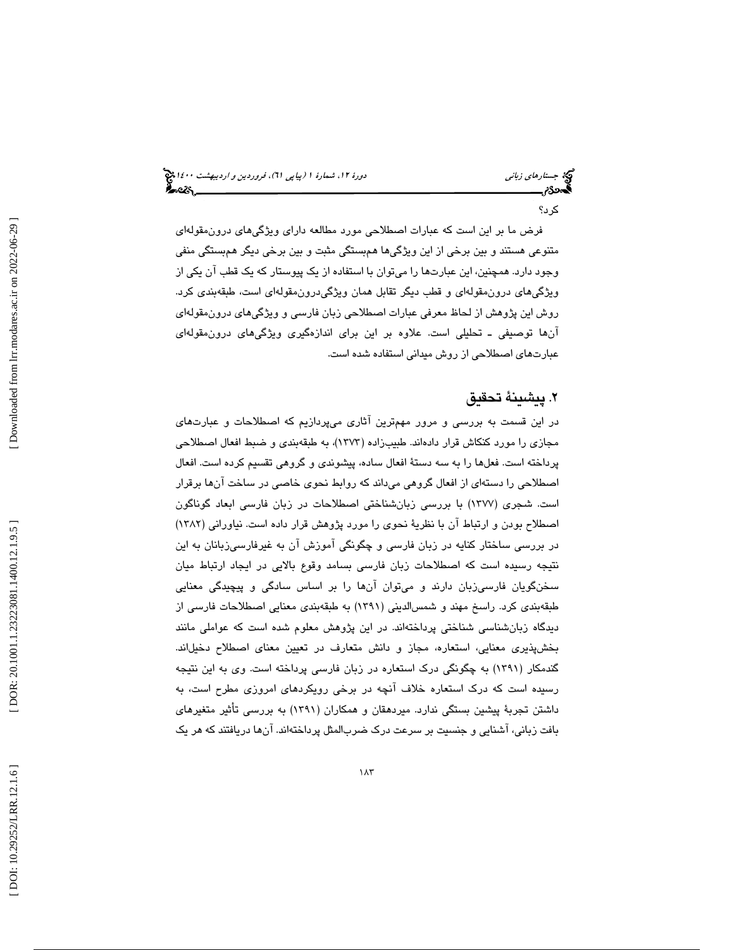### جستار*هاي زباني هي المرديبهشت 1400 ه*ورو 11، شمارة 1 (پياپي 71)، فر*وردين و ارديبهشت 14*00 هج

كرد؟

فرض ما بر اين است كه عبارات اصطلاحي مورد مطالعه داراي ويژگيهاي درونمقولهاي متنوعي هستند و بين برخي از اين ويژگيها همبستگي مثبت و بين برخي ديگر همبستگي منفي وجود دارد. همچنين، اين عبارتها را ميتوان با استفاده از يك پيوستار كه يك قطب آن يكي از ويژگيهاي درونمقولهاي و قطب ديگر تقابل همان ويژگيدرونمقولهاي است، طبقهبندي كرد. وش اين پژوهش از لحاظ معرفي عبارات اصطلاحي زبان فارسي و ويژگيهاي درونمقولهاي ر آنها توصيفي ـ تحليلي است. علاوه بر اين براي اندازهگيري ويژگيهاي درونمقولهاي عبارتهاي اصطلاحي از روش ميداني استفاده شده است.

### . پيشينة تحقيق 2

در اين قسمت به بررسي و مرور مهمترين آثاري ميپردازيم كه اصطلاحات و عبارتهاي مجازي را مورد كنكاش قرار دادهاند. طبيبزاده (1373)، به طبقهبندي و ضبط افعال اصطلاحي پرداخته است. فعلها را به سه دستة افعال ساده، پيشوندي و گروهي تقسيم كرده است. افعال اصطلاحي را دستهاي از افعال گروهي م يداند كه روابط نحوي خاصي در ساخت آنها برقرار است. شجري (1377) با بررسي زبانشناختي اصطلاحات در زبان فارسي ابعاد گوناگون اصطلاح بودن و ارتباط آن با نظرية نحوي را مورد پژوهش قرار داده است. نياوراني (1382) در بررسي ساختار كنايه در زبان فارسي و چگونگي آموزش آن به غيرفارسيزبانان به اين نتيجه رسيده است كه اصطلاحات زبان فارسي بسامد وقوع بالايي در ايجاد ارتباط ميان سخنگويان فارسيزبان دارند و ميتوان آنها را بر اساس سادگي و پيچيدگي معنايي طبقهبندي كرد. راسخ مهند و شمسالديني (1391) به طبقهبندي معنايي اصطلاحات فارسي از ديدگاه زبانشناسي شناختي پرداختهاند. در اين پژوهش معلوم شده است كه عواملي مانند بخشپذيري معنايي، استعاره، مجاز و دانش متعارف در تعيين معناي اصطلاح دخيلاند. گندمكار (1391) به چگونگي درك استعاره در زبان فارسي پرداخته است. وي به اين نتيجه رسيده است كه درك استعاره خلاف آنچه در برخي رويكردهاي امروزي مطرح است، به داشتن تجربة پيشين بستگي ندارد. ميردهقان و همكاران (1391) به بررسي تأثير متغيرهاي بافت زباني، آشنايي و جنسيت بر سرعت درك ضربالمثل پرداختهاند. آنها دريافتند كه هر يك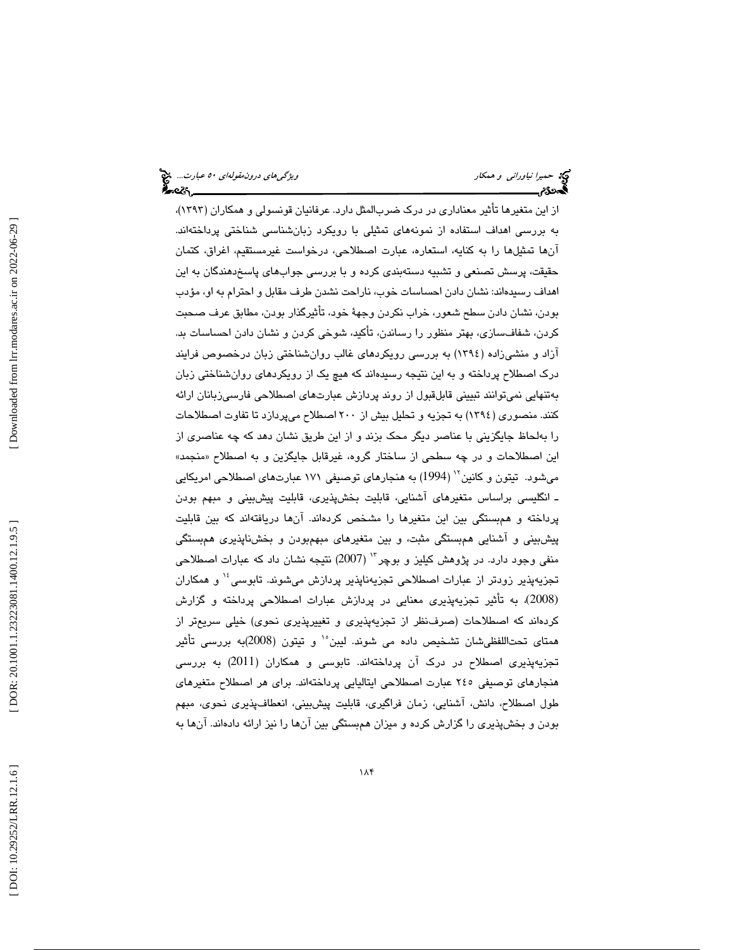از اين متغيرها تأثير معناداري در درك ضربالمثل دارد. عرفانيان قونسولي و همكاران (1393)، به بررسي اهداف استفاده از نمونههاي تمثيلي با رويكرد زبانشناسي شناختي پرداختهاند. آنها تمثيلها را به كنايه، استعاره، عبارت اصطلاحي، درخواست غيرمستقيم، اغراق، كتمان حقيقت، پرسش تصنعي و تشبيه دسته بندي كرده و با بررسي جوابهاي پاسخدهندگان به اين اهداف رسيدهاند: نشان دادن احساسات خوب، ناراحت نشدن طرف مقابل و احترام به او، مؤدب بودن، نشان دادن سطح شعور، خراب نكردن وجهة خود، تأثيرگذار بودن، مطابق عرف صحبت كردن، شفافسازي، بهتر منظور را رساندن، تأكيد، شوخي كردن و نشان دادن احساسات بد. آزاد و منشيزاده (1394) به بررسي رويكردهاي غالب روانشناختي زبان درخصوص فرايند درك اصطلاح پرداخته و به اين نتيجه رسيدهاند كه هيچ يك از رويكردهاي روانشناختي زبان بهتنهايي نميتوانند تبييني قابلقبول از روند پردازش عبارتهاي اصطلاحي فارسيزبانان ارائه كنند. منصوري (1394) به تجزيه و تحليل بيش از 200 اصطلاح ميپردازد تا تفاوت اصطلاحات را بهلحاظ جايگزيني با عناصر ديگر محك بزند و از اين طريق نشان دهد كه چه عناصري از اين اصطلاحات و در چه سطحي از ساختار گروه، غيرقابل جايگزين و به اصطلاح «منجمد» ميشود. تيتون و كانين `` (1994) به هنجارهاي توصيفي ١٧١ عبارتهاي اصطلاحي امريكايي ـ انگليسي براساس متغيرهاي آشنايي، قابليت بخشپذيري، قابليت پيش بيني و مبهم بودن پرداخته و همبستگي بين اين متغيرها را مشخص كردهاند. آنها دريافتهاند كه بين قابليت پيشبيني و آشنايي همبستگي مثبت، و بين متغيرهاي مبهمبودن و بخشناپذيري همبستگي منفی وجود دارد. در پژوهش كيليز و بوچر `` (2007) نتيجه نشان داد كه عبارات اصطلاحی تجزيهپذير زودتر از عبارات اصطلاحی تجزيهناپذير پردازش ميشوند. تابوسي<sup>،</sup>' و همکاران (2008)، به تأثير تجزيه پذيري معنايي در پردازش عبارات اصطلاحي پرداخته و گزارش كردهاند كه اصطلاحات (صرفنظر از تجزيهپذيري و تغييرپذيري نحوي) خيلي سريعتر از همتاي تحتاللفظيشان تشخيص داده مي شوند. ليبن°` و تيتون (2008)به بررسي تأثير تجزيهپذيري اصطلاح در درك آن پرداختهاند. تابوسي و همكاران (2011) به بررسي هنجارهاي توصيفي 245 عبارت اصطلاحي ايتاليايي پرداختهاند. براي هر اصطلاح متغيرهاي طول اصطلاح، دانش، آشنايي، زمان فراگيري، قابليت پيشبيني، انعطاف پذيري نحوي، مبهم بودن و بخشپذيري را گزارش كرده و ميزان همبستگي بين آنها را نيز ارائه دادهاند. آنها به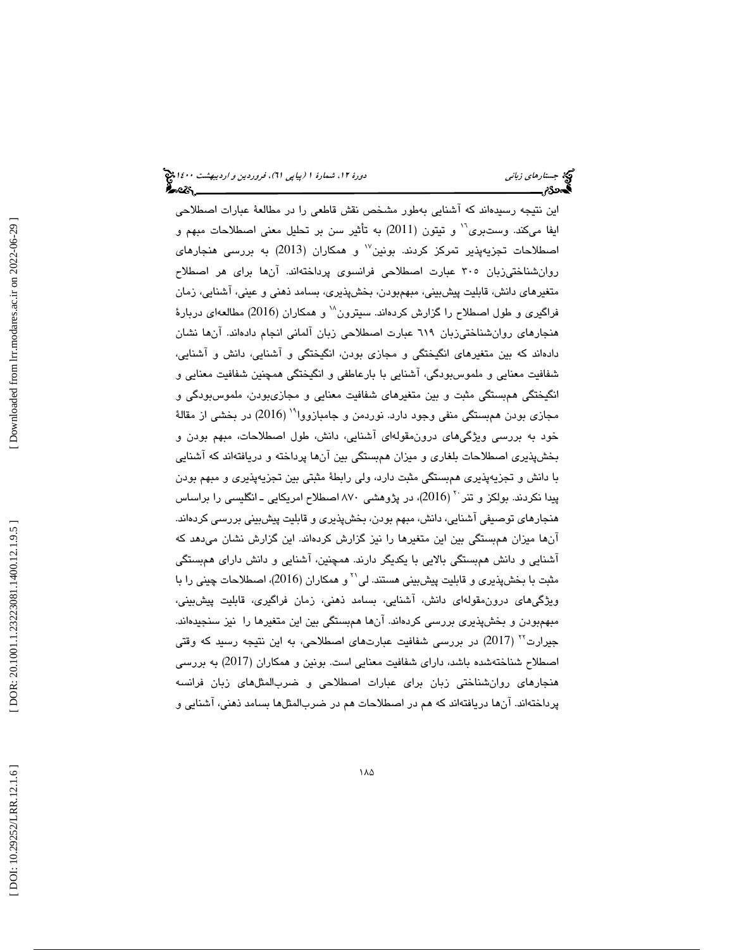اين نتيجه رسيدهاند كه آشنايي بهطور مشخص نقش قاطعي را در مطالعة عبارات اصطلاحي ايفا ميكند. وستبري<sup>11</sup> و تيتون (2011) به تأثير سن بر تحليل معني اصطلاحات مبهم و اصطلاحات تجزیهپذیر تمرکز کردند. بونین $^{\vee}$  و همکاران (2013) به بررسی هنجارهای روانشناختيزبان 305 عبارت اصطلاحي فرانسوي پرداختهاند. آنها براي هر اصطلاح متغيرهاي دانش، قابليت پيشبيني، مبهمبودن، بخشپذيري، بسامد ذهني و عيني، آشنايي، زمان فراگيري و طول اصطلاح را گزارش كردهاند. سيترون `` و همكاران (2016) مطالعهاي دربارهٔ هنجارهاي روانشناختيزبان 619 عبارت اصطلاحي زبان آلماني انجام دادهاند. آنها نشان دادهاند كه بين متغيرهاي انگيختگي و مجازي بودن، انگيختگي و آشنايي، دانش و آشنايي، شفافيت معنايي و ملموسبودگي، آشنايي با بارعاطفي و انگيختگي همچنين شفافيت معنايي و انگيختگي همبستگي مثبت و بين متغيرهاي شفافيت معنايي و مجازيبودن، ملموسبودگي و مجازي بودن همېستگي منفي وجود دارد. نوردمن و جامبازووا<sup>۱۹</sup> (2016) در بخشي از مقالهٔ خود به بررسي ويژگيهاي درونمقولهاي آشنايي، دانش، طول اصطلاحات، مبهم بودن و بخشپذيري اصطلاحات بلغاري و ميزان همبستگي بين آن ها پرداخته و دريافتهاند كه آشنايي با دانش و تجزيهپذيري همبستگي مثبت دارد، ولي رابطة مثبتي بين تجزيهپذيري و مبهم بودن پیدا نكردند. بولكز و تنر `` (2016)، در پژوهشی ۸۷۰ اصطلاح امریكایی ـ انگلیسی را براساس هنجارهاي توصيفي آشنايي، دانش، مبهم بودن، بخشپذيري و قابليت پيشبيني بررسي كردهاند. آنها ميزان همبستگي بين اين متغيرها را نيز گزارش كردهاند. اين گزارش نشان ميدهد كه آشنايي و دانش همبستگي بالايي با يكديگر دارند. همچنين، آشنايي و دانش داراي همبستگي مثبت با بخشپذيري و قابليت پيشبيني هستند. لي`` و همكاران (2016)، اصطلاحات چيني را با ويژگيهاي درونمقولهاي دانش، آشنايي، بسامد ذهني، زمان فراگيري، قابليت پيشبيني، مبهمبودن و بخشپذيري بررسي كردهاند. آنها همبستگي بين اين متغيرها را نيز سنجيدهاند. جیرارت<sup>۲۲</sup> (2017) در بررسی شفافیت عبارتهای اصطلاحی، به این نتیجه رسید که وقتی اصطلاح شناختهشده باشد، داراي شفافيت معنايي است. بونين و همكاران (2017) به بررسي هنجارهاي روانشناختي زبان براي عبارات اصطلاحي و ضربالمثلهاي زبان فرانسه پرداختهاند. آنها دريافتهاند كه هم در اصطلاحات هم در ضربالمثلها بسامد ذهني، آشنايي و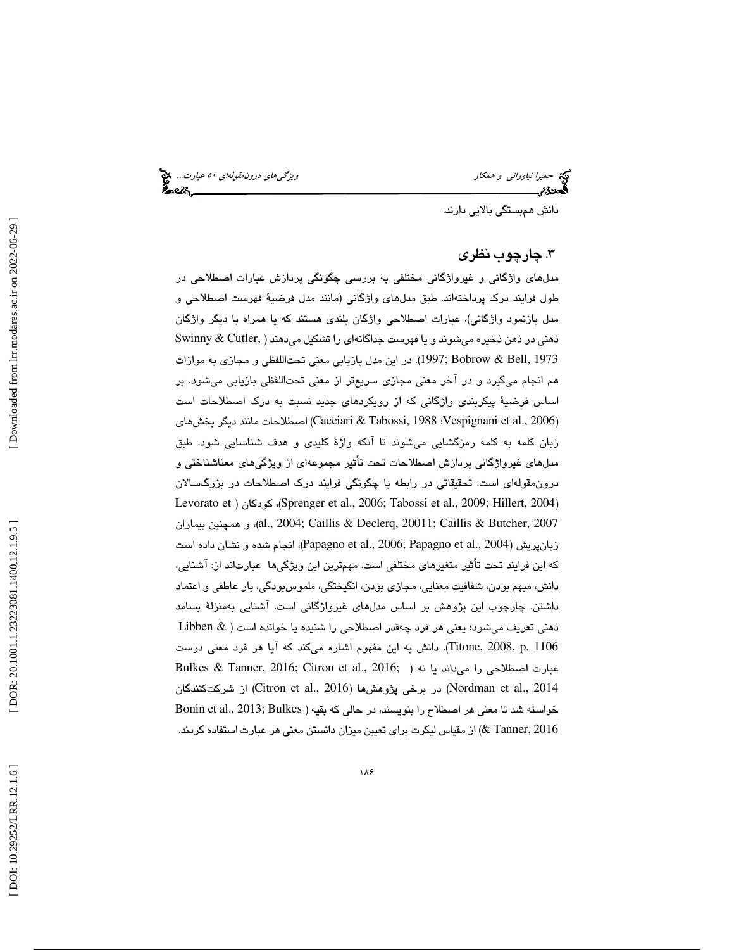حميرا *نياوراني و همكار ويشكل استخدام بين المركزي التورن درون مقولهاي ٥٠ عبارت...*. چ<mark>خ</mark><br>ال**محمد التورنم ويژگي التورنتي ويژگي التورنتي التورنتي ويژگي التورنتي ويژگي التورنتي ويژگي التورنتي التورنتي ال<br>التورنتي التورنتي وي** 

دانش همبستگي بالايي دارند.

### 3 . چارچوب نظري

 مدلهاي واژگاني و غيرواژگاني مختلفي به بررسي چگونگي پردازش عبارات اصطلاحي در طول فرايند درك پرداختهاند. طبق مدلهاي واژگاني (مانند مدل فرضية فهرست اصطلاحي و مدل بازنمود واژگاني)، عبارات اصطلاحي واژگان بلندي هستند كه يا همراه با ديگر واژگان ذهني در ذهن ذخيره ميشوند و يا فهرست جداگانهاي را تشكيل ميدهند ( ,Cutler & Swinny 1973 ,Bell & Bobrow; 1997(. در اين مدل بازيابي معني تحتاللفظي و مجازي به موازات هم انجام ميگيرد و در آخر معني مجازي سريعتر از معني تحتاللفظي بازيابي ميشود. بر اساس فرضية پيكربندي واژگاني كه از رويكردهاي جديد نسبت به درك اصطلاحات است (Pacciari & Tabossi, 1988 :Vespignani et al., 2006) اصطلاحات مانند ديگر بخشهاي (Cacciari & Tabossi, 1 بان كلمه به كلمه رمزگشايي ميشوند تا آنكه واژة كليدي و هدف شناسايي شود. طبق ز مدلهاي غيرواژگاني پردازش اصطلاحات تحت تأثير مجموعهاي از ويژگيهاي معناشناختي و درونمقولهاي است. تحقيقاتي در رابطه با چگونگي فرايند درك اصطلاحات در بزرگسالان Levorato et ) كودكان ،)Sprenger et al., 2006; Tabossi et al., 2009; Hillert, 2004 ) بيماران همچنين و ،)al., 2004; Caillis & Declerq, 20011; Caillis & Butcher, 2007 زبانپريش (2004 .,al et Papagno; 2006 .,al et Papagno(، انجام شده و نشان داده است كه اين فرايند تحت تأثير متغيرهاي مختلفي است. مهمترين اين ويژگيها عبارتاند از: آشنايي، دانش، مبهم بودن، شفافيت معنايي، مجازي بودن، انگيختگي، ملموسبودگي، بار عاطفي و اعتماد داشتن. چارچوب اين پژوهش بر اساس مدلهاي غيرواژگاني است. آشنايي بهمنزلة بسامد ذهني تعريف ميشود؛ يعني هر فرد چهقدر اصطلاحي را شنيده يا خوانده است ( & Libben Titone, 2008, p. 1106). دانش به اين مفهوم اشاره ميكند كه آيا هر فرد معنى درست Bulkes & Tanner, 2016; Citron et al., 2016; ) عبارت اصطلاحی را میداند يا نه در برخی پژوهش ها (Citron et al., 2016) از شركتكنندگان  $($ Nordman et al., 2014 خواسته شد تا معني هر اصطلاح را بنويسند، در حالي كه بقيه ( Bonin et al., 2013; Bulkes 2016 ,Tanner (& از مقياس ليكرت براي تعيين ميزان دانستن معني هر عبارت استفاده كردند.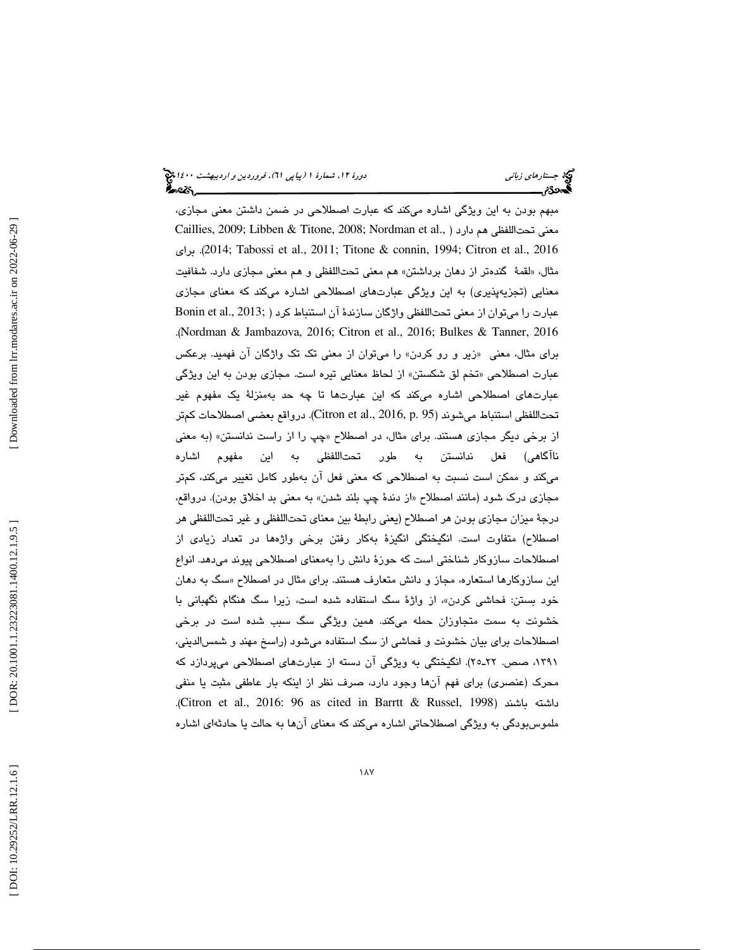### جستار*هاي زباني هي المرديبهشت 1400 ه*ورو 11، شمارة 1 (پياپي 71)، فر*وردين و ارديبهشت 14*00 هج ∳ેન્વ્દર્<sub>——</sub>

مبهم بودن به اين ويژگي اشاره ميكند كه عبارت اصطلاحي در ضمن داشتن معني مجازي، Caillies, 2009; Libben & Titone, 2008; Nordman et al., ) معنى تحتاللفظي هم دارد براي .)2014 ;Tabossi et al., 2011; Titone & connin, 1994; Citron et al., 2016 مثال، «لقمهٔ گندهتر از دهان برداشتن» هم معني تحتاللفظي و هم معني مجازي دارد. شفافيت معنايي (تجزيهپذيري) به اين ويژگي عبارتهاي اصطلاحي اشاره ميكند كه معناي مجازي عبارت را ميتوان از معني تحتاللفظي واژگان سازندهٔ آن استنباط كرد ( ;Bonin et al., 2013 .(Nordman & Jambazova, 2016; Citron et al., 2016; Bulkes & Tanner, 2016 براي مثال، معني «زير و رو كردن» را ميتوان از معني تك تك واژگان آن فهميد. برعكس عبارت اصطلاحي «تخم لق شكستن» از لحاظ معنايي تيره است. مجازي بودن به اين ويژگي عبارتهاي اصطلاحي اشاره ميكند كه اين عبارتها تا چه حد بهمنزلة يك مفهوم غير تحتاللفظي استنباط ميشوند (16, p. 95). Citron et al., 2016, p. 95). درواقع بعضي اصطلاحات كمتر از برخي ديگر مجازي هستند. براي مثال، در اصطلاح «چپ را از راست ندانستن» (به معني ناآگاهي) فعل ندانستن به طور تحتاللفظي به اين مفهوم اشاره ميكند و ممكن است نسبت به اصطلاحي كه معني فعل آن به طور كامل تغيير ميكند، كمتر مجازي درک شود (مانند اصطلاح «از دندهٔ چپ بلند شدن» به معني بد اخلاق بودن). درواقع، درجة ميزان مجازي بودن هر اصطلاح (يعني رابطة بين معناي تحتاللفظي و غير تحتاللفظي هر اصطلاح) متفاوت است. انگيختگي انگيزة بهكار رفتن برخي واژهها در تعداد زيادي از اصطلاحات سازوكار شناختي است كه حوزة دانش را بهمعناي اصطلاحي پيوند ميدهد. انواع این سازوکارها استعاره، مجاز و دانش متعارف هستند. برای مثال در اصطلاح «سگ به دهان خود بستن: فحاشی کردن»، از واژهٔ سگ استفاده شده است، زیرا سگ هنگام نگهبانی با خشونت به سمت متجاوزان حمله ميكند. همين ويژگي سگ سبب شده است در برخي اصطلاحات براي بيان خشونت و فحاشي از سگ استفاده ميشود (راسخ مهند و شمسالديني، ،1391 صص. ـ22 25). انگيختگي به ويژگي آن دسته از عبارتهاي اصطلاحي ميپردازد كه محرك (عنصري) براي فهم آنها وجود دارد، صرف نظر از اينكه بار عاطفي مثبت يا منفي .(Citron et al., 2016: 96 as cited in Barrtt & Russel, 1998) باشند داشته ملموسبودگي به ويژگي اصطلاحاتي اشاره ميكند كه معناي آنها به حالت يا حادثهاي اشاره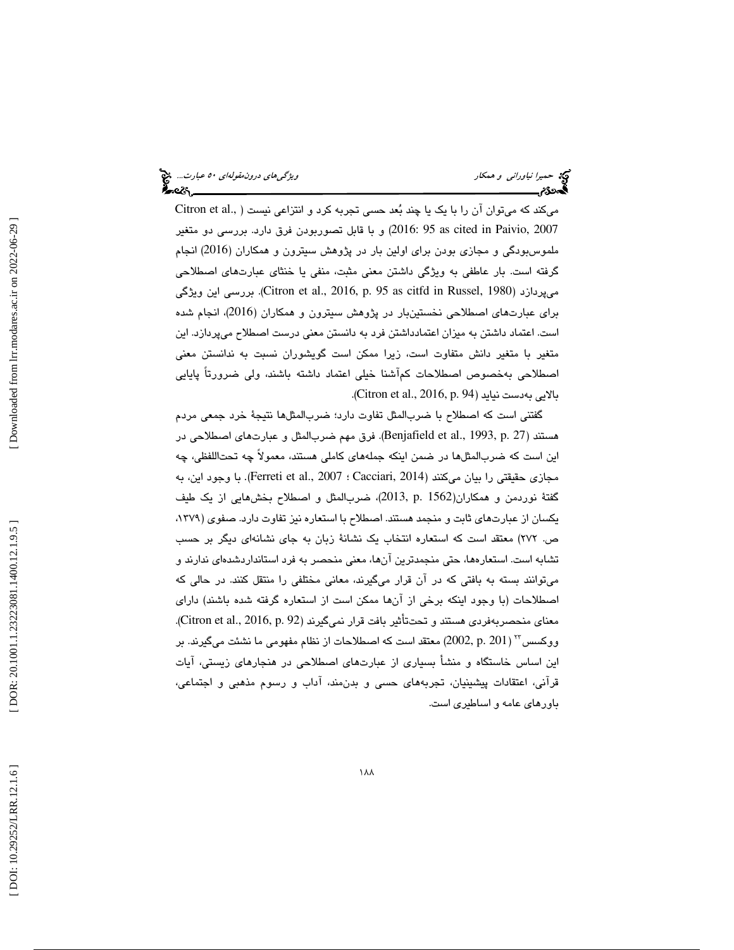ميكند كه ميتوان آن را با يك يا چند بُعد حسى تجربه كرد و انتزاعي نيست ( ..Citron et al 2007 ,Paivio in cited as 95 2016: (و با قابل تصوربودن فرق دارد. بررسي دو متغير ملموس بودگي و مجازي بودن براي اولين بار در پژوهش سيترون و همكاران (2016) انجام گرفته است. بار عاطفي به ويژگي داشتن معني مثبت، منفي يا خنثاي عبارتهاي اصطلاحي ويژگي اين بررسي .)Citron et al., 2016, p. 95 as citfd in Russel, 1980) ميپردازد براي عبارتهاي اصطلاحي نخستينبار در پژوهش سيترون و همكاران (2016)، انجام شده است. اعتماد داشتن به ميزان اعتمادداشتن فرد به دانستن معني درست اصطلاح ميپردازد. اين متغير با متغير دانش متفاوت است، زيرا ممكن است گويشوران نسبت به ندانستن معني اصطلاحي بهخصوص اصطلاحات كمآشنا خيلي اعتماد داشته باشند، ولي ضرورتاً پايايي .( Citron et al., 2016, p. 94) نيايد بهدست بالايي

گفتني است كه اصطلاح با ضربالمثل تفاوت دارد؛ ضربالمثلها نتيجة خرد جمعي مردم هستند (27 .p 1993, .,al et Benjafield(. فرق مهم ضربالمثل و عبارتهاي اصطلاحي در اين است كه ضربالمثلها در ضمن اينكه جملههاي كاملي هستند، معمولاً چه تحتاللفظي، چه مجازي حقيقتي را بيان ميكنند (Cacciari, 2014 ؛ Ferreti et al., 2007). با وجود اين، به گفتة نوردمن و همكاران(1562 .p 2013,(، ضربالمثل و اصطلاح بخشهايي از يك طيف يكسان از عبارتهاي ثابت و منجمد هستند. اصطلاح با استعاره نيز تفاوت دارد. صفوي (،1379 ص. 272) معتقد است كه استعاره انتخاب يك نشانة زبان به جاي نشانهاي ديگر بر حسب تشابه است. استعارهها، حتي منجمدترين آنها، معني منحصر به فرد استاندارد شدهاي ندارند و ميتوانند بسته به بافتي كه در آن قرار ميگيرند، معاني مختلفي را منتقل كنند. در حالي كه اصطلاحات (با وجود اينكه برخي از آنها ممكن است از استعاره گرفته شده باشند) داراي معناي منحصربهفردي هستند و تحتتأثير بافت قرار نميگيرند (19. Citron et al., 2016, p. 92). ( 201 .p 2002, (معتقد است كه اصطلاحات از نظام مفهومي ما نشئت ميگيرند. بر <sup>23</sup> ووكسس اين اساس خاستگاه و منشأ بسياري از عبارتهاي اصطلاحي در هنجارهاي زيستي، آيات قرآني، اعتقادات پيشينيان، تجربههاي حسي و بدنمند، آداب و رسوم مذهبي و اجتماعي، باورهاي عامه و اساطيري است.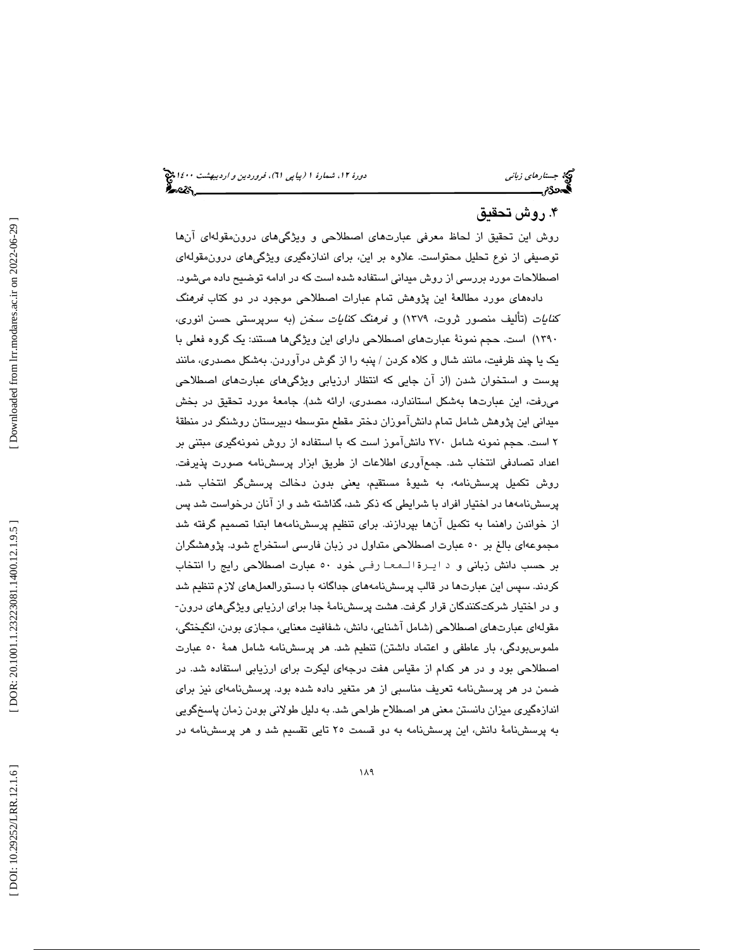### ۴. روش تحقيق

روش اين تحقيق از لحاظ معرفي عبارتهاي اصطلاحي و ويژگيهاي درونمقولهاي آنها توصيفي از نوع تحليل محتواست. علاوه بر اين، براي اندازهگيري ويژگيهاي درونمقولهاي اصطلاحات مورد بررسي از روش ميداني استفاده شده است كه در ادامه توضيح داده ميشود.

 دادههاي مورد مطالعة اين پژوهش تمام عبارات اصطلاحي موجود در دو كتاب فرهنگ كنايات (تأليف منصور ثروت، 1379) و فرهنگ كنايات سخن (به سرپرستي حسن انوري، 1390) است. حجم نمونة عبارتهاي اصطلاحي داراي اين ويژگيها هستند: يك گروه فعلي با يك يا چند ظرفيت، مانند شال و كلاه كردن / پنبه را از گوش درآوردن. بهشكل مصدري، مانند پوست و استخوان شدن (از آن جايي كه انتظار ارزيابي ويژگيهاي عبارتهاي اصطلاحي ميرفت، اين عبارتها بهشكل استاندارد، مصدري، ارائه شد). جامعة مورد تحقيق در بخش ميداني اين پژوهش شامل تمام دانشآموزان دختر مقطع متوسطه دبيرستان روشنگر در منطقة 2 است. حجم نمونه شامل 270 دانشآموز است كه با استفاده از روش نمونهگيري مبتني بر اعداد تصادفي انتخاب شد. جم عآوري اطلاعات از طريق ابزار پرسشنامه صورت پذيرفت. روش تكميل پرسشنامه، به شيوة مستقيم، يعني بدون دخالت پرسشگر انتخاب شد. پرسشنامهها در اختيار افراد با شرايطي كه ذكر شد، گذاشته شد و از آنان درخواست شد پس از خواندن راهنما به تكميل آنها بپردازند. براي تنظيم پرسشنامهها ابتدا تصميم گرفته شد مجموعهاي بالغ بر 50 عبارت اصطلاحي متداول در زبان فارسي استخراج شود. پژوهشگران بر حسب دانش زبانی و د ایـرة الـمعـا رفـی خود ٥٠ عبارت اصطلاحی رایج را انتخاب كردند. سپس اين عبارتها در قالب پرسشنامههاي جداگانه با دستورالعملهاي لازم تنظيم شد و در اختيار شركتكنندگان قرار گرفت. هشت پرسشنامة جدا براي ارزيابي ويژگيهاي درون- مقولهاي عبارت هاي اصطلاحي (شامل آشنايي، دانش، شفافيت معنايي، مجازي بودن، انگيختگي، ملموسبودگي، بار عاطفي و اعتماد داشتن) تنطيم شد. هر پرسشنامه شامل همة 50 عبارت اصطلاحي بود و در هر كدام از مقياس هفت درجهاي ليكرت براي ارزيابي استفاده شد. در ضمن در هر پرسشنامه تعريف مناسبي از هر متغير داده شده بود. پرسشنامهاي نيز براي اندازهگيري ميزان دانستن معني هر اصطلاح طراحي شد. به دليل طولاني بودن زمان پاسخگويي به پرسشنامة دانش، اين پرسشنامه به دو قسمت 25 تايي تقسيم شد و هر پرسشنامه در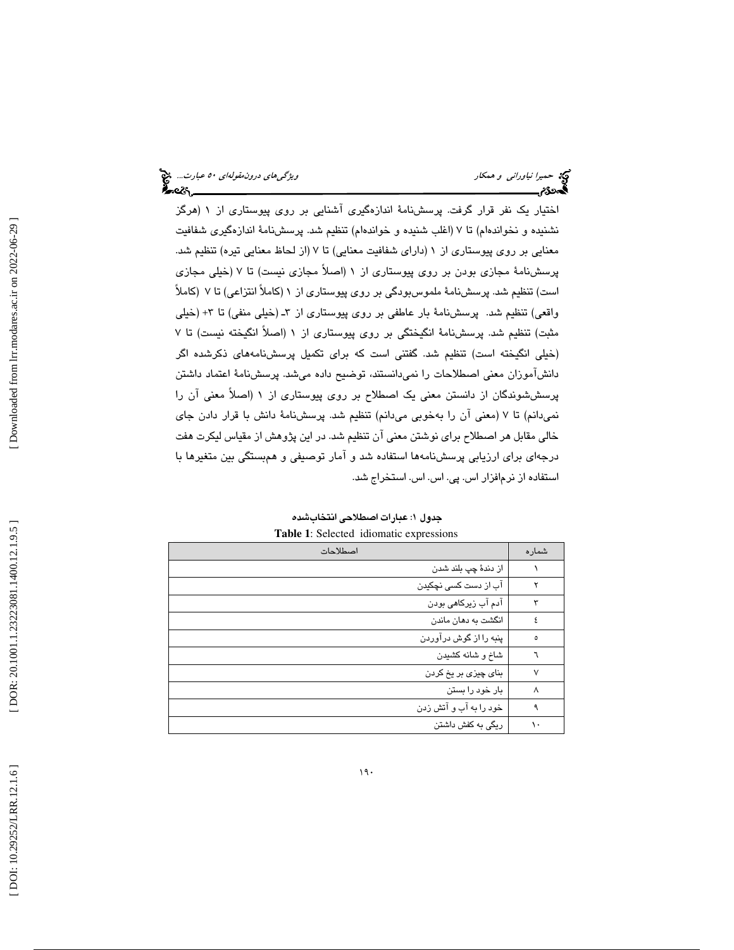اختيار يك نفر قرار گرفت. پرسشنامة اندازهگيري آشنايي بر روي پيوستاري از 1 (هرگز نشنيده و نخواندهام) تا 7 (اغلب شنيده و خواندهام) تنظيم شد. پرسشنامة اندازهگيري شفافيت معنايي بر روي پيوستاري از 1 (داراي شفافيت معنايي) تا 7 (از لحاظ معنايي تيره) تنظيم شد. پرسشنامة مجازي بودن بر روي پيوستاري از 1 (اصلاً مجازي نيست) تا 7 (خيلي مجازي است) تنظيم شد. پرسشنامة ملموسبودگي بر روي پيوستاري از 1 (كاملاً انتزاعي) تا 7 (كاملاً واقعي) تنظيم شد. پرسشنامهٔ بار عاطفي بر روي پيوستاري از ٣ـ (خيلي منفي) تا ٣+ (خيلي مثبت) تنظيم شد. پرسشنامة انگيختگي بر روي پيوستاري از 1 (اصلاً انگيخته نيست) تا 7 (خيلي انگيخته است) تنظيم شد. گفتني است كه براي تكميل پرسشنامههاي ذكرشده اگر دانشآموزان معني اصطلاحات را نميدانستند، توضيح داده ميشد. پرسشنامة اعتماد داشتن پرسششوندگان از دانستن معني يك اصطلاح بر روي پيوستاري از 1 (اصلاً معني آن را نميدانم) تا 7 (معني آن را بهخوبي ميدانم) تنظيم شد. پرسشنامة دانش با قرار دادن جاي خالي مقابل هر اصطلاح براي نوشتن معني آن تنظيم شد. در اين پژوهش از مقياس ليكرت هفت درجهاي براي ارزيابي پرسشنامهها استفاده شد و آمار توصيفي و همبستگي بين متغيرها با استفاده از نرمافزار اس. پي. اس. اس. استخراج شد.

| Tuble 1: Delected<br>renomatic expressions |                        |  |  |  |  |
|--------------------------------------------|------------------------|--|--|--|--|
| شماره                                      | اصطلاحات               |  |  |  |  |
|                                            | از دندۀ چپ بلند شدن    |  |  |  |  |
|                                            | آب از دست کسی نچکیدن   |  |  |  |  |
|                                            | آدم آب زیرکاهی بودن    |  |  |  |  |
| ٤                                          | انگشت به دهان ماندن    |  |  |  |  |
| ٥                                          | پنبه را از گوش درآوردن |  |  |  |  |
|                                            | شاخ و شانه كشيدن       |  |  |  |  |
| ٧                                          | بنای چیزی بر یخ کردن   |  |  |  |  |
| ٨                                          | بار خود را بستن        |  |  |  |  |
| ٩                                          | خود را به آب و آتش زدن |  |  |  |  |
| ١.                                         | ریگی به کفش داشتن      |  |  |  |  |
|                                            |                        |  |  |  |  |

جدول ۱: عبارات اصطلاحی انتخابشده **Table 1**: Selected idiomatic expressions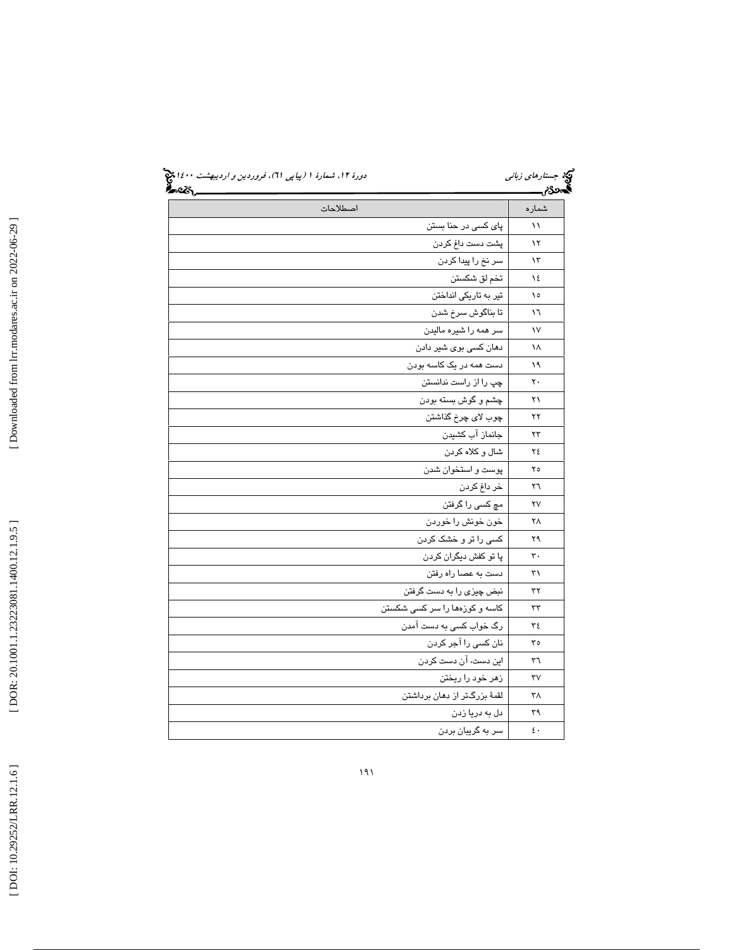| .<br>અપ્લે <u>.</u> |                                  | <b>لہور ہ</b> ے          |
|---------------------|----------------------------------|--------------------------|
| اصطلاحات            |                                  | شماره                    |
|                     | پای کسی در حنا بستن              | ۱۱                       |
|                     | پشت دست داغ کردن                 | ۱۲                       |
|                     | سر نخ را پیدا کردن               | ۱۳                       |
|                     | تخم لق شکستن                     | ١٤                       |
|                     | تیر به تاریکی انداختن            | ١٥                       |
|                     | تا بناگوش سرخ شدن                | ۱٦                       |
|                     | سر همه را شیره مالیدن            | ١٧                       |
|                     | دهان کسی بوی شیر دادن            | ۱۸                       |
|                     | دست همه در یک کاسه بودن          | ۱۹                       |
|                     | چپ را از راست ندانستن            | ٢٠                       |
|                     | چشم و گوش بسته بودن              | ۲۱                       |
|                     | چوب لاي چرخ گذاشتن               | ۲۲                       |
|                     | جانماز آب کشیدن                  | ۲۳                       |
|                     | شال و كلاه كردن                  | ٢٤                       |
|                     | پوست و استخوان شدن               | ۲٥                       |
|                     | خر داغ کردن                      | ٢٦                       |
|                     | مچ کسی را گرفتن                  | ۲٧                       |
|                     | خون خونش را خوردن                | ۲۸                       |
|                     | کسی را تر و خشک کردن             | ۲۹                       |
|                     | پا تو کفش دیگران کردن            | ٣٠                       |
|                     | دست به عصا راه رفتن              | ٣١                       |
|                     | نبض چیز <i>ی</i> را به دست گرفتن | ٣٢                       |
|                     | کاسه و کورْهها را سر کسی شکستن   | ٣٣                       |
|                     | رگ خواب کسی به دست آمدن          | ٣٤                       |
|                     | نان کسی را آجر کردن              | ٣٥                       |
|                     | این دست، آن دست کردن             | ٣٦                       |
|                     | زهر خود را ريختن                 | ٣٧                       |
|                     | لقمهٔ بزرگتر از دهان برداشتن     | ۳۸                       |
|                     | دل به دریا زدن                   | ٣٩                       |
|                     | سر به گریبان بردن                | $\mathbf{\epsilon}\cdot$ |

[Downloaded from lrr.modares.ac.ir on 2022-06-29]  [\[ DOI: 10.29252/LRR.12.1.6 \]](http://dx.doi.org/10.29252/LRR.12.1.6) [\[ DOR: 20.1001.1.23223081.1400.12.1.9.5](https://dorl.net/dor/20.1001.1.23223081.1400.12.1.9.5) ] [\[ Downloaded from lrr.modares.ac.ir on 20](https://lrr.modares.ac.ir/article-14-34252-fa.html)22-06-29 ]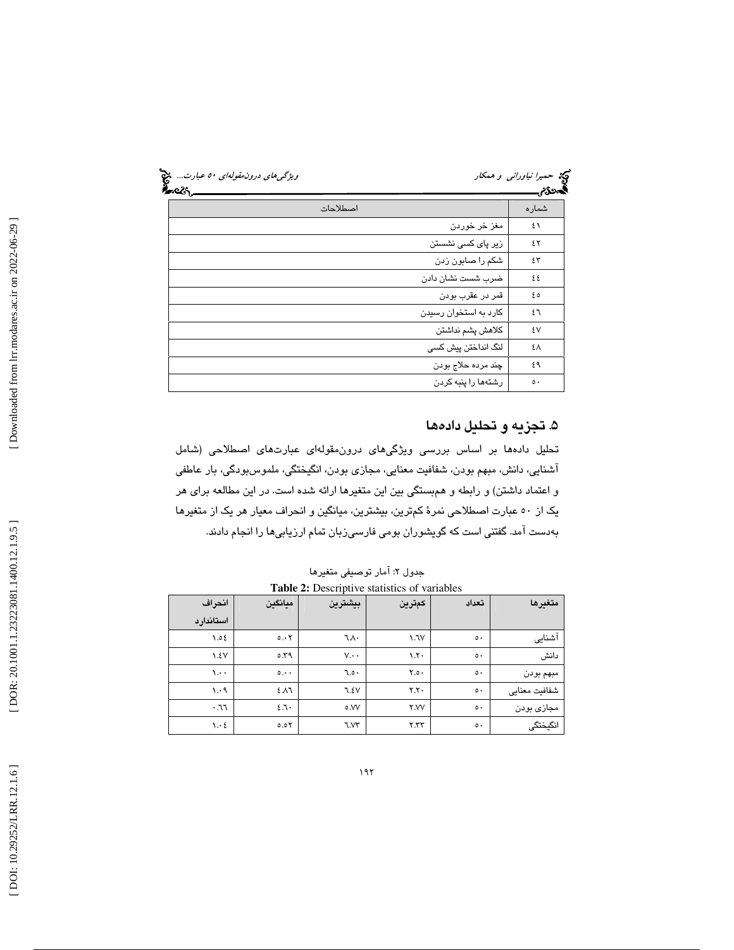| ویژگی های درون مقولهای ۵۰ عبارت<br>૰ટઽ |                           | کیا حم <i>یرا نیاورانی و همکار</i><br>تحمدي |  |  |
|----------------------------------------|---------------------------|---------------------------------------------|--|--|
| اصطلاحات                               |                           | شماره                                       |  |  |
|                                        | مغز خر خوردن              | ٤١                                          |  |  |
|                                        | زیر پا <i>ی</i> کسی نشستن | ٤٢                                          |  |  |
|                                        | شکم را صابون زدن          | ٤٣                                          |  |  |
|                                        | ضرب شست نشان دادن         | ٤٤                                          |  |  |
|                                        | قمر در عقرب بودن          | ه ٤                                         |  |  |
|                                        | کارد به استخوان رسیدن     | ٤٦                                          |  |  |
|                                        | كلاهش يشم نداشتن          | ٤٧                                          |  |  |
|                                        | لنگ انداختن پیش کسی       | ٤٨                                          |  |  |
|                                        | چند مردہ حلاج بودن        | ٤٩                                          |  |  |
|                                        | رشتهها را پنبه کردن       | $\circ$                                     |  |  |

### ۵. تجزيه و تحليل دادهها

تحليل دادهها بر اساس بررسي ويژگيهاي درونمقولهاي عبارتهاي اصطلاحي (شامل آشنايي، دانش، مبهم بودن، شفافيت معنايي، مجازي بودن، انگيختگي، ملموسبودگي، بار عاطفي و اعتماد داشتن) و رابطه و همبستگي بين اين متغيرها ارائه شده است. در اين مطالعه براي هر يك از 50 عبارت اصطلاحي نمرة كمترين، بيشترين، ميانگين و انحراف معيار هر يك از متغيرها بهدست آمد. گفتني است كه گويشوران بومي فارسيزبان تمام ارزيابيها را انجام دادند.

| انحراف                          | مىانگىن | بيشترين         | كمترين                  | تعداد         | متغىرها       |
|---------------------------------|---------|-----------------|-------------------------|---------------|---------------|
| استاندار د                      |         |                 |                         |               |               |
| 30.7                            | 0.55    | ٦.٨٠            | V.7V                    | $\circ \cdot$ | آشنایی        |
| $\lambda.5V$                    | 0.79    | $V \cdot \cdot$ | $\lambda$ . $\lambda$ . | $\circ \cdot$ | دانش          |
| $\mathcal{N}$ .                 | 0.1     | ٥٠.٦            | Y.o.                    | $\circ \cdot$ | مبهم بودن     |
| $\cdot$ $\cdot$                 | 2.11    | 7.5V            | Y.Y.                    | $\circ \cdot$ | شفافيت معنايي |
| .77                             | 2.7.    | ٥.VV            | <b>Y.VV</b>             | $\circ \cdot$ | مجازی بودن    |
| $\mathcal{N} \cdot \mathcal{E}$ | 0.05    | ٦.V٣            | Y.YY                    | $\circ \cdot$ | انگیختگی      |

جدول ۲: آمار توصيفی متغيرها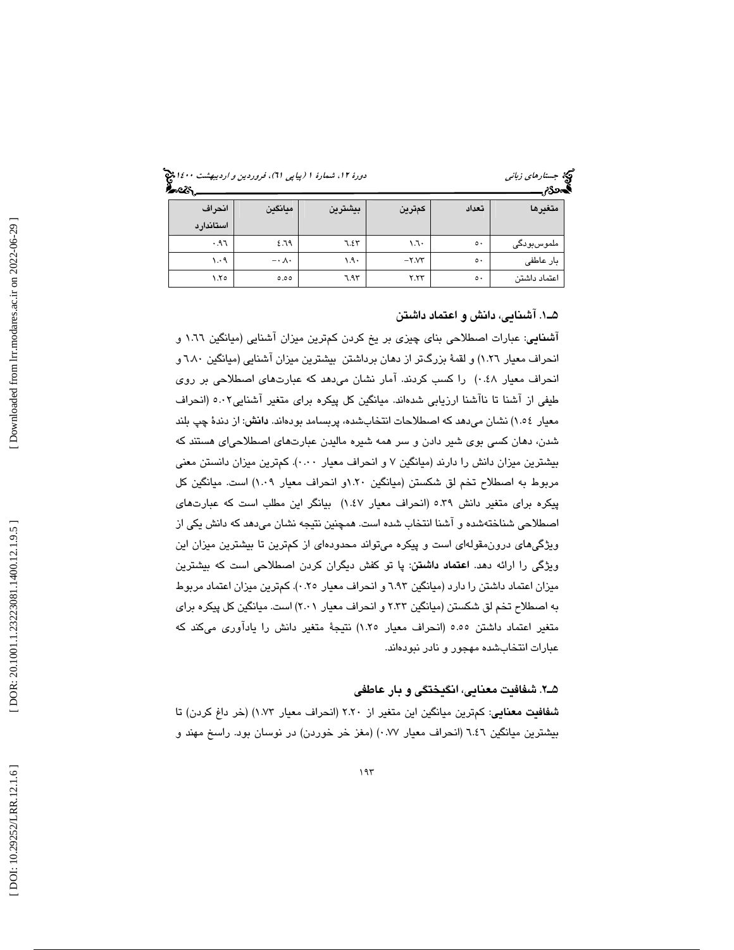جستار*هاي زباني هي المرديبهشت 1400 ه*ورو 11، شمارة 1 (پياپي 71)، فر*وردين و ارديبهشت 14*00 هج

| ,,۔۔۔۔<br>. |                       |                   |         |               |              |  |  |
|-------------|-----------------------|-------------------|---------|---------------|--------------|--|--|
| انحراف      | ميانكين               | بيشترين<br>كمترين |         | تعداد         | متغيرها      |  |  |
| استاندارد   |                       |                   |         |               |              |  |  |
| .97         | 2.79                  | ٦.٤٣              | ۰٦٠     | $\circ \cdot$ | ملموسبودگی   |  |  |
| 1.4         | $-\cdot \wedge \cdot$ | $1.9 -$           | $-Y.YY$ | $\circ \cdot$ | بار عاطفی    |  |  |
| ۲.۲٥        | 0.00                  | ٦.٩٣              | Y.YY    | $\circ \cdot$ | اعتماد داشتن |  |  |

### 1ـ5 . آشنايي، دانش و اعتماد داشتن

آشنايي: عبارات اصطلاحي بناي چيزي بر يخ كردن كمترين ميزان آشنايي (ميانگين 1.66 و انحراف معيار 1.26) و لقمة بزرگتر از دهان برداشتن بيشترين ميزان آشنايي (ميانگين 6.80 و انحراف معيار 0.48) را كسب كردند. آمار نشان ميدهد كه عبارتهاي اصطلاحي بر روي طيفي از آشنا تا ناآشنا ارزيابي شدهاند. ميانگين كل پيكره براي متغير آشنايي5.02 (انحراف معيار 1.54) نشان ميدهد كه اصطلاحات انتخابشده، پربسامد بودهاند. دانش: از دندة چپ بلند شدن، دهان كسي بوي شير دادن و سر همه شيره ماليدن عبارتهاي اصطلاحياي هستند كه بيشترين ميزان دانش را دارند (ميانگين 7 و انحراف معيار 0.00). كمترين ميزان دانستن معني مربوط به اصطلاح تخم لق شكستن (ميانگين 1.20و انحراف معيار 1.09) است. ميانگين كل پيكره براي متغير دانش 5.39 (انحراف معيار 1.47) بيانگر اين مطلب است كه عبارتهاي اصطلاحي شناختهشده و آشنا انتخاب شده است. همچنين نتيجه نشان ميدهد كه دانش يكي از ويژگيهاي درونمقولهاي است و پيكره ميتواند محدودهاي از كمترين تا بيشترين ميزان اين ویژگی را ارائه دهد. ا**عتماد داشتن**: پا تو كفش دیگران كردن اصطلاحی است كه بیشترین ميزان اعتماد داشتن را دارد (ميانگين 6.93 و انحراف معيار 0.25). كمترين ميزان اعتماد مربوط به اصطلاح تخم لق شكستن (ميانگين 2.33 و انحراف معيار 2.01) است. ميانگين كل پيكره براي متغير اعتماد داشتن 5.55 (انحراف معيار 1.25) نتيجة متغير دانش را يادآوري ميكند كه عبارات انتخابشده مهجور و نادر نبودهاند.

### 2ـ5 . شفافيت معنايي، انگيختگي و بار عاطفي

شفافيت معنايي: كمترين ميانگين اين متغير از 2.20 (انحراف معيار 1.73) (خر داغ كردن) تا بيشترين ميانگين 6.46 (انحراف معيار 0.77) (مغز خر خوردن) در نوسان بود. راسخ مهند و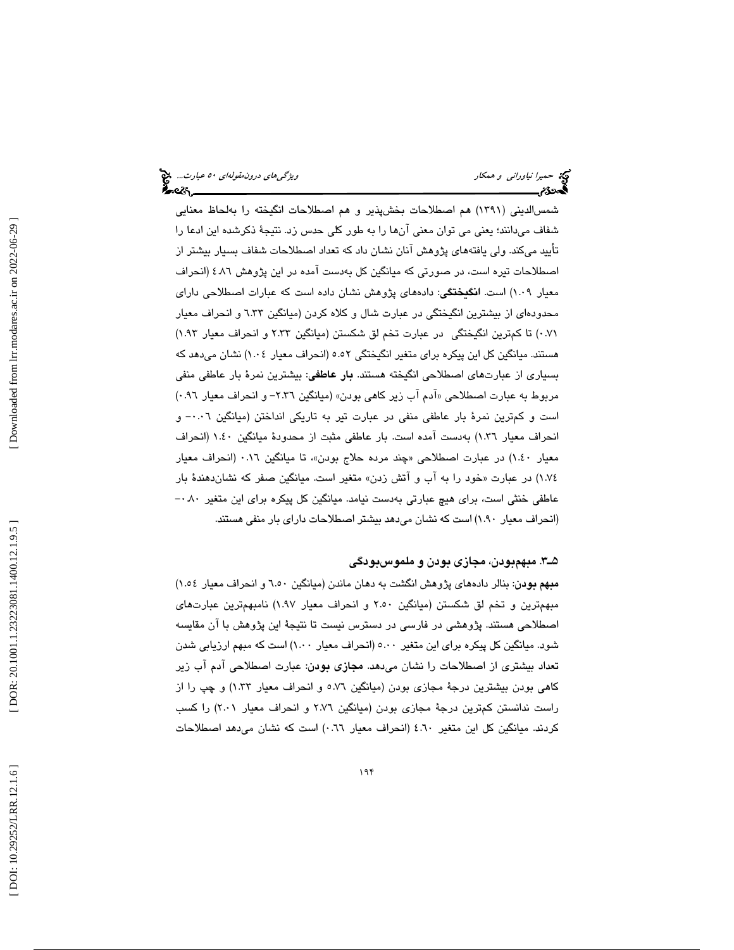شمسالديني (1391) هم اصطلاحات بخشپذير و هم اصطلاحات انگيخته را بهلحاظ معنايي شفاف ميدانند؛ يعني مي توان معني آنها را به طور كلي حدس زد. نتيجة ذكرشده اين ادعا را تأييد ميكند. ولي يافتههاي پژوهش آنان نشان داد كه تعداد اصطلاحات شفاف بسيار بيشتر از اصطلاحات تيره است، در صورتي كه ميانگين كل بهدست آمده در اين پژوهش 4.86 (انحراف معيار 1.09) است. انگيختگي: دادههاي پژوهش نشان داده است كه عبارات اصطلاحي داراي محدودهاي از بيشترين انگيختگي در عبارت شال و كلاه كردن (ميانگين 6.33 و انحراف معيار 0.71) تا كمترين انگيختگي در عبارت تخم لق شكستن (ميانگين 2.33 و انحراف معيار 1.93) هستند. ميانگين كل اين پيكره براي متغير انگيختگي 5.52 (انحراف معيار 1.04) نشان ميدهد كه بسياري از عبارتهاي اصطلاحي انگيخته هستند. **بار عاطفي**: بيشترين نمرهٔ بار عاطفي منفي مربوط به عبارت اصطلاحي «آدم آب زير كاهي بودن» (ميانگين ٢.٣٦- و انحراف معيار ٩٦.٠) است و كمترين نمرة بار عاطفي منفي در عبارت تير به تاريكي انداختن (ميانگين 0.06 و - انحراف معيار 1.36) بهدست آمده است. بار عاطفي مثبت از محدودة ميانگين 1.40 (انحراف معيار ١.٤٠) در عبارت اصطلاحي «چند مرده حلاج بودن»، تا ميانگين ٠.١٦ (انحراف معيار خود را به آب و آتش زدن» متغير است. ميانگين صفر كه نشاندهندة بار 1.74) در عبارت « عاطفي خنثي است، براي هيچ عبارتي بهدست نيامد. ميانگين كل پيكره براي اين متغير ٠٨٠ --(انحراف معيار 1.90) است كه نشان ميدهد بيشتر اصطلاحات داراي بار منفي هستند.

### 3ـ5 . مبهم بودن، مجازي بودن و ملموسبودگي

مبهم بودن: بنالر دادههاي پژوهش انگشت به دهان ماندن (ميانگين 6.50 و انحراف معيار 1.54) مبهمترين و تخم لق شكستن (ميانگين 2.50 و انحراف معيار 1.97) نامبهمترين عبارتهاي اصطلاحي هستند. پژوهشي در فارسي در دسترس نيست تا نتيجة اين پژوهش با آن مقايسه شود. ميانگين كل پيكره براي اين متغير 5.00 (انحراف معيار 1.00 ) است كه مبهم ارزيابي شدن تعداد بيشتري از اصطلاحات را نشان ميدهد. مجازي بودن: عبارت اصطلاحي آدم آب زير كاهي بودن بيشترين درجة مجازي بودن (ميانگين 5.76 و انحراف معيار 1.33) و چپ را از راست ندانستن كمترين درجة مجازي بودن (ميانگين 2.76 و انحراف معيار 2.01) را كسب كردند. ميانگين كل اين متغير 4.60 (انحراف معيار 0.66) است كه نشان ميدهد اصطلاحات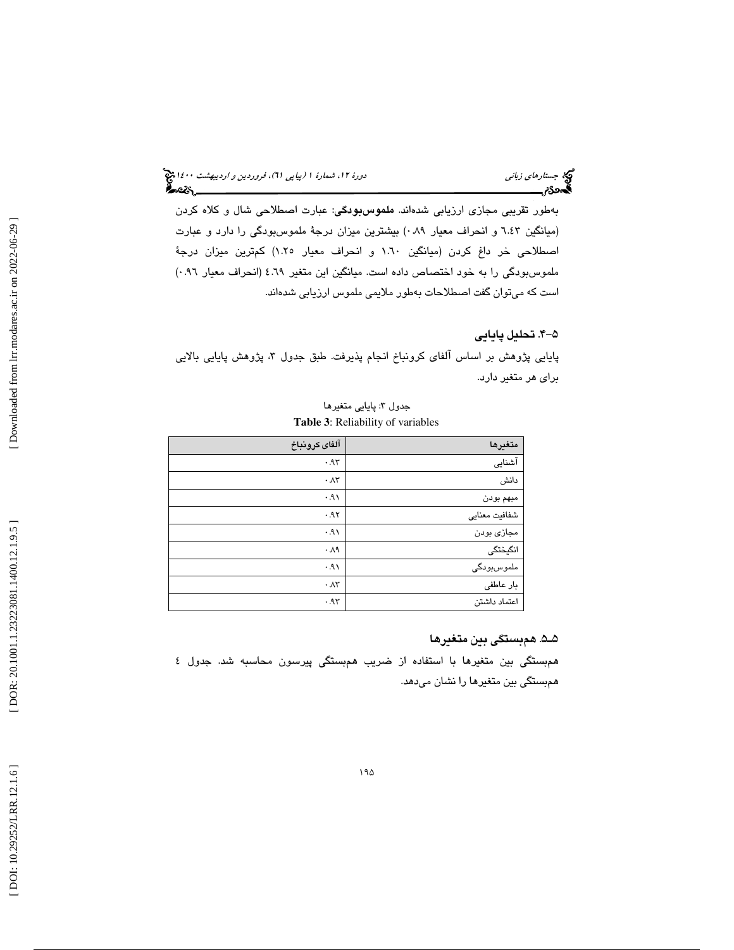# د*ورهٔ ۱۲، شمارهٔ ۱ (پياپي ۲۱)، فروردين و ارديبهشت ۱٤۰۰ پ*ي<mark>خ</mark><br>**گفت: مس**مو

بهطور تقريبي مجازي ارزيابي شدهاند. ملموسبودگي: عبارت اصطلاحي شال و كلاه كردن (ميانگين 6.43 و انحراف معيار 0.89) بيشترين ميزان درجة ملموسبودگي را دارد و عبارت اصطلاحي خر داغ كردن (ميانگين 1.60 و انحراف معيار 1.25) كمترين ميزان درجة ملموسبودگي را به خود اختصاص داده است. ميانگين اين متغير 4.69 (انحراف معيار 0.96) است كه ميتوان گفت اصطلاحات بهطور ملايمي ملموس ارزيابي شدهاند.

### -4 5 . تحليل پايايي

جب جستار*های زبانی*<br>دوره دوره مس

پايايي پژوهش بر اساس آلفاي كرونباخ انجام پذيرفت. طبق جدول ۳، پژوهش پايايي بالايي براي هر متغير دارد.

### جدول ۳: پايايى متغيرها **Table 3**: Reliability of variables

| آلفاى كرونباخ     | متغيرها       |
|-------------------|---------------|
| .95               | آشنایی        |
| $\cdot \Lambda r$ | دانش          |
| ۰۹۱.              | مبهم بودن     |
| .95               | شفافيت معنايي |
| .91               | مجازي بودن    |
| $\cdot \lambda$ ٩ | انگیختگی      |
| .91               | ملموسبودگی    |
| $\cdot \Lambda r$ | بار عاطفى     |
| .95               | اعتماد داشتن  |

### 5ـ5 . همبستگي بين متغيرها

 همبستگي بين متغيرها با استفاده از ضريب همبستگي پيرسون محاسبه شد. جدول 4 همبستگي بين متغيرها را نشان ميدهد.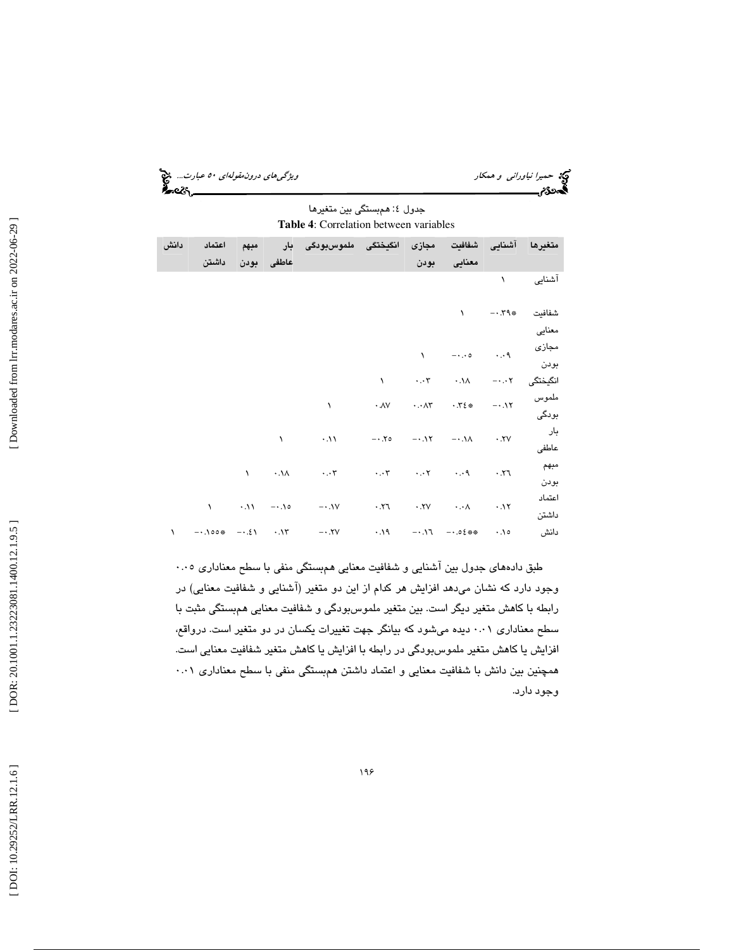| ویژگ <sub>ی</sub> های دروزمق <i>ولهای ۵۰ عبارت</i> چ <mark>خ</mark><br>مستقل کرده |                             | حمیرا نیاورانی و همکار |
|-----------------------------------------------------------------------------------|-----------------------------|------------------------|
|                                                                                   |                             | 2S.                    |
|                                                                                   | جدول ٤: همبستگی بین متغیرها |                        |

**Table 4**: Correlation between variables

| دانش      | اعتماد | مبهم |            | ملموس بودگی بار                                                                                                                                                                                                                                                                                                   | مجازی انگیختگی                                                                                                                |          |                                | متغيرها آشنايى شفافيت        |          |
|-----------|--------|------|------------|-------------------------------------------------------------------------------------------------------------------------------------------------------------------------------------------------------------------------------------------------------------------------------------------------------------------|-------------------------------------------------------------------------------------------------------------------------------|----------|--------------------------------|------------------------------|----------|
|           | داشتن  |      | عاطفي بودن |                                                                                                                                                                                                                                                                                                                   |                                                                                                                               | بودن     | معنايى                         |                              |          |
|           |        |      |            |                                                                                                                                                                                                                                                                                                                   |                                                                                                                               |          |                                | $\mathcal{N}$                | آشنایی   |
|           |        |      |            |                                                                                                                                                                                                                                                                                                                   |                                                                                                                               |          |                                |                              |          |
|           |        |      |            |                                                                                                                                                                                                                                                                                                                   |                                                                                                                               |          | $\mathcal{N}$                  | $- \cdot 79$ $*$             | شفافيت   |
|           |        |      |            |                                                                                                                                                                                                                                                                                                                   |                                                                                                                               |          |                                |                              | معنايى   |
|           |        |      |            |                                                                                                                                                                                                                                                                                                                   |                                                                                                                               | $\Delta$ |                                | مجازی<br>۰.۰۹ م              |          |
|           |        |      |            |                                                                                                                                                                                                                                                                                                                   |                                                                                                                               |          |                                |                              | بودن     |
|           |        |      |            |                                                                                                                                                                                                                                                                                                                   |                                                                                                                               |          | $\lambda$ $\uparrow$ $\lambda$ | $-\cdot\cdot\cdot\mathsf{Y}$ | انگیختگی |
|           |        |      |            | $\lambda$                                                                                                                                                                                                                                                                                                         | $\cdot$ $\wedge$ $\vee$ $\cdot$ $\wedge$ $\wedge$ $\cdot$ $\wedge$ $\cdot$ $\wedge$ $\cdot$ $\wedge$ $\cdot$ $\wedge$ $\cdot$ |          |                                |                              | ملموس    |
|           |        |      |            |                                                                                                                                                                                                                                                                                                                   |                                                                                                                               |          |                                |                              | بودگی    |
|           |        |      | $\sqrt{2}$ | $\cdot$ .11 $- \cdot$ .70 $- \cdot$ .17 $- \cdot$ .11 $\cdot$ .77                                                                                                                                                                                                                                                 |                                                                                                                               |          |                                |                              | بار      |
|           |        |      |            |                                                                                                                                                                                                                                                                                                                   |                                                                                                                               |          |                                |                              | عاطفى    |
|           |        |      |            | $\mathcal{N}$ and $\mathcal{N}$ and $\mathcal{N}$ and $\mathcal{N}$ and $\mathcal{N}$ and $\mathcal{N}$ and $\mathcal{N}$ and $\mathcal{N}$ and $\mathcal{N}$ and $\mathcal{N}$ and $\mathcal{N}$ and $\mathcal{N}$ and $\mathcal{N}$ and $\mathcal{N}$ and $\mathcal{N}$ and $\mathcal{N}$ and $\mathcal{N}$ and |                                                                                                                               |          |                                |                              | مبهم     |
|           |        |      |            |                                                                                                                                                                                                                                                                                                                   |                                                                                                                               |          |                                |                              | بودن     |
|           |        |      |            |                                                                                                                                                                                                                                                                                                                   |                                                                                                                               |          |                                |                              | اعتماد   |
|           |        |      |            |                                                                                                                                                                                                                                                                                                                   |                                                                                                                               |          |                                |                              | داشتن    |
| $\lambda$ |        |      |            |                                                                                                                                                                                                                                                                                                                   |                                                                                                                               |          |                                |                              | دانش     |

طبق دادههاي جدول بين آشنايي و شفافيت معنايي همبستگي منفي با سطح معناداري 0.05 وجود دارد كه نشان ميدهد افزايش هر كدام از اين دو متغير (آشنايي و شفافيت معنايي) در رابطه با كاهش متغير ديگر است. بين متغير ملموسبودگي و شفافيت معنايي همبستگي مثبت با سطح معناداري 0.01 ديده ميشود كه بيانگر جهت تغييرات يكسان در دو متغير است. درواقع، افزايش يا كاهش متغير ملموسبودگي در رابطه با افزايش يا كاهش متغير شفافيت معنايي است. همچنين بين دانش با شفافيت معنايي و اعتماد داشتن همبستگي منفي با سطح معناداري 0.01 وجود دارد.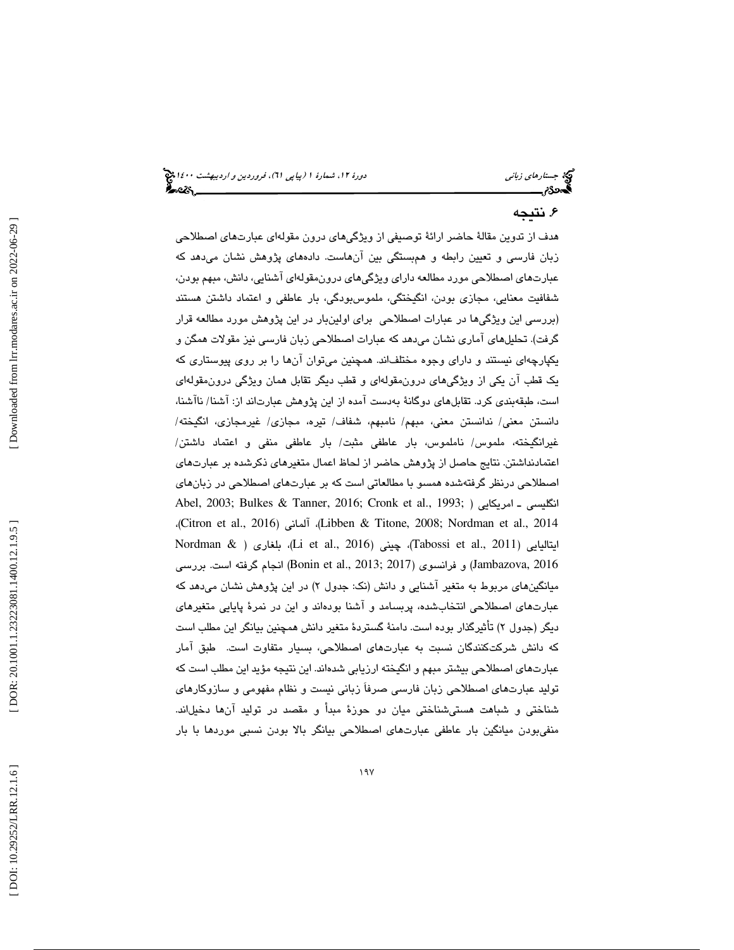### ۶. نتيجه

هدف از تدوين مقالة حاضر ارائة توصيفي از ويژگيهاي درون مقولهاي عبارتهاي اصطلاحي زبان فارسي و تعيين رابطه و همبستگي بين آنهاست. دادههاي پژوهش نشان ميدهد كه عبارتهاي اصطلاحي مورد مطالعه داراي ويژگيهاي درونمقوله اي آشنايي، دانش، مبهم بودن، شفافيت معنايي، مجازي بودن، انگيختگي، ملموسبودگي، بار عاطفي و اعتماد داشتن هستند (بررسي اين ويژگي ها در عبارات اصطلاحي براي اولينبار در اين پژوهش مورد مطالعه قرار گرفت). تحليلهاي آماري نشان ميدهد كه عبارات اصطلاحي زبان فارسي نيز مقولات همگن و يكپارچهاي نيستند و داراي وجوه مختلفاند. همچنين ميتوان آنها را بر روي پيوستاري كه يك قطب آن يكي از ويژ گيهاي درونمقولهاي و قطب ديگر تقابل همان ويژگي درونمقولهاي است، طبقهبندي كرد. تقابلهاي دوگانة بهدست آمده از اين پژوهش عبارتاند از: آشنا/ ناآشنا، دانستن معني/ ندانستن معني، مبهم/ نامبهم، شفاف/ تيره، مجازي/ غيرمجازي، انگيخته/ غيرانگيخته، ملموس/ ناملموس، بار عاطفي مثبت/ بار عاطفي منفي و اعتماد داشتن/ اعتمادنداشتن. نتايج حاصل از پژوهش حاضر از لحاظ اعمال متغيرهاي ذكرشده بر عبارتهاي اصطلاحي درنظر گرفتهشده همسو با مطالعاتي است كه بر عبارتهاي اصطلاحي در زبانهاي Abel, 2003; Bulkes & Tanner, 2016; Cronk et al., 1993; ) امريكايي ـ انگليسي ،(Citron et al., 2016) آلماني ،)Libben & Titone, 2008; Nordman et al., 2014 Nordman & ) بلغاري ،)Li et al., 2016) چيني ،)Tabossi et al., 2011) ايتاليايي 2016 ,Jambazova (و فرانسوي (2017 ;2013 .,al et Bonin (انجام گرفته است. بررسي میانگینهای مربوط به متغیر آشنایی و دانش (نک: جدول ۲) در این پژوهش نشان میدهد كه عبارتهاي اصطلاحي انتخابشده، پربسامد و آشنا بودهاند و اين در نمرة پايايي متغيرهاي ديگر (جدول ۲) تأثيرگذار بوده است. دامنهٔ گستردهٔ متغير دانش همچنين بيانگر اين مطلب است كه دانش شركتكنندگان نسبت به عبارتهاي اصطلاحي، بسيار متفاوت است. طبق آمار عبارتهاي اصطلاحي بيشتر مبهم و انگيخته ارزيابي شدهاند. اين نتيجه مؤيد اين مطلب است كه توليد عبارتهاي اصطلاحي زبان فارسي صرفاَ زباني نيست و نظام مفهومي و سازوكارهاي شناختي و شباهت هستيشناختي ميان دو حوزة مبدأ و مقصد در توليد آنها دخيلاند. منفيبودن ميانگين بار عاطفي عبارتهاي اصطلاحي بيانگر بالا بودن نسبي موردها با بار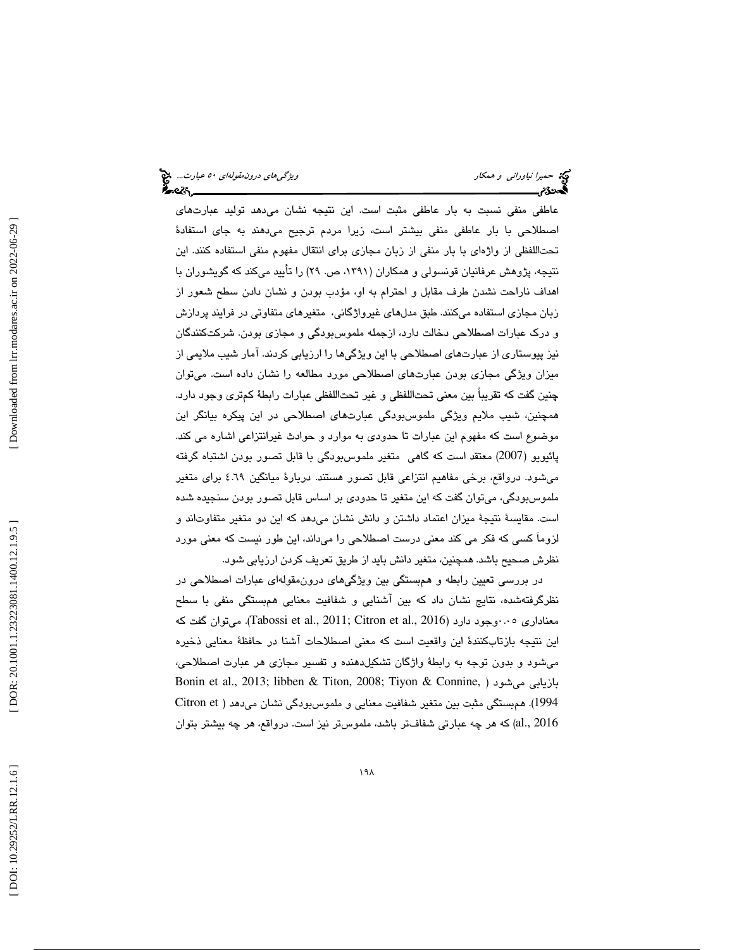عاطفي منفي نسبت به بار عاطفي مثبت است. اين نتيجه نشان ميدهد توليد عبارتهاي اصطلاحي با بار عاطفي منفي بيشتر است، زيرا مردم ترجيح ميدهند به جاي استفادة تحتاللفظي از واژه اي با بار منفي از زبان مجازي براي انتقال مفهوم منفي استفاده كنند. اين نتيجه، پژوهش عرفانيان قونسولي و همكاران (،1391 ص. 29) را تأييد ميكند كه گويشوران با اهداف ناراحت نشدن طرف مقابل و احترام به او، مؤدب بودن و نشان دادن سطح شعور از زبان مجازي استفاده ميكنند. طبق مدلهاي غيرواژگاني، متغيرهاي متفاوتي در فرايند پردازش و درك عبارات اصطلاحي دخالت دارد، ازجمله ملموسبودگي و مجازي بودن. شركتكنندگان نيز پيوستاري از عبارتهاي اصطلاحي با اين ويژگيها را ارزيابي كردند. آمار شيب ملايمي از ميزان ويژگي مجازي بودن عبارتهاي اصطلاحي مورد مطالعه را نشان داده است. ميتوان چنين گفت كه تقريباً بين معني تحتاللفظي و غير تحتاللفظي عبارات رابطة كمتري وجود دارد. همچنين، شيب ملايم ويژگي ملموسبودگي عبارتهاي اصطلاحي در اين پيكره بيانگر اين موضوع است كه مفهوم اين عبارات تا حدودي به موارد و حوادث غيرانتزاعي اشاره مي كند. پائيويو (2007) معتقد است كه گاهي متغير ملموسبودگي با قابل تصور بودن اشتباه گرفته ميشود. درواقع، برخي مفاهيم انتزاعي قابل تصور هستند. دربارة ميانگين 4.69 براي متغير ملموسبودگي، ميتوان گفت كه اين متغير تا حدودي بر اساس قابل تصور بودن سنجيده شده است. مقايسة نتيجة ميزان اعتماد داشتن و دانش نشان ميدهد كه اين دو متغير متفاوتاند و لزوماَ كسي كه فكر مي كند معني درست اصطلاحي را ميداند، اين طور نيست كه معني مورد نظرش صحيح باشد. همچنين، متغير دانش بايد از طريق تعريف كردن ارزيابي شود.

در بررسي تعيين رابطه و همبستگي بين ويژگيهاي درونمقولهاي عبارات اصطلاحي در نظرگرفتهشده، نتايج نشان داد كه بين آشنايي و شفافيت معنايي همبستگي منفي با سطح معناداري ۰.۰وجود دارد (2016 .Gabossi et al., 2011; Citron et al وt Citron; ميتوان گفت كه اين نتيجه بازتابكنندة اين واقعيت است كه معني اصطلاحات آشنا در حافظة معنايي ذخيره ميشود و بدون توجه به رابطة واژگان تشكيلدهنده و تفسير مجازي هر عبارت اصطلاحي، Bonin et al., 2013; libben & Titon, 2008; Tiyon & Connine, ) ميشود بازيابي 1994). همبستگي مثبت بين متغير شفافيت معنايي و ملموسبودگي نشان ميدهد ( Citron et 2016 .,al (كه هر چه عبارتي شفافتر باشد، ملموستر نيز است. درواقع، هر چه بيشتر بتوان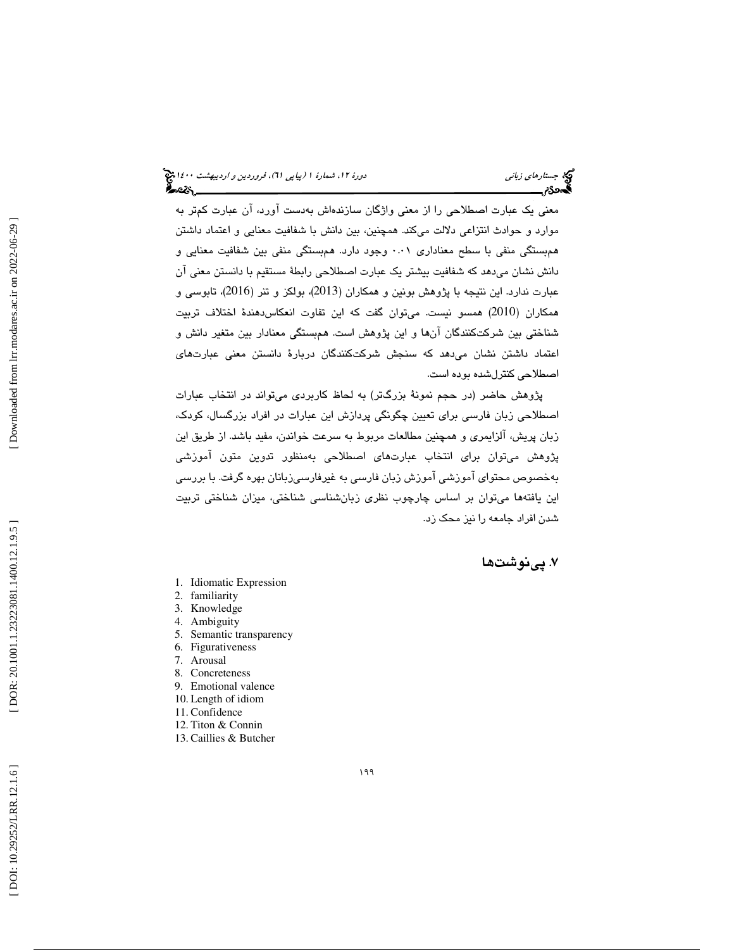معني يک عبارت اصطلاحي را از معني واژگان سازندهاش بهدست آورد، آن عبارت كمتر به موارد و حوادث انتزاعي دلالت ميكند. همچنين، بين دانش با شفافيت معنايي و اعتماد داشتن همبستگي منفي با سطح معناداري 0.01 وجود دارد. همبستگي منفي بين شفافيت معنايي و دانش نشان ميدهد كه شفافيت بيشتر يك عبارت اصطلاحي رابطة مستقيم با دانستن معني آن عبارت ندارد. اين نتيجه با پژوهش بونين و همكاران (2013)، بولكز و تنر (2016)، تابوسي و همكاران (2010) همسو نيست. ميتوان گفت كه اين تفاوت انعكاسدهندة اختلاف تربيت شناختي بين شركتكنندگان آنها و اين پژوهش است. ه مبستگي معنادار بين متغير دانش و اعتماد داشتن نشان ميدهد كه سنجش شركتكنندگان دربارة دانستن معني عبارتهاي اصطلاحي كنترلشده بوده است.

پژوهش حاضر (در حجم نمونة بزرگتر) به لحاظ كاربردي ميتواند در انتخاب عبارات اصطلاحي زبان فارسي براي تعيين چگونگي پردازش اين عبارات در افراد بزرگسال، كودك، زبان پريش، آلزايمري و همچنين مطالعات مربوط به سرعت خواندن، مفيد باشد. از طريق اين پژوهش ميتوان براي انتخاب عبارتهاي اصطلاحي بهمنظور تدوين متون آموزشي بهخصوص محتواي آموزشي آموزش زبان فارسي به غيرفارسيزبانان بهره گرفت. با بررسي اين يافتهها ميتوان بر اساس چارچوب نظري زبانشناسي شناختي، ميزان شناختي تربيت شدن افراد جامعه را نيز محك زد.

### . پينوشت ها 7

- 1. Idiomatic Expression
- 2. familiarity
- 3. Knowledge
- 4. Ambiguity
- 5. Semantic transparency
- 6. Figurativeness
- 7. Arousal
- 8. Concreteness
- 9. Emotional valence
- 10. Length of idiom
- 11. Confidence
- 12. Titon & Connin
- 13. Caillies & Butcher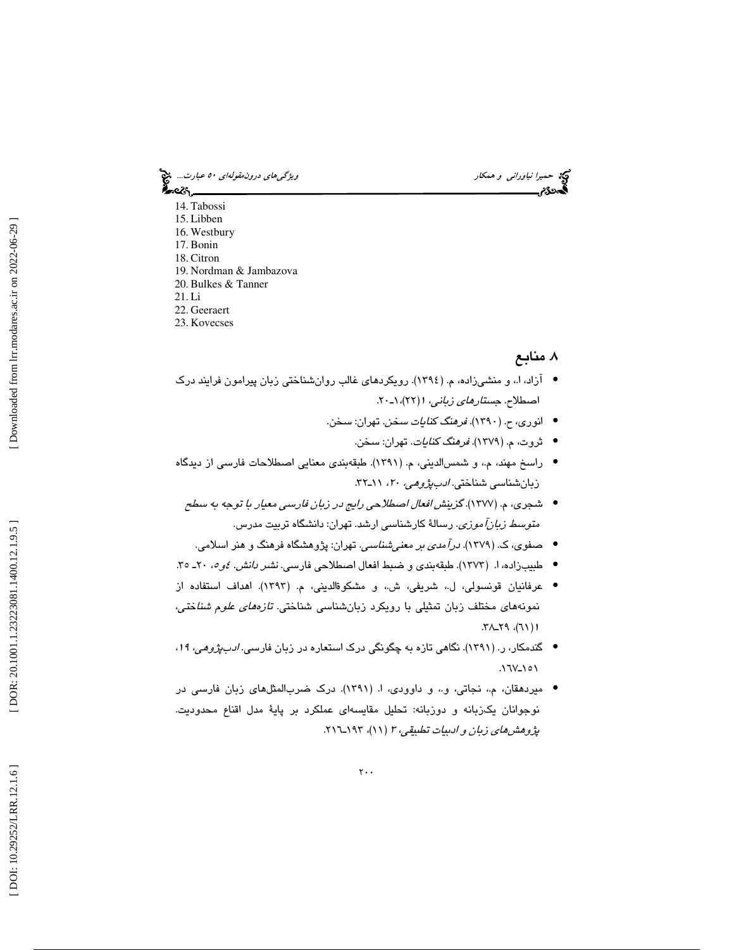حميرا *نياوراني و همكار ويشكل استخدام استخدام درون مقولهاي ٥٠ عبارت..*. چ<mark>خ</mark><br>المحمد التي تاريخ العبار<br>المحمد العبارة

ీంలు, 14. Tabossi 15. Libben 16. Westbury 17. Bonin 18. Citron 19. Nordman & Jambazova 20. Bulkes & Tanner 21. Li 22. Geeraert

23. Kovecses

### . منابع 8

- آزاد، ا.، و منشىزاده، م. (١٣٩٤). رویکردهای غالب روانشناختی زبان پیرامون فرایند درک اصطلاح. ج*ستارهاي زباني، ۱ (*۲۲)، ۱-۲۰.
	- انوری، ح. (١٣٩٠). *فرهنگ كنايات سخن*. تهران: سخن.
		- ثروت، م. (1379). فرهنگ كنايات. تهران: سخن. •
- راسخ مهند، م،. و شمسالديني، م. (1391). طبقهبندي معنايي اصطلاحات فارسي از ديدگاه زبانشناسي شناختي. ادبپژوهي، 20 ، ـ11 32.
	- شجري، م. (1377). گزينش افعال اصطلاحي رايج در زبان فارسي معيار با توجه به سطح مت*وسط زبانآموزي.* رسالة كارشناسي ارشد. تهران: دانشگاه تربيت مدرس.
	- صفوي، ك. (1379). درآمدي بر معنيشناسي. تهران: پژوهشگاه فرهنگ و هنر اسلامي. •
- طبيبزاده، ا. (١٢٧٣). طبقهبندي و ضبط افعال اصطلاحي فارسي. *نشر دانش. ٤و ٥،* ٢٠ـ ٣٥.
- عرفانيان قونسولي، ل.، شريفي، ش.، و مشكوۃالديني، م. (١٣٩٣). اهداف استفاده از نمونههاي مختلف زبان تمثيلي با رويكرد زبانشناسي شناختي. تازههاي علوم شناختي، ۱ (۲۱)، ۲۹\_۲۹.
- گندمكار، ر. (1391). نگاهي تازه به چگونگي درك استعاره در زبان فارسي. ادبپژوهي، ،<sup>19</sup> • ۱۵۱-۱۲۷.
- ميردهقان، م،. نجاتي، و،. و داوودي، ا. (1391). درك ضربالمثلهاي زبان فارسي در نوجوانان يكزبانه و دوزبانه: تحليل مقايسهاي عملكرد بر پاية مدل اقناع محدوديت. پژوهش *های زبان و ادبيات تطبيقي، ۳ (۱۹*۱)، ۱۹۳–۲۱٦.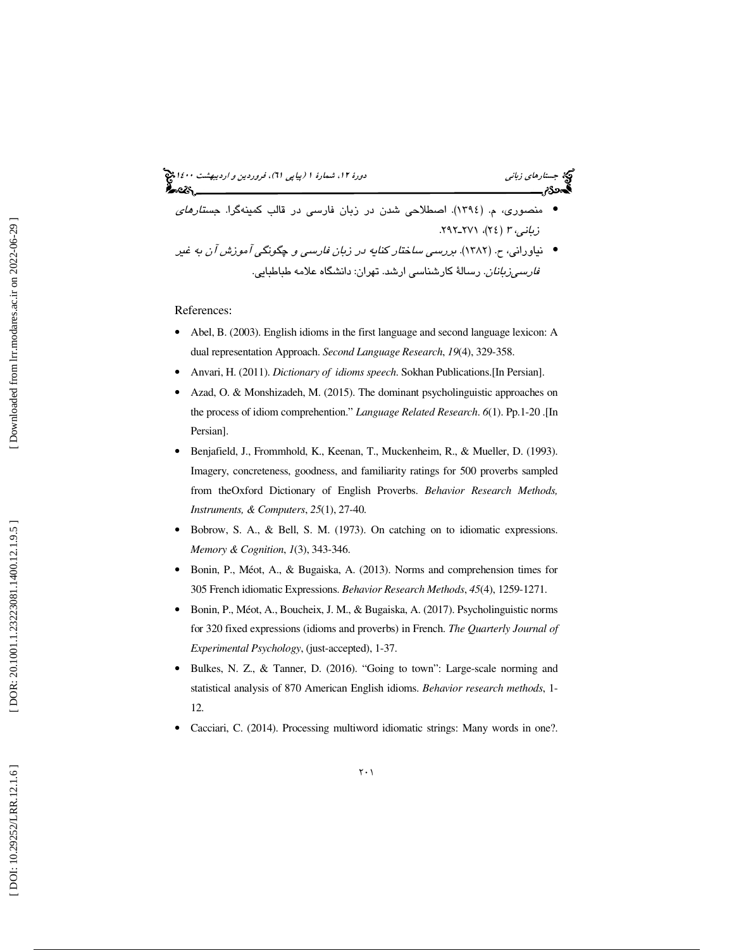(پياپي 61)، فروردين و ارديبهشت 1400 جستارهاي زباني دورة ،12 شمارة 1 • منصوري، م. (1394). اصطلاحي شدن در زبان فارسي در قالب كمينهگرا. جستارهاي . 292 ( 24)، 271ـ زباني، <sup>3</sup> • نياوراني، ح. (1382). بررسي ساختار كنايه در زبان فارسي و چگونگي آموزش آن به غير

*فارسیزبانان*. رسالهٔ کارشناسی ارشد. تهران: دانشگاه علامه طباطبایی.

#### References:

- Abel, B. (2003). English idioms in the first language and second language lexicon: A dual representation Approach. *Second Language Research*, *19*(4), 329-358.
- Anvari, H. (2011). *Dictionary of idioms speech*. Sokhan Publications.[In Persian].
- Azad, O. & Monshizadeh, M. (2015). The dominant psycholinguistic approaches on the process of idiom comprehention." *Language Related Research*. *6*(1). Pp.1-20 .[In Persian].
- Benjafield, J., Frommhold, K., Keenan, T., Muckenheim, R., & Mueller, D. (1993). Imagery, concreteness, goodness, and familiarity ratings for 500 proverbs sampled from theOxford Dictionary of English Proverbs. *Behavior Research Methods, Instruments, & Computers*, *25*(1), 27-40.
- Bobrow, S. A., & Bell, S. M. (1973). On catching on to idiomatic expressions. *Memory & Cognition*, *1*(3), 343-346.
- Bonin, P., Méot, A., & Bugaiska, A. (2013). Norms and comprehension times for 305 French idiomatic Expressions. *Behavior Research Methods*, *45*(4), 1259-1271.
- Bonin, P., Méot, A., Boucheix, J. M., & Bugaiska, A. (2017). Psycholinguistic norms for 320 fixed expressions (idioms and proverbs) in French. *The Quarterly Journal of Experimental Psychology*, (just-accepted), 1-37.
- Bulkes, N. Z., & Tanner, D. (2016). "Going to town": Large-scale norming and statistical analysis of 870 American English idioms. *Behavior research methods*, 1- 12.
- Cacciari, C. (2014). Processing multiword idiomatic strings: Many words in one?.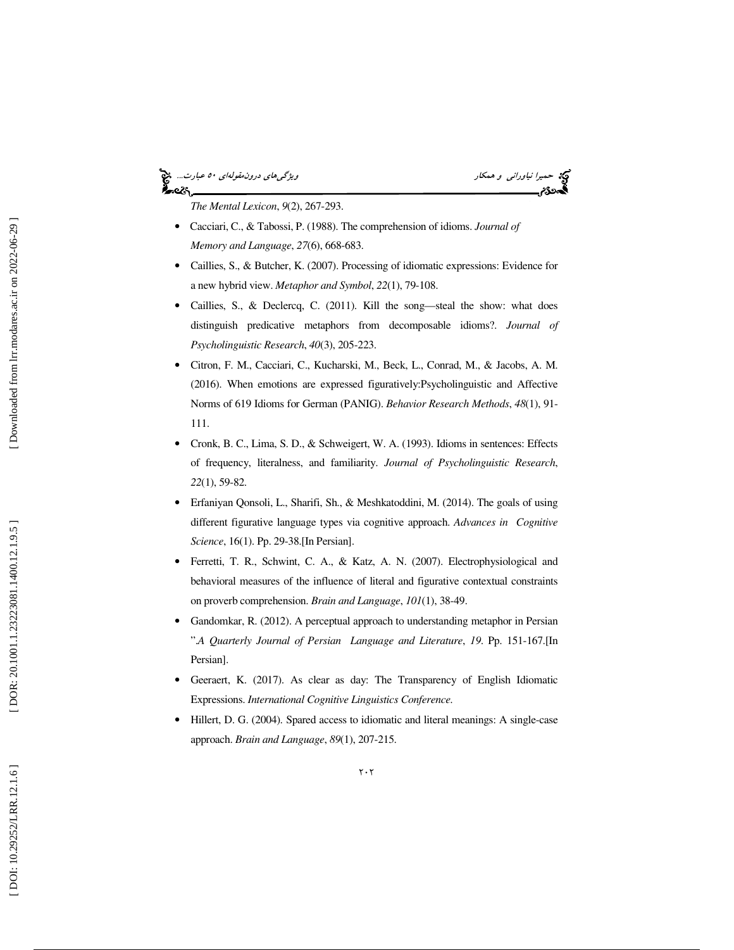### حميرا *نياوراني و همكار ويشكلوا و همكار و همكار و همكار و هم كارت..*. چ<mark>خ</mark><br>المحمد التيار ويژگي با در ايران بين التيار و است.<br>المحمد التيار و التيار و التيار و التيار و التيار و التيار و التي التي التي التي التي التي التي કૂં∼≪∖

*The Mental Lexicon*, *9*(2), 267-293.

- Cacciari, C., & Tabossi, P. (1988). The comprehension of idioms. *Journal of Memory and Language*, *27*(6), 668-683.
- Caillies, S., & Butcher, K. (2007). Processing of idiomatic expressions: Evidence for a new hybrid view. *Metaphor and Symbol*, *22*(1), 79-108.
- Caillies, S., & Declercq, C. (2011). Kill the song—steal the show: what does distinguish predicative metaphors from decomposable idioms?. *Journal of Psycholinguistic Research*, *40*(3), 205-223.
- Citron, F. M., Cacciari, C., Kucharski, M., Beck, L., Conrad, M., & Jacobs, A. M. (2016). When emotions are expressed figuratively:Psycholinguistic and Affective Norms of 619 Idioms for German (PANIG). *Behavior Research Methods*, *48*(1), 91- 111.
- Cronk, B. C., Lima, S. D., & Schweigert, W. A. (1993). Idioms in sentences: Effects of frequency, literalness, and familiarity. *Journal of Psycholinguistic Research*, *22*(1), 59-82.
- Erfaniyan Qonsoli, L., Sharifi, Sh., & Meshkatoddini, M. (2014). The goals of using different figurative language types via cognitive approach. *Advances in Cognitive Science*, 16(1). Pp. 29-38.[In Persian].
- Ferretti, T. R., Schwint, C. A., & Katz, A. N. (2007). Electrophysiological and behavioral measures of the influence of literal and figurative contextual constraints on proverb comprehension. *Brain and Language*, *101*(1), 38-49.
- Gandomkar, R. (2012). A perceptual approach to understanding metaphor in Persian ".*A Quarterly Journal of Persian Language and Literature*, *19*. Pp. 151-167.[In Persian].
- Geeraert, K. (2017). As clear as day: The Transparency of English Idiomatic Expressions. *International Cognitive Linguistics Conference.*
- Hillert, D. G. (2004). Spared access to idiomatic and literal meanings: A single-case approach. *Brain and Language*, *89*(1), 207-215.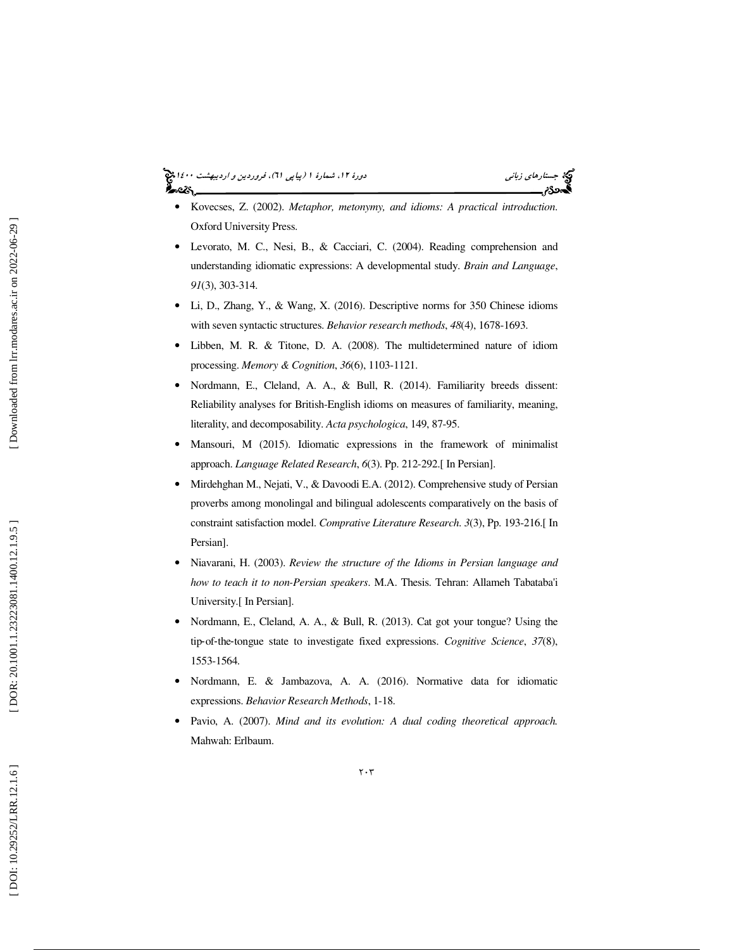### جستار*هاي زباني هي المرديبهشت 1400 ه*ورو 11، شمارة 1 (پياپي 71)، فر*وردين و ارديبهشت 14*00 هج

- Kovecses, Z. (2002). *Metaphor, metonymy, and idioms: A practical introduction*. Oxford University Press.
- Levorato, M. C., Nesi, B., & Cacciari, C. (2004). Reading comprehension and understanding idiomatic expressions: A developmental study. *Brain and Language*, *91*(3), 303-314.
- Li, D., Zhang, Y., & Wang, X. (2016). Descriptive norms for 350 Chinese idioms with seven syntactic structures. *Behavior research methods*, *48*(4), 1678-1693.
- Libben, M. R. & Titone, D. A. (2008). The multidetermined nature of idiom processing. *Memory & Cognition*, *36*(6), 1103-1121.
- Nordmann, E., Cleland, A. A., & Bull, R. (2014). Familiarity breeds dissent: Reliability analyses for British-English idioms on measures of familiarity, meaning, literality, and decomposability. *Acta psychologica*, 149, 87-95.
- Mansouri, M (2015). Idiomatic expressions in the framework of minimalist approach. *Language Related Research*, *6*(3). Pp. 212-292.[ In Persian].
- Mirdehghan M., Nejati, V., & Davoodi E.A. (2012). Comprehensive study of Persian proverbs among monolingal and bilingual adolescents comparatively on the basis of constraint satisfaction model. *Comprative Literature Research*. *3*(3), Pp. 193-216.[ In Persian].
- Niavarani, H. (2003). *Review the structure of the Idioms in Persian language and how to teach it to non-Persian speakers*. M.A. Thesis. Tehran: Allameh Tabataba'i University.[ In Persian].
- Nordmann, E., Cleland, A. A., & Bull, R. (2013). Cat got your tongue? Using the tip ‐of‐the ‐tongue state to investigate fixed expressions. *Cognitive Science*, *37*(8), 1553-1564.
- Nordmann, E. & Jambazova, A. A. (2016). Normative data for idiomatic expressions. *Behavior Research Methods*, 1-18.
- Pavio, A. (2007). *Mind and its evolution: A dual coding theoretical approach.* Mahwah: Erlbaum.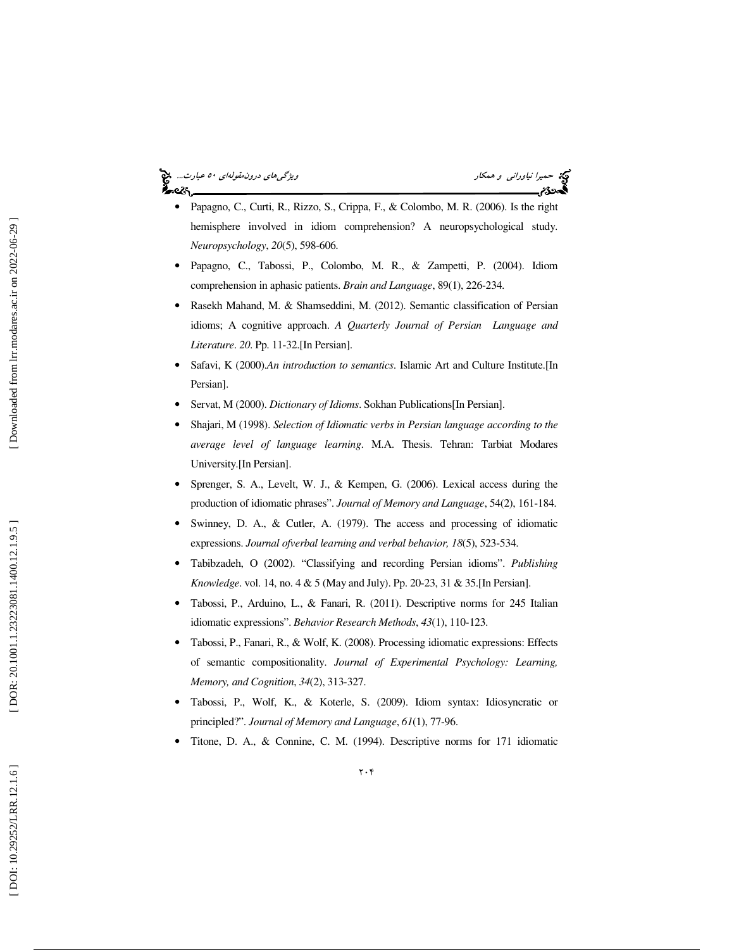### حميرا *نياوراني و همكار ويژگي هاي درون مقولهاي ٥٠ عبارت..*. چ<mark>خ</mark><br>ايدوي العبارت ويژگي در ويژگي درون مقابل در ويژگي هاي درون مقولهاي در ويژگي هاي درون مقولهاي در ويژگي هاي در در<br>ايدوي در ويژگي در ويژگي در ويژگي در ويژگي درو ا⊷دک⁄م

- Papagno, C., Curti, R., Rizzo, S., Crippa, F., & Colombo, M. R. (2006). Is the right hemisphere involved in idiom comprehension? A neuropsychological study. *Neuropsychology*, *20*(5), 598-606.
- Papagno, C., Tabossi, P., Colombo, M. R., & Zampetti, P. (2004). Idiom comprehension in aphasic patients. *Brain and Language*, 89(1), 226-234.
- Rasekh Mahand, M. & Shamseddini, M. (2012). Semantic classification of Persian idioms; A cognitive approach. *A Quarterly Journal of Persian Language and Literature*. *20*. Pp. 11-32.[In Persian].
- Safavi, K (2000).*An introduction to semantics*. Islamic Art and Culture Institute.[In Persian].
- Servat, M (2000). *Dictionary of Idioms*. Sokhan Publications[In Persian].
- Shajari, M (1998). *Selection of Idiomatic verbs in Persian language according to the average level of language learning*. M.A. Thesis. Tehran: Tarbiat Modares University.[In Persian].
- Sprenger, S. A., Levelt, W. J., & Kempen, G. (2006). Lexical access during the production of idiomatic phrases". *Journal of Memory and Language*, 54(2), 161-184.
- Swinney, D. A., & Cutler, A. (1979). The access and processing of idiomatic expressions. *Journal ofverbal learning and verbal behavior, 18*(5), 523-534.
- Tabibzadeh, O (2002). "Classifying and recording Persian idioms". *Publishing Knowledge*. vol. 14, no. 4 & 5 (May and July). Pp. 20-23, 31 & 35.[In Persian].
- Tabossi, P., Arduino, L., & Fanari, R. (2011). Descriptive norms for 245 Italian idiomatic expressions". *Behavior Research Methods*, *43*(1), 110-123.
- Tabossi, P., Fanari, R., & Wolf, K. (2008). Processing idiomatic expressions: Effects of semantic compositionality. *Journal of Experimental Psychology: Learning, Memory, and Cognition*, *34*(2), 313-327.
- Tabossi, P., Wolf, K., & Koterle, S. (2009). Idiom syntax: Idiosyncratic or principled?". *Journal of Memory and Language*, *61*(1), 77-96.
- Titone, D. A., & Connine, C. M. (1994). Descriptive norms for 171 idiomatic

 $\mathbf{y} \cdot \mathbf{y}$